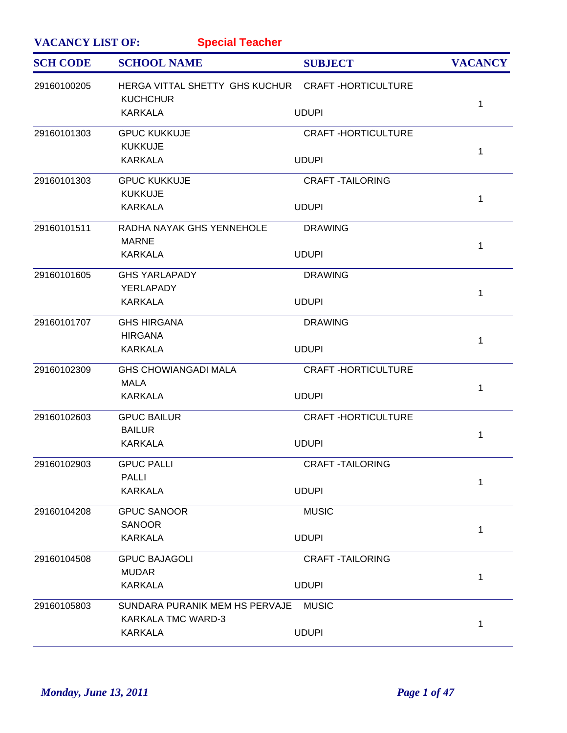| <b>VACANCY LIST OF:</b><br><b>Special Teacher</b> |                                                   |                           |                |  |
|---------------------------------------------------|---------------------------------------------------|---------------------------|----------------|--|
| <b>SCH CODE</b>                                   | <b>SCHOOL NAME</b>                                | <b>SUBJECT</b>            | <b>VACANCY</b> |  |
| 29160100205                                       | HERGA VITTAL SHETTY GHS KUCHUR CRAFT-HORTICULTURE |                           |                |  |
|                                                   | <b>KUCHCHUR</b>                                   |                           | 1              |  |
|                                                   | <b>KARKALA</b>                                    | <b>UDUPI</b>              |                |  |
| 29160101303                                       | <b>GPUC KUKKUJE</b>                               | <b>CRAFT-HORTICULTURE</b> |                |  |
|                                                   | <b>KUKKUJE</b>                                    |                           | $\mathbf 1$    |  |
|                                                   | <b>KARKALA</b>                                    | <b>UDUPI</b>              |                |  |
| 29160101303                                       | <b>GPUC KUKKUJE</b>                               | <b>CRAFT-TAILORING</b>    |                |  |
|                                                   | <b>KUKKUJE</b>                                    |                           | $\mathbf{1}$   |  |
|                                                   | <b>KARKALA</b>                                    | <b>UDUPI</b>              |                |  |
| 29160101511                                       | RADHA NAYAK GHS YENNEHOLE                         | <b>DRAWING</b>            |                |  |
|                                                   | <b>MARNE</b>                                      |                           | $\mathbf 1$    |  |
|                                                   | <b>KARKALA</b>                                    | <b>UDUPI</b>              |                |  |
| 29160101605                                       | <b>GHS YARLAPADY</b>                              | <b>DRAWING</b>            |                |  |
|                                                   | YERLAPADY                                         |                           |                |  |
|                                                   | <b>KARKALA</b>                                    | <b>UDUPI</b>              | $\mathbf{1}$   |  |
| 29160101707                                       | <b>GHS HIRGANA</b>                                | <b>DRAWING</b>            |                |  |
|                                                   | <b>HIRGANA</b>                                    |                           | 1              |  |
|                                                   | <b>KARKALA</b>                                    | <b>UDUPI</b>              |                |  |
| 29160102309                                       | <b>GHS CHOWIANGADI MALA</b>                       | <b>CRAFT-HORTICULTURE</b> |                |  |
|                                                   | <b>MALA</b>                                       |                           | $\mathbf 1$    |  |
|                                                   | <b>KARKALA</b>                                    | <b>UDUPI</b>              |                |  |
| 29160102603                                       | <b>GPUC BAILUR</b>                                | <b>CRAFT-HORTICULTURE</b> |                |  |
|                                                   | <b>BAILUR</b>                                     |                           | 1              |  |
|                                                   | <b>KARKALA</b>                                    | <b>UDUPI</b>              |                |  |
| 29160102903                                       | <b>GPUC PALLI</b>                                 | <b>CRAFT-TAILORING</b>    |                |  |
|                                                   | <b>PALLI</b>                                      |                           | 1              |  |
|                                                   | <b>KARKALA</b>                                    | <b>UDUPI</b>              |                |  |
| 29160104208                                       | <b>GPUC SANOOR</b>                                | <b>MUSIC</b>              |                |  |
|                                                   | <b>SANOOR</b>                                     |                           | $\mathbf 1$    |  |
|                                                   | <b>KARKALA</b>                                    | <b>UDUPI</b>              |                |  |
| 29160104508                                       | <b>GPUC BAJAGOLI</b>                              | <b>CRAFT-TAILORING</b>    |                |  |
|                                                   | <b>MUDAR</b>                                      |                           | $\mathbf 1$    |  |
|                                                   | <b>KARKALA</b>                                    | <b>UDUPI</b>              |                |  |
| 29160105803                                       | SUNDARA PURANIK MEM HS PERVAJE                    | <b>MUSIC</b>              |                |  |
|                                                   | KARKALA TMC WARD-3                                |                           | 1              |  |
|                                                   | <b>KARKALA</b>                                    | <b>UDUPI</b>              |                |  |
|                                                   |                                                   |                           |                |  |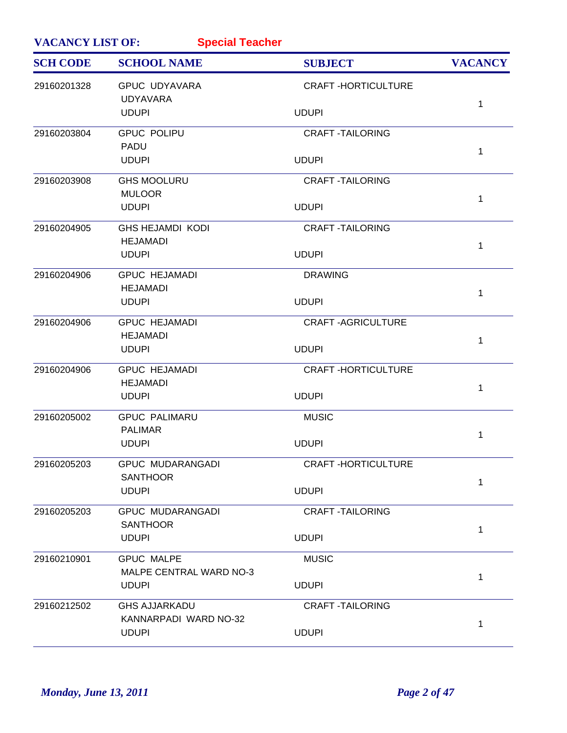| <b>VACANCY LIST OF:</b><br><b>Special Teacher</b> |                                               |                           |                |
|---------------------------------------------------|-----------------------------------------------|---------------------------|----------------|
| <b>SCH CODE</b>                                   | <b>SCHOOL NAME</b>                            | <b>SUBJECT</b>            | <b>VACANCY</b> |
| 29160201328                                       | <b>GPUC UDYAVARA</b><br><b>UDYAVARA</b>       | <b>CRAFT-HORTICULTURE</b> |                |
|                                                   | <b>UDUPI</b>                                  | <b>UDUPI</b>              | 1              |
| 29160203804                                       | <b>GPUC POLIPU</b>                            | <b>CRAFT-TAILORING</b>    |                |
|                                                   | <b>PADU</b><br><b>UDUPI</b>                   | <b>UDUPI</b>              | 1              |
| 29160203908                                       | <b>GHS MOOLURU</b>                            | <b>CRAFT-TAILORING</b>    |                |
|                                                   | <b>MULOOR</b><br><b>UDUPI</b>                 | <b>UDUPI</b>              | 1              |
| 29160204905                                       | <b>GHS HEJAMDI KODI</b><br><b>HEJAMADI</b>    | <b>CRAFT-TAILORING</b>    |                |
|                                                   | <b>UDUPI</b>                                  | <b>UDUPI</b>              | 1              |
| 29160204906                                       | <b>GPUC HEJAMADI</b>                          | <b>DRAWING</b>            |                |
|                                                   | <b>HEJAMADI</b><br><b>UDUPI</b>               | <b>UDUPI</b>              | 1              |
| 29160204906                                       | <b>GPUC HEJAMADI</b>                          | <b>CRAFT-AGRICULTURE</b>  |                |
|                                                   | <b>HEJAMADI</b><br><b>UDUPI</b>               | <b>UDUPI</b>              | $\mathbf{1}$   |
| 29160204906                                       | <b>GPUC HEJAMADI</b><br><b>HEJAMADI</b>       | <b>CRAFT-HORTICULTURE</b> |                |
|                                                   | <b>UDUPI</b>                                  | <b>UDUPI</b>              | 1              |
| 29160205002                                       | <b>GPUC PALIMARU</b>                          | <b>MUSIC</b>              |                |
|                                                   | <b>PALIMAR</b><br><b>UDUPI</b>                | <b>UDUPI</b>              | 1              |
| 29160205203                                       | <b>GPUC MUDARANGADI</b><br><b>SANTHOOR</b>    | <b>CRAFT-HORTICULTURE</b> |                |
|                                                   | <b>UDUPI</b>                                  | <b>UDUPI</b>              | 1              |
| 29160205203                                       | <b>GPUC MUDARANGADI</b><br><b>SANTHOOR</b>    | <b>CRAFT-TAILORING</b>    |                |
|                                                   | <b>UDUPI</b>                                  | <b>UDUPI</b>              | 1              |
| 29160210901                                       | <b>GPUC MALPE</b><br>MALPE CENTRAL WARD NO-3  | <b>MUSIC</b>              |                |
|                                                   | <b>UDUPI</b>                                  | <b>UDUPI</b>              | 1              |
| 29160212502                                       | <b>GHS AJJARKADU</b><br>KANNARPADI WARD NO-32 | <b>CRAFT-TAILORING</b>    |                |
|                                                   | <b>UDUPI</b>                                  | <b>UDUPI</b>              | 1              |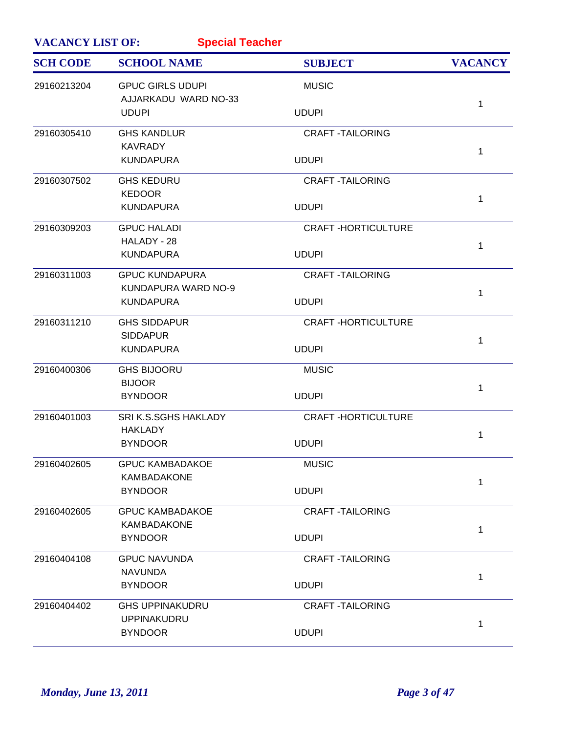| <b>VACANCY LIST OF:</b><br><b>Special Teacher</b> |                                                 |                           |                |
|---------------------------------------------------|-------------------------------------------------|---------------------------|----------------|
| <b>SCH CODE</b>                                   | <b>SCHOOL NAME</b>                              | <b>SUBJECT</b>            | <b>VACANCY</b> |
| 29160213204                                       | <b>GPUC GIRLS UDUPI</b><br>AJJARKADU WARD NO-33 | <b>MUSIC</b>              |                |
|                                                   | <b>UDUPI</b>                                    | <b>UDUPI</b>              | 1              |
| 29160305410                                       | <b>GHS KANDLUR</b>                              | <b>CRAFT-TAILORING</b>    |                |
|                                                   | <b>KAVRADY</b><br><b>KUNDAPURA</b>              | <b>UDUPI</b>              | 1              |
| 29160307502                                       | <b>GHS KEDURU</b>                               | <b>CRAFT -TAILORING</b>   |                |
|                                                   | <b>KEDOOR</b><br><b>KUNDAPURA</b>               | <b>UDUPI</b>              | 1              |
| 29160309203                                       | <b>GPUC HALADI</b>                              | <b>CRAFT-HORTICULTURE</b> |                |
|                                                   | HALADY - 28<br><b>KUNDAPURA</b>                 | <b>UDUPI</b>              | $\mathbf{1}$   |
| 29160311003                                       | <b>GPUC KUNDAPURA</b>                           | <b>CRAFT-TAILORING</b>    |                |
|                                                   | KUNDAPURA WARD NO-9<br><b>KUNDAPURA</b>         | <b>UDUPI</b>              | 1              |
| 29160311210                                       | <b>GHS SIDDAPUR</b>                             | <b>CRAFT-HORTICULTURE</b> |                |
|                                                   | <b>SIDDAPUR</b><br><b>KUNDAPURA</b>             | <b>UDUPI</b>              | 1              |
| 29160400306                                       | <b>GHS BIJOORU</b><br><b>BIJOOR</b>             | <b>MUSIC</b>              |                |
|                                                   | <b>BYNDOOR</b>                                  | <b>UDUPI</b>              | 1              |
| 29160401003                                       | SRI K.S.SGHS HAKLADY<br><b>HAKLADY</b>          | <b>CRAFT-HORTICULTURE</b> |                |
|                                                   | <b>BYNDOOR</b>                                  | <b>UDUPI</b>              | 1              |
| 29160402605                                       | <b>GPUC KAMBADAKOE</b>                          | <b>MUSIC</b>              |                |
|                                                   | <b>KAMBADAKONE</b><br><b>BYNDOOR</b>            | <b>UDUPI</b>              | 1              |
| 29160402605                                       | <b>GPUC KAMBADAKOE</b>                          | <b>CRAFT-TAILORING</b>    |                |
|                                                   | <b>KAMBADAKONE</b><br><b>BYNDOOR</b>            | <b>UDUPI</b>              | 1              |
| 29160404108                                       | <b>GPUC NAVUNDA</b>                             | <b>CRAFT-TAILORING</b>    |                |
|                                                   | <b>NAVUNDA</b><br><b>BYNDOOR</b>                | <b>UDUPI</b>              | 1              |
| 29160404402                                       | <b>GHS UPPINAKUDRU</b>                          | <b>CRAFT-TAILORING</b>    |                |
|                                                   | <b>UPPINAKUDRU</b><br><b>BYNDOOR</b>            | <b>UDUPI</b>              | 1              |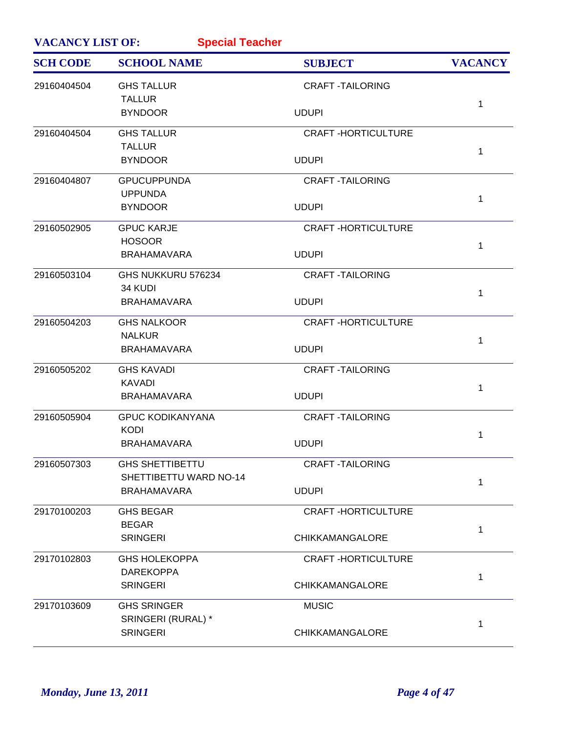| <b>VACANCY LIST OF:</b><br><b>Special Teacher</b> |                                              |                           |                |
|---------------------------------------------------|----------------------------------------------|---------------------------|----------------|
| <b>SCH CODE</b>                                   | <b>SCHOOL NAME</b>                           | <b>SUBJECT</b>            | <b>VACANCY</b> |
| 29160404504                                       | <b>GHS TALLUR</b><br><b>TALLUR</b>           | <b>CRAFT-TAILORING</b>    |                |
|                                                   | <b>BYNDOOR</b>                               | <b>UDUPI</b>              | 1              |
| 29160404504                                       | <b>GHS TALLUR</b>                            | <b>CRAFT-HORTICULTURE</b> |                |
|                                                   | <b>TALLUR</b><br><b>BYNDOOR</b>              | <b>UDUPI</b>              | 1              |
| 29160404807                                       | <b>GPUCUPPUNDA</b>                           | <b>CRAFT-TAILORING</b>    |                |
|                                                   | <b>UPPUNDA</b><br><b>BYNDOOR</b>             | <b>UDUPI</b>              | 1              |
| 29160502905                                       | <b>GPUC KARJE</b>                            | <b>CRAFT-HORTICULTURE</b> |                |
|                                                   | <b>HOSOOR</b><br><b>BRAHAMAVARA</b>          | <b>UDUPI</b>              | $\mathbf{1}$   |
| 29160503104                                       | GHS NUKKURU 576234                           | <b>CRAFT-TAILORING</b>    |                |
|                                                   | 34 KUDI<br><b>BRAHAMAVARA</b>                | <b>UDUPI</b>              | 1              |
| 29160504203                                       | <b>GHS NALKOOR</b>                           | <b>CRAFT-HORTICULTURE</b> |                |
|                                                   | <b>NALKUR</b>                                |                           | 1              |
|                                                   | <b>BRAHAMAVARA</b>                           | <b>UDUPI</b>              |                |
| 29160505202                                       | <b>GHS KAVADI</b><br><b>KAVADI</b>           | <b>CRAFT-TAILORING</b>    |                |
|                                                   | <b>BRAHAMAVARA</b>                           | <b>UDUPI</b>              | 1              |
| 29160505904                                       | <b>GPUC KODIKANYANA</b><br><b>KODI</b>       | <b>CRAFT-TAILORING</b>    |                |
|                                                   | <b>BRAHAMAVARA</b>                           | <b>UDUPI</b>              | 1              |
| 29160507303                                       | <b>GHS SHETTIBETTU</b>                       | <b>CRAFT-TAILORING</b>    |                |
|                                                   | SHETTIBETTU WARD NO-14<br><b>BRAHAMAVARA</b> | <b>UDUPI</b>              | 1              |
| 29170100203                                       | <b>GHS BEGAR</b>                             | <b>CRAFT-HORTICULTURE</b> |                |
|                                                   | <b>BEGAR</b><br><b>SRINGERI</b>              | <b>CHIKKAMANGALORE</b>    | 1              |
| 29170102803                                       | <b>GHS HOLEKOPPA</b>                         | <b>CRAFT-HORTICULTURE</b> |                |
|                                                   | <b>DAREKOPPA</b><br><b>SRINGERI</b>          | CHIKKAMANGALORE           | 1              |
| 29170103609                                       | <b>GHS SRINGER</b>                           | <b>MUSIC</b>              |                |
|                                                   | SRINGERI (RURAL) *<br><b>SRINGERI</b>        | <b>CHIKKAMANGALORE</b>    | 1              |
|                                                   |                                              |                           |                |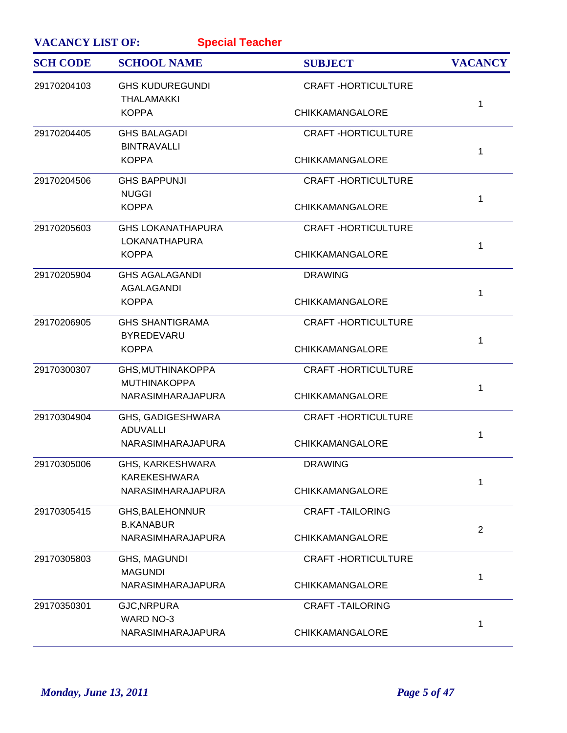| <b>VACANCY LIST OF:</b><br><b>Special Teacher</b> |                                                  |                           |                |
|---------------------------------------------------|--------------------------------------------------|---------------------------|----------------|
| <b>SCH CODE</b>                                   | <b>SCHOOL NAME</b>                               | <b>SUBJECT</b>            | <b>VACANCY</b> |
| 29170204103                                       | <b>GHS KUDUREGUNDI</b><br><b>THALAMAKKI</b>      | <b>CRAFT-HORTICULTURE</b> |                |
|                                                   | <b>KOPPA</b>                                     | <b>CHIKKAMANGALORE</b>    | 1              |
| 29170204405                                       | <b>GHS BALAGADI</b><br><b>BINTRAVALLI</b>        | <b>CRAFT-HORTICULTURE</b> |                |
|                                                   | <b>KOPPA</b>                                     | <b>CHIKKAMANGALORE</b>    | 1              |
| 29170204506                                       | <b>GHS BAPPUNJI</b><br><b>NUGGI</b>              | <b>CRAFT-HORTICULTURE</b> |                |
|                                                   | <b>KOPPA</b>                                     | <b>CHIKKAMANGALORE</b>    | 1              |
| 29170205603                                       | <b>GHS LOKANATHAPURA</b><br><b>LOKANATHAPURA</b> | <b>CRAFT-HORTICULTURE</b> |                |
|                                                   | <b>KOPPA</b>                                     | <b>CHIKKAMANGALORE</b>    | 1              |
| 29170205904                                       | <b>GHS AGALAGANDI</b><br>AGALAGANDI              | <b>DRAWING</b>            |                |
|                                                   | <b>KOPPA</b>                                     | <b>CHIKKAMANGALORE</b>    | 1              |
| 29170206905                                       | <b>GHS SHANTIGRAMA</b><br><b>BYREDEVARU</b>      | <b>CRAFT-HORTICULTURE</b> |                |
|                                                   | <b>KOPPA</b>                                     | <b>CHIKKAMANGALORE</b>    | 1              |
| 29170300307                                       | GHS, MUTHINAKOPPA<br><b>MUTHINAKOPPA</b>         | <b>CRAFT-HORTICULTURE</b> |                |
|                                                   | NARASIMHARAJAPURA                                | <b>CHIKKAMANGALORE</b>    | 1              |
| 29170304904                                       | GHS, GADIGESHWARA<br><b>ADUVALLI</b>             | <b>CRAFT-HORTICULTURE</b> | 1              |
|                                                   | NARASIMHARAJAPURA                                | <b>CHIKKAMANGALORE</b>    |                |
| 29170305006                                       | GHS, KARKESHWARA<br><b>KAREKESHWARA</b>          | <b>DRAWING</b>            |                |
|                                                   | NARASIMHARAJAPURA                                | <b>CHIKKAMANGALORE</b>    | 1              |
| 29170305415                                       | <b>GHS, BALEHONNUR</b><br><b>B.KANABUR</b>       | <b>CRAFT -TAILORING</b>   |                |
|                                                   | NARASIMHARAJAPURA                                | <b>CHIKKAMANGALORE</b>    | 2              |
| 29170305803                                       | <b>GHS, MAGUNDI</b><br><b>MAGUNDI</b>            | <b>CRAFT-HORTICULTURE</b> |                |
|                                                   | NARASIMHARAJAPURA                                | <b>CHIKKAMANGALORE</b>    | 1              |
| 29170350301                                       | GJC, NRPURA<br>WARD NO-3                         | <b>CRAFT-TAILORING</b>    |                |
|                                                   | NARASIMHARAJAPURA                                | <b>CHIKKAMANGALORE</b>    | 1              |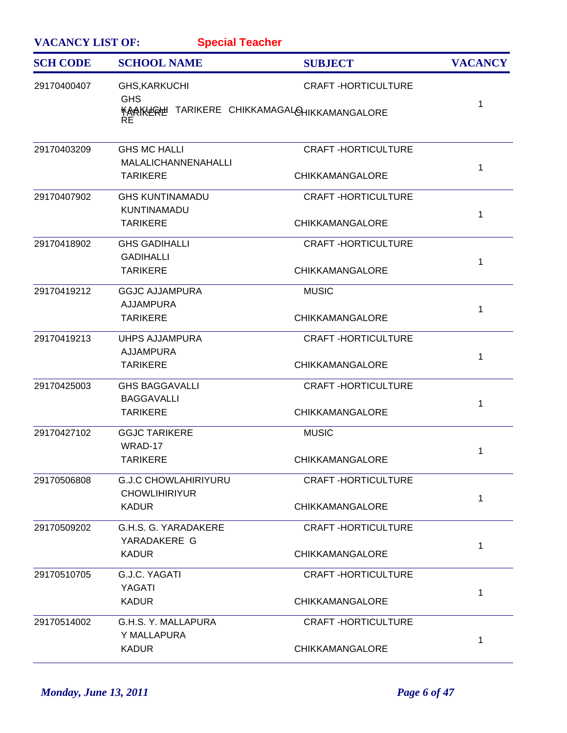| <b>VACANCY LIST OF:</b><br><b>Special Teacher</b> |                                                                                                 |                                                     |                |  |
|---------------------------------------------------|-------------------------------------------------------------------------------------------------|-----------------------------------------------------|----------------|--|
| <b>SCH CODE</b>                                   | <b>SCHOOL NAME</b>                                                                              | <b>SUBJECT</b>                                      | <b>VACANCY</b> |  |
| 29170400407                                       | <b>GHS, KARKUCHI</b><br><b>GHS</b><br><b>KAAKLERE TARIKERE CHIKKAMAGALOHIKKAMANGALORE</b><br>RE | <b>CRAFT-HORTICULTURE</b>                           | 1              |  |
| 29170403209                                       | <b>GHS MC HALLI</b><br><b>MALALICHANNENAHALLI</b><br><b>TARIKERE</b>                            | <b>CRAFT-HORTICULTURE</b><br><b>CHIKKAMANGALORE</b> | 1              |  |
| 29170407902                                       | <b>GHS KUNTINAMADU</b><br><b>KUNTINAMADU</b><br><b>TARIKERE</b>                                 | <b>CRAFT-HORTICULTURE</b><br><b>CHIKKAMANGALORE</b> | 1              |  |
| 29170418902                                       | <b>GHS GADIHALLI</b><br><b>GADIHALLI</b><br><b>TARIKERE</b>                                     | <b>CRAFT-HORTICULTURE</b><br><b>CHIKKAMANGALORE</b> | 1              |  |
| 29170419212                                       | <b>GGJC AJJAMPURA</b><br><b>AJJAMPURA</b><br><b>TARIKERE</b>                                    | <b>MUSIC</b><br><b>CHIKKAMANGALORE</b>              | $\mathbf 1$    |  |
| 29170419213                                       | <b>UHPS AJJAMPURA</b><br><b>AJJAMPURA</b><br><b>TARIKERE</b>                                    | <b>CRAFT-HORTICULTURE</b><br><b>CHIKKAMANGALORE</b> | 1              |  |
| 29170425003                                       | <b>GHS BAGGAVALLI</b><br><b>BAGGAVALLI</b><br><b>TARIKERE</b>                                   | <b>CRAFT-HORTICULTURE</b><br><b>CHIKKAMANGALORE</b> | 1              |  |
| 29170427102                                       | <b>GGJC TARIKERE</b><br>WRAD-17<br><b>TARIKERE</b>                                              | <b>MUSIC</b><br><b>CHIKKAMANGALORE</b>              | $\mathbf 1$    |  |
| 29170506808                                       | <b>G.J.C CHOWLAHIRIYURU</b><br><b>CHOWLIHIRIYUR</b><br><b>KADUR</b>                             | <b>CRAFT-HORTICULTURE</b><br><b>CHIKKAMANGALORE</b> | $\mathbf 1$    |  |
| 29170509202                                       | G.H.S. G. YARADAKERE<br>YARADAKERE G<br><b>KADUR</b>                                            | <b>CRAFT-HORTICULTURE</b><br><b>CHIKKAMANGALORE</b> | $\mathbf 1$    |  |
| 29170510705                                       | G.J.C. YAGATI<br>YAGATI<br><b>KADUR</b>                                                         | <b>CRAFT-HORTICULTURE</b><br><b>CHIKKAMANGALORE</b> | $\mathbf 1$    |  |
| 29170514002                                       | G.H.S. Y. MALLAPURA<br>Y MALLAPURA<br><b>KADUR</b>                                              | <b>CRAFT-HORTICULTURE</b><br><b>CHIKKAMANGALORE</b> | $\mathbf 1$    |  |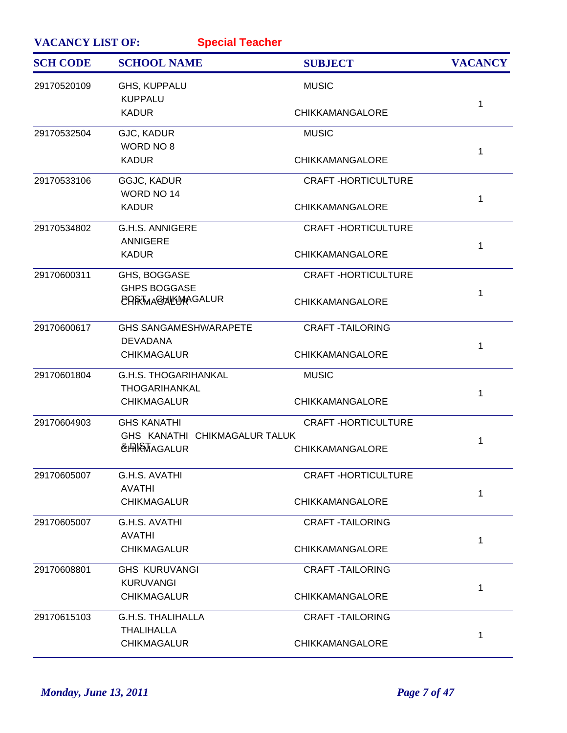| <b>VACANCY LIST OF:</b> | <b>Special Teacher</b>                                 |                           |                |
|-------------------------|--------------------------------------------------------|---------------------------|----------------|
| <b>SCH CODE</b>         | <b>SCHOOL NAME</b>                                     | <b>SUBJECT</b>            | <b>VACANCY</b> |
| 29170520109             | <b>GHS, KUPPALU</b><br><b>KUPPALU</b>                  | <b>MUSIC</b>              |                |
|                         | <b>KADUR</b>                                           | <b>CHIKKAMANGALORE</b>    | $\mathbf{1}$   |
| 29170532504             | GJC, KADUR<br>WORD NO 8                                | <b>MUSIC</b>              |                |
|                         | <b>KADUR</b>                                           | <b>CHIKKAMANGALORE</b>    | 1              |
| 29170533106             | GGJC, KADUR                                            | <b>CRAFT-HORTICULTURE</b> |                |
|                         | WORD NO 14<br><b>KADUR</b>                             | <b>CHIKKAMANGALORE</b>    | $\mathbf 1$    |
| 29170534802             | <b>G.H.S. ANNIGERE</b>                                 | <b>CRAFT-HORTICULTURE</b> |                |
|                         | <b>ANNIGERE</b><br><b>KADUR</b>                        | <b>CHIKKAMANGALORE</b>    | 1              |
| 29170600311             | GHS, BOGGASE                                           | <b>CRAFT-HORTICULTURE</b> |                |
|                         | <b>GHPS BOGGASE</b><br><b>CARTMAGHLWAGALUR</b>         | <b>CHIKKAMANGALORE</b>    | 1              |
| 29170600617             | <b>GHS SANGAMESHWARAPETE</b>                           | <b>CRAFT-TAILORING</b>    |                |
|                         | <b>DEVADANA</b><br><b>CHIKMAGALUR</b>                  | <b>CHIKKAMANGALORE</b>    | 1              |
| 29170601804             | <b>G.H.S. THOGARIHANKAL</b>                            | <b>MUSIC</b>              |                |
|                         | THOGARIHANKAL<br><b>CHIKMAGALUR</b>                    | <b>CHIKKAMANGALORE</b>    | 1              |
| 29170604903             | <b>GHS KANATHI</b>                                     | <b>CRAFT-HORTICULTURE</b> |                |
|                         | GHS KANATHI CHIKMAGALUR TALUK<br><b>&amp;HRMAGALUR</b> | <b>CHIKKAMANGALORE</b>    | 1              |
| 29170605007             | G.H.S. AVATHI                                          | <b>CRAFT-HORTICULTURE</b> |                |
|                         | <b>AVATHI</b><br><b>CHIKMAGALUR</b>                    | <b>CHIKKAMANGALORE</b>    | 1              |
| 29170605007             | G.H.S. AVATHI                                          | <b>CRAFT-TAILORING</b>    |                |
|                         | <b>AVATHI</b><br><b>CHIKMAGALUR</b>                    | <b>CHIKKAMANGALORE</b>    | 1              |
| 29170608801             | <b>GHS KURUVANGI</b>                                   | <b>CRAFT-TAILORING</b>    |                |
|                         | <b>KURUVANGI</b><br><b>CHIKMAGALUR</b>                 | <b>CHIKKAMANGALORE</b>    | 1              |
| 29170615103             | <b>G.H.S. THALIHALLA</b>                               | <b>CRAFT-TAILORING</b>    |                |
|                         | THALIHALLA<br><b>CHIKMAGALUR</b>                       | <b>CHIKKAMANGALORE</b>    | 1              |
|                         |                                                        |                           |                |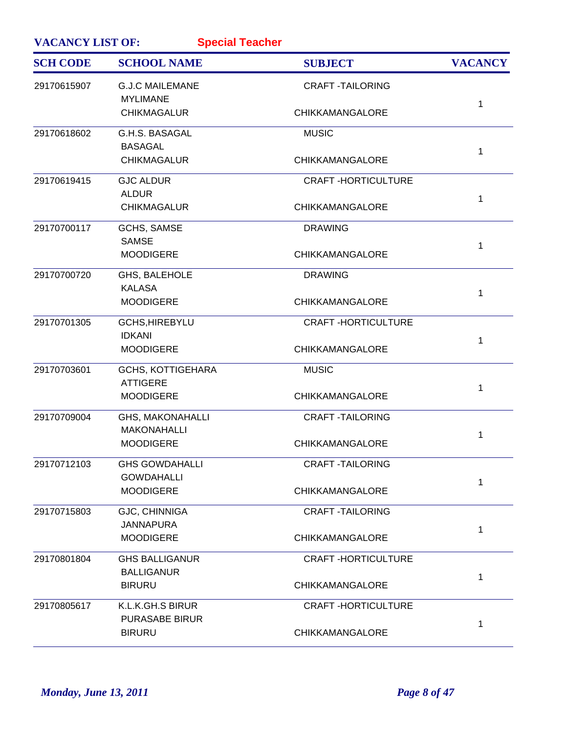| <b>VACANCY LIST OF:</b><br><b>Special Teacher</b> |                                               |                           |                |
|---------------------------------------------------|-----------------------------------------------|---------------------------|----------------|
| <b>SCH CODE</b>                                   | <b>SCHOOL NAME</b>                            | <b>SUBJECT</b>            | <b>VACANCY</b> |
| 29170615907                                       | <b>G.J.C MAILEMANE</b><br><b>MYLIMANE</b>     | <b>CRAFT-TAILORING</b>    | 1              |
|                                                   | <b>CHIKMAGALUR</b>                            | CHIKKAMANGALORE           |                |
| 29170618602                                       | G.H.S. BASAGAL<br><b>BASAGAL</b>              | <b>MUSIC</b>              | 1              |
|                                                   | <b>CHIKMAGALUR</b>                            | <b>CHIKKAMANGALORE</b>    |                |
| 29170619415                                       | <b>GJC ALDUR</b><br><b>ALDUR</b>              | <b>CRAFT-HORTICULTURE</b> | 1              |
|                                                   | <b>CHIKMAGALUR</b>                            | <b>CHIKKAMANGALORE</b>    |                |
| 29170700117                                       | <b>GCHS, SAMSE</b><br><b>SAMSE</b>            | <b>DRAWING</b>            | 1              |
|                                                   | <b>MOODIGERE</b>                              | <b>CHIKKAMANGALORE</b>    |                |
| 29170700720                                       | GHS, BALEHOLE<br><b>KALASA</b>                | <b>DRAWING</b>            | 1              |
|                                                   | <b>MOODIGERE</b>                              | CHIKKAMANGALORE           |                |
| 29170701305                                       | GCHS, HIREBYLU<br><b>IDKANI</b>               | <b>CRAFT-HORTICULTURE</b> | 1              |
|                                                   | <b>MOODIGERE</b>                              | <b>CHIKKAMANGALORE</b>    |                |
| 29170703601                                       | <b>GCHS, KOTTIGEHARA</b><br><b>ATTIGERE</b>   | <b>MUSIC</b>              | 1              |
|                                                   | <b>MOODIGERE</b>                              | <b>CHIKKAMANGALORE</b>    |                |
| 29170709004                                       | <b>GHS, MAKONAHALLI</b><br><b>MAKONAHALLI</b> | <b>CRAFT-TAILORING</b>    | 1              |
|                                                   | <b>MOODIGERE</b>                              | <b>CHIKKAMANGALORE</b>    |                |
| 29170712103                                       | <b>GHS GOWDAHALLI</b><br><b>GOWDAHALLI</b>    | <b>CRAFT-TAILORING</b>    | 1              |
|                                                   | <b>MOODIGERE</b>                              | <b>CHIKKAMANGALORE</b>    |                |
| 29170715803                                       | GJC, CHINNIGA<br><b>JANNAPURA</b>             | <b>CRAFT-TAILORING</b>    | 1              |
|                                                   | <b>MOODIGERE</b>                              | <b>CHIKKAMANGALORE</b>    |                |
| 29170801804                                       | <b>GHS BALLIGANUR</b><br><b>BALLIGANUR</b>    | <b>CRAFT-HORTICULTURE</b> | 1              |
|                                                   | <b>BIRURU</b>                                 | <b>CHIKKAMANGALORE</b>    |                |
| 29170805617                                       | K.L.K.GH.S BIRUR<br><b>PURASABE BIRUR</b>     | <b>CRAFT-HORTICULTURE</b> | 1              |
|                                                   | <b>BIRURU</b>                                 | <b>CHIKKAMANGALORE</b>    |                |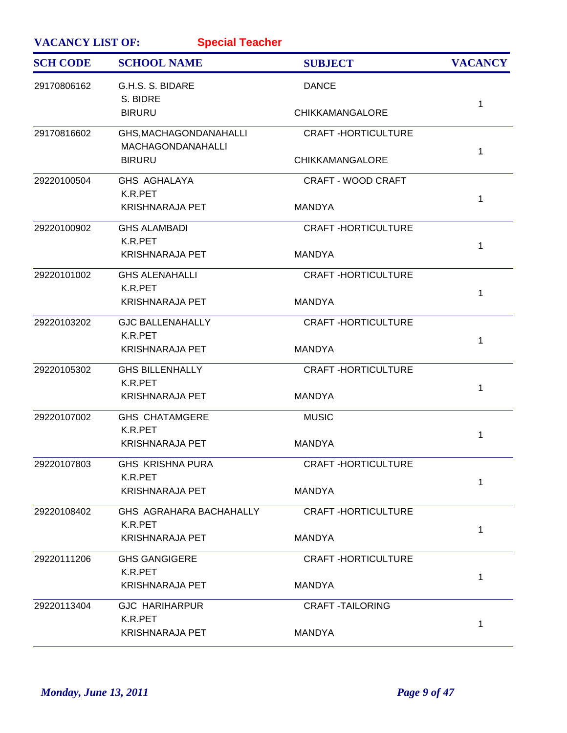| <b>Special Teacher</b><br><b>VACANCY LIST OF:</b> |                                                    |                           |                |
|---------------------------------------------------|----------------------------------------------------|---------------------------|----------------|
| <b>SCH CODE</b>                                   | <b>SCHOOL NAME</b>                                 | <b>SUBJECT</b>            | <b>VACANCY</b> |
| 29170806162                                       | G.H.S. S. BIDARE<br>S. BIDRE                       | <b>DANCE</b>              |                |
|                                                   | <b>BIRURU</b>                                      | <b>CHIKKAMANGALORE</b>    | 1              |
| 29170816602                                       | GHS, MACHAGONDANAHALLI<br><b>MACHAGONDANAHALLI</b> | <b>CRAFT-HORTICULTURE</b> | 1              |
|                                                   | <b>BIRURU</b>                                      | <b>CHIKKAMANGALORE</b>    |                |
| 29220100504                                       | GHS AGHALAYA<br>K.R.PET                            | <b>CRAFT - WOOD CRAFT</b> | 1              |
|                                                   | <b>KRISHNARAJA PET</b>                             | <b>MANDYA</b>             |                |
| 29220100902                                       | <b>GHS ALAMBADI</b><br>K.R.PET                     | <b>CRAFT-HORTICULTURE</b> | $\mathbf 1$    |
|                                                   | <b>KRISHNARAJA PET</b>                             | <b>MANDYA</b>             |                |
| 29220101002                                       | <b>GHS ALENAHALLI</b><br>K.R.PET                   | <b>CRAFT-HORTICULTURE</b> | 1              |
|                                                   | <b>KRISHNARAJA PET</b>                             | <b>MANDYA</b>             |                |
| 29220103202                                       | <b>GJC BALLENAHALLY</b><br>K.R.PET                 | <b>CRAFT-HORTICULTURE</b> | 1              |
|                                                   | <b>KRISHNARAJA PET</b>                             | <b>MANDYA</b>             |                |
| 29220105302                                       | <b>GHS BILLENHALLY</b><br>K.R.PET                  | <b>CRAFT-HORTICULTURE</b> | 1              |
|                                                   | <b>KRISHNARAJA PET</b>                             | <b>MANDYA</b>             |                |
| 29220107002                                       | <b>GHS CHATAMGERE</b><br>K.R.PET                   | <b>MUSIC</b>              | 1              |
|                                                   | <b>KRISHNARAJA PET</b>                             | <b>MANDYA</b>             |                |
| 29220107803                                       | GHS KRISHNA PURA<br>K.R.PET                        | <b>CRAFT-HORTICULTURE</b> | 1              |
|                                                   | <b>KRISHNARAJA PET</b>                             | <b>MANDYA</b>             |                |
| 29220108402                                       | GHS AGRAHARA BACHAHALLY<br>K.R.PET                 | <b>CRAFT-HORTICULTURE</b> | 1              |
|                                                   | KRISHNARAJA PET                                    | <b>MANDYA</b>             |                |
| 29220111206                                       | <b>GHS GANGIGERE</b><br>K.R.PET                    | <b>CRAFT-HORTICULTURE</b> | 1              |
|                                                   | KRISHNARAJA PET                                    | <b>MANDYA</b>             |                |
| 29220113404                                       | <b>GJC HARIHARPUR</b><br>K.R.PET                   | <b>CRAFT-TAILORING</b>    |                |
|                                                   | <b>KRISHNARAJA PET</b>                             | <b>MANDYA</b>             | 1              |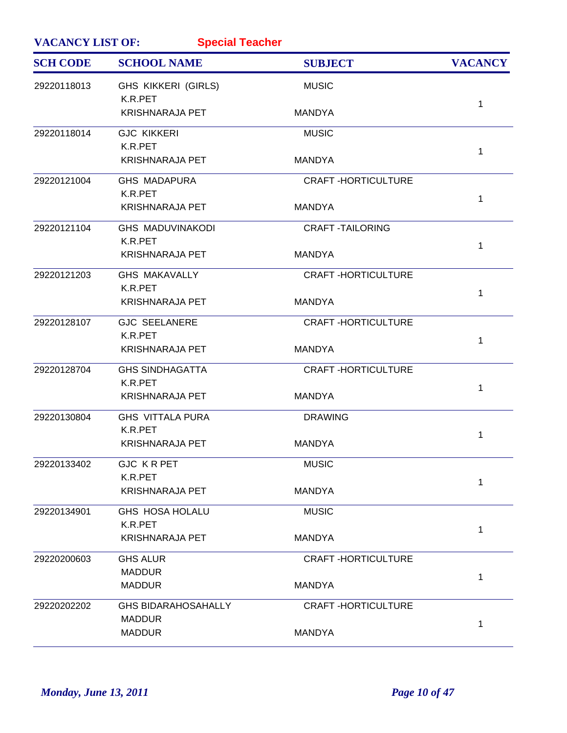| <b>VACANCY LIST OF:</b><br><b>Special Teacher</b> |                                             |                           |                |
|---------------------------------------------------|---------------------------------------------|---------------------------|----------------|
| <b>SCH CODE</b>                                   | <b>SCHOOL NAME</b>                          | <b>SUBJECT</b>            | <b>VACANCY</b> |
| 29220118013                                       | <b>GHS KIKKERI (GIRLS)</b><br>K.R.PET       | <b>MUSIC</b>              |                |
|                                                   | <b>KRISHNARAJA PET</b>                      | <b>MANDYA</b>             | 1              |
| 29220118014                                       | <b>GJC KIKKERI</b><br>K.R.PET               | <b>MUSIC</b>              | 1              |
|                                                   | <b>KRISHNARAJA PET</b>                      | <b>MANDYA</b>             |                |
| 29220121004                                       | <b>GHS MADAPURA</b><br>K.R.PET              | <b>CRAFT-HORTICULTURE</b> | 1              |
|                                                   | <b>KRISHNARAJA PET</b>                      | <b>MANDYA</b>             |                |
| 29220121104                                       | <b>GHS MADUVINAKODI</b><br>K.R.PET          | <b>CRAFT -TAILORING</b>   | 1              |
|                                                   | <b>KRISHNARAJA PET</b>                      | <b>MANDYA</b>             |                |
| 29220121203                                       | <b>GHS MAKAVALLY</b><br>K.R.PET             | <b>CRAFT-HORTICULTURE</b> | 1              |
|                                                   | <b>KRISHNARAJA PET</b>                      | <b>MANDYA</b>             |                |
| 29220128107                                       | <b>GJC SEELANERE</b><br>K.R.PET             | <b>CRAFT-HORTICULTURE</b> | 1              |
|                                                   | <b>KRISHNARAJA PET</b>                      | <b>MANDYA</b>             |                |
| 29220128704                                       | <b>GHS SINDHAGATTA</b><br>K.R.PET           | <b>CRAFT-HORTICULTURE</b> | 1              |
|                                                   | <b>KRISHNARAJA PET</b>                      | <b>MANDYA</b>             |                |
| 29220130804                                       | <b>GHS VITTALA PURA</b><br>K.R.PET          | <b>DRAWING</b>            | 1              |
|                                                   | <b>KRISHNARAJA PET</b>                      | <b>MANDYA</b>             |                |
| 29220133402                                       | <b>GJC KRPET</b><br>K.R.PET                 | <b>MUSIC</b>              | 1              |
|                                                   | <b>KRISHNARAJA PET</b>                      | <b>MANDYA</b>             |                |
| 29220134901                                       | <b>GHS HOSA HOLALU</b><br>K.R.PET           | <b>MUSIC</b>              | 1              |
|                                                   | <b>KRISHNARAJA PET</b>                      | <b>MANDYA</b>             |                |
| 29220200603                                       | <b>GHS ALUR</b><br><b>MADDUR</b>            | <b>CRAFT-HORTICULTURE</b> |                |
|                                                   | <b>MADDUR</b>                               | <b>MANDYA</b>             | 1              |
| 29220202202                                       | <b>GHS BIDARAHOSAHALLY</b><br><b>MADDUR</b> | <b>CRAFT-HORTICULTURE</b> |                |
|                                                   | <b>MADDUR</b>                               | <b>MANDYA</b>             | 1              |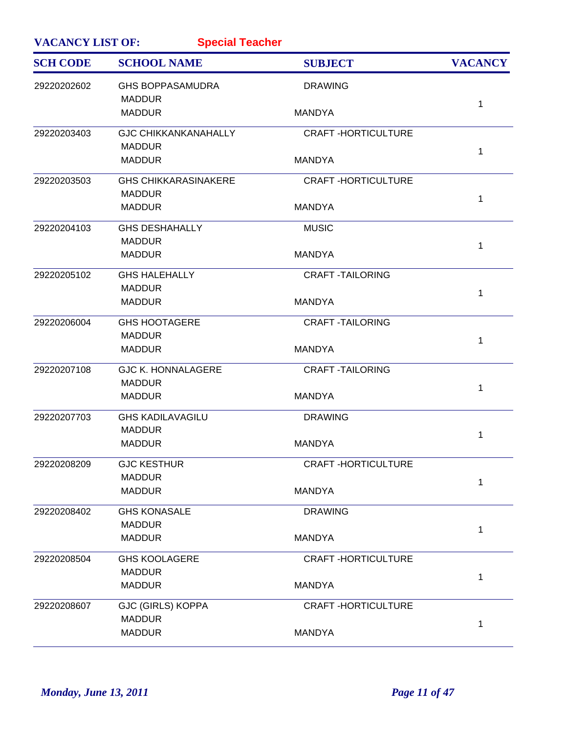| <b>VACANCY LIST OF:</b><br><b>Special Teacher</b> |                                          |                           |                |  |
|---------------------------------------------------|------------------------------------------|---------------------------|----------------|--|
| <b>SCH CODE</b>                                   | <b>SCHOOL NAME</b>                       | <b>SUBJECT</b>            | <b>VACANCY</b> |  |
| 29220202602                                       | <b>GHS BOPPASAMUDRA</b><br><b>MADDUR</b> | <b>DRAWING</b>            |                |  |
|                                                   | <b>MADDUR</b>                            | <b>MANDYA</b>             | 1              |  |
| 29220203403                                       | <b>GJC CHIKKANKANAHALLY</b>              | <b>CRAFT-HORTICULTURE</b> |                |  |
|                                                   | <b>MADDUR</b><br><b>MADDUR</b>           | <b>MANDYA</b>             | 1              |  |
| 29220203503                                       | <b>GHS CHIKKARASINAKERE</b>              | <b>CRAFT-HORTICULTURE</b> |                |  |
|                                                   | <b>MADDUR</b><br><b>MADDUR</b>           | <b>MANDYA</b>             | 1              |  |
| 29220204103                                       | <b>GHS DESHAHALLY</b><br><b>MADDUR</b>   | <b>MUSIC</b>              |                |  |
|                                                   | <b>MADDUR</b>                            | <b>MANDYA</b>             | 1              |  |
| 29220205102                                       | <b>GHS HALEHALLY</b>                     | <b>CRAFT -TAILORING</b>   |                |  |
|                                                   | <b>MADDUR</b><br><b>MADDUR</b>           | <b>MANDYA</b>             | 1              |  |
| 29220206004                                       | <b>GHS HOOTAGERE</b>                     | <b>CRAFT -TAILORING</b>   |                |  |
|                                                   | <b>MADDUR</b><br><b>MADDUR</b>           | <b>MANDYA</b>             | 1              |  |
| 29220207108                                       | <b>GJC K. HONNALAGERE</b>                | <b>CRAFT -TAILORING</b>   |                |  |
|                                                   | <b>MADDUR</b><br><b>MADDUR</b>           | <b>MANDYA</b>             | 1              |  |
| 29220207703                                       | <b>GHS KADILAVAGILU</b>                  | <b>DRAWING</b>            |                |  |
|                                                   | <b>MADDUR</b><br><b>MADDUR</b>           | <b>MANDYA</b>             | 1              |  |
| 29220208209                                       | <b>GJC KESTHUR</b>                       | <b>CRAFT-HORTICULTURE</b> |                |  |
|                                                   | <b>MADDUR</b><br><b>MADDUR</b>           | <b>MANDYA</b>             | 1              |  |
| 29220208402                                       | <b>GHS KONASALE</b>                      | <b>DRAWING</b>            |                |  |
|                                                   | <b>MADDUR</b><br><b>MADDUR</b>           | <b>MANDYA</b>             | 1              |  |
| 29220208504                                       | <b>GHS KOOLAGERE</b>                     | <b>CRAFT-HORTICULTURE</b> |                |  |
|                                                   | <b>MADDUR</b><br><b>MADDUR</b>           | <b>MANDYA</b>             | 1              |  |
| 29220208607                                       | <b>GJC (GIRLS) KOPPA</b>                 | <b>CRAFT-HORTICULTURE</b> |                |  |
|                                                   | <b>MADDUR</b><br><b>MADDUR</b>           | <b>MANDYA</b>             | 1              |  |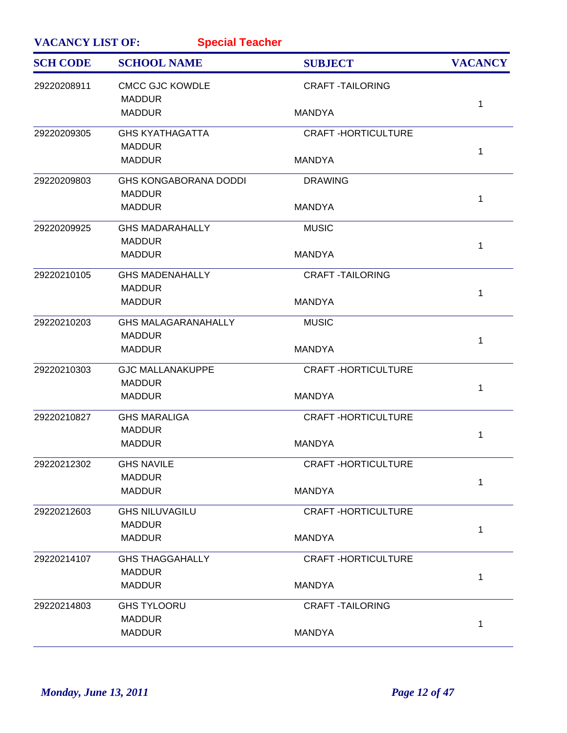| <b>VACANCY LIST OF:</b><br><b>Special Teacher</b> |                                         |                           |                |
|---------------------------------------------------|-----------------------------------------|---------------------------|----------------|
| <b>SCH CODE</b>                                   | <b>SCHOOL NAME</b>                      | <b>SUBJECT</b>            | <b>VACANCY</b> |
| 29220208911                                       | <b>CMCC GJC KOWDLE</b><br><b>MADDUR</b> | <b>CRAFT-TAILORING</b>    |                |
|                                                   | <b>MADDUR</b>                           | <b>MANDYA</b>             | 1              |
| 29220209305                                       | <b>GHS KYATHAGATTA</b>                  | <b>CRAFT-HORTICULTURE</b> |                |
|                                                   | <b>MADDUR</b><br><b>MADDUR</b>          | <b>MANDYA</b>             | 1              |
| 29220209803                                       | <b>GHS KONGABORANA DODDI</b>            | <b>DRAWING</b>            |                |
|                                                   | <b>MADDUR</b>                           |                           | 1              |
|                                                   | <b>MADDUR</b>                           | <b>MANDYA</b>             |                |
| 29220209925                                       | <b>GHS MADARAHALLY</b><br><b>MADDUR</b> | <b>MUSIC</b>              |                |
|                                                   | <b>MADDUR</b>                           | <b>MANDYA</b>             | $\mathbf{1}$   |
| 29220210105                                       | <b>GHS MADENAHALLY</b>                  | <b>CRAFT -TAILORING</b>   |                |
|                                                   | <b>MADDUR</b>                           |                           | 1              |
|                                                   | <b>MADDUR</b>                           | <b>MANDYA</b>             |                |
| 29220210203                                       | <b>GHS MALAGARANAHALLY</b>              | <b>MUSIC</b>              |                |
|                                                   | <b>MADDUR</b>                           |                           | 1              |
|                                                   | <b>MADDUR</b>                           | <b>MANDYA</b>             |                |
| 29220210303                                       | <b>GJC MALLANAKUPPE</b>                 | <b>CRAFT-HORTICULTURE</b> |                |
|                                                   | <b>MADDUR</b><br><b>MADDUR</b>          | <b>MANDYA</b>             | 1              |
|                                                   |                                         |                           |                |
| 29220210827                                       | <b>GHS MARALIGA</b>                     | <b>CRAFT-HORTICULTURE</b> |                |
|                                                   | <b>MADDUR</b><br><b>MADDUR</b>          | <b>MANDYA</b>             | 1              |
|                                                   |                                         |                           |                |
| 29220212302                                       | <b>GHS NAVILE</b>                       | <b>CRAFT-HORTICULTURE</b> |                |
|                                                   | <b>MADDUR</b><br><b>MADDUR</b>          | <b>MANDYA</b>             | 1              |
|                                                   |                                         |                           |                |
| 29220212603                                       | <b>GHS NILUVAGILU</b><br><b>MADDUR</b>  | <b>CRAFT-HORTICULTURE</b> |                |
|                                                   | <b>MADDUR</b>                           | <b>MANDYA</b>             | 1              |
|                                                   |                                         |                           |                |
| 29220214107                                       | <b>GHS THAGGAHALLY</b><br><b>MADDUR</b> | <b>CRAFT-HORTICULTURE</b> |                |
|                                                   | <b>MADDUR</b>                           | <b>MANDYA</b>             | 1              |
|                                                   |                                         |                           |                |
| 29220214803                                       | <b>GHS TYLOORU</b><br><b>MADDUR</b>     | <b>CRAFT-TAILORING</b>    |                |
|                                                   | <b>MADDUR</b>                           | <b>MANDYA</b>             | 1              |
|                                                   |                                         |                           |                |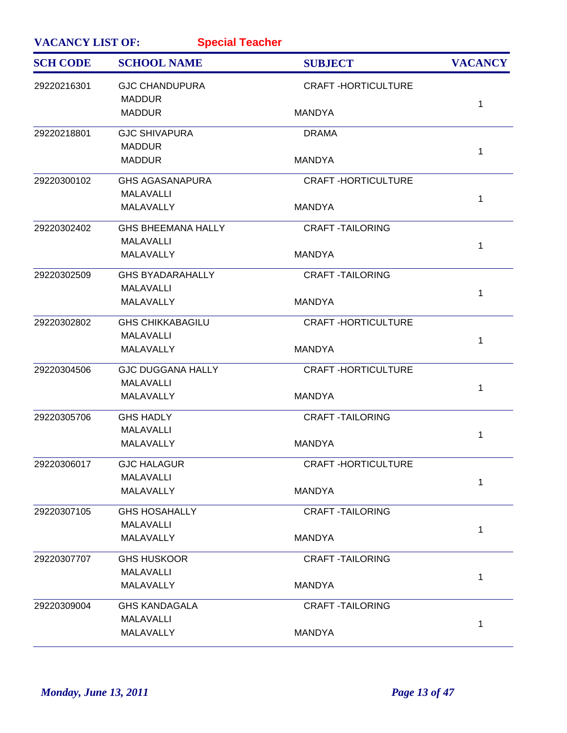| <b>VACANCY LIST OF:</b><br><b>Special Teacher</b> |                                              |                           |                |
|---------------------------------------------------|----------------------------------------------|---------------------------|----------------|
| <b>SCH CODE</b>                                   | <b>SCHOOL NAME</b>                           | <b>SUBJECT</b>            | <b>VACANCY</b> |
| 29220216301                                       | <b>GJC CHANDUPURA</b><br><b>MADDUR</b>       | <b>CRAFT-HORTICULTURE</b> |                |
|                                                   | <b>MADDUR</b>                                | <b>MANDYA</b>             | 1              |
| 29220218801                                       | <b>GJC SHIVAPURA</b><br><b>MADDUR</b>        | <b>DRAMA</b>              |                |
|                                                   | <b>MADDUR</b>                                | <b>MANDYA</b>             | 1              |
| 29220300102                                       | <b>GHS AGASANAPURA</b>                       | <b>CRAFT-HORTICULTURE</b> |                |
|                                                   | <b>MALAVALLI</b><br>MALAVALLY                | <b>MANDYA</b>             | 1              |
| 29220302402                                       | <b>GHS BHEEMANA HALLY</b>                    | <b>CRAFT -TAILORING</b>   |                |
|                                                   | <b>MALAVALLI</b>                             |                           | 1              |
|                                                   | MALAVALLY                                    | <b>MANDYA</b>             |                |
| 29220302509                                       | <b>GHS BYADARAHALLY</b>                      | <b>CRAFT-TAILORING</b>    |                |
|                                                   | <b>MALAVALLI</b><br>MALAVALLY                | <b>MANDYA</b>             | 1              |
| 29220302802                                       | <b>GHS CHIKKABAGILU</b>                      | <b>CRAFT-HORTICULTURE</b> |                |
|                                                   | <b>MALAVALLI</b>                             |                           | 1              |
|                                                   | MALAVALLY                                    | <b>MANDYA</b>             |                |
| 29220304506                                       | <b>GJC DUGGANA HALLY</b><br><b>MALAVALLI</b> | <b>CRAFT-HORTICULTURE</b> |                |
|                                                   | MALAVALLY                                    | <b>MANDYA</b>             | 1              |
| 29220305706                                       | <b>GHS HADLY</b>                             | <b>CRAFT -TAILORING</b>   |                |
|                                                   | <b>MALAVALLI</b>                             |                           | 1              |
|                                                   | MALAVALLY                                    | <b>MANDYA</b>             |                |
| 29220306017                                       | <b>GJC HALAGUR</b>                           | <b>CRAFT-HORTICULTURE</b> |                |
|                                                   | <b>MALAVALLI</b>                             |                           | $\mathbf{1}$   |
|                                                   | MALAVALLY                                    | <b>MANDYA</b>             |                |
| 29220307105                                       | <b>GHS HOSAHALLY</b>                         | <b>CRAFT-TAILORING</b>    |                |
|                                                   | <b>MALAVALLI</b>                             |                           | 1              |
|                                                   | MALAVALLY                                    | <b>MANDYA</b>             |                |
| 29220307707                                       | <b>GHS HUSKOOR</b>                           | <b>CRAFT-TAILORING</b>    |                |
|                                                   | <b>MALAVALLI</b>                             |                           | 1              |
|                                                   | MALAVALLY                                    | <b>MANDYA</b>             |                |
| 29220309004                                       | <b>GHS KANDAGALA</b>                         | <b>CRAFT-TAILORING</b>    |                |
|                                                   | <b>MALAVALLI</b>                             |                           | 1              |
|                                                   | MALAVALLY                                    | <b>MANDYA</b>             |                |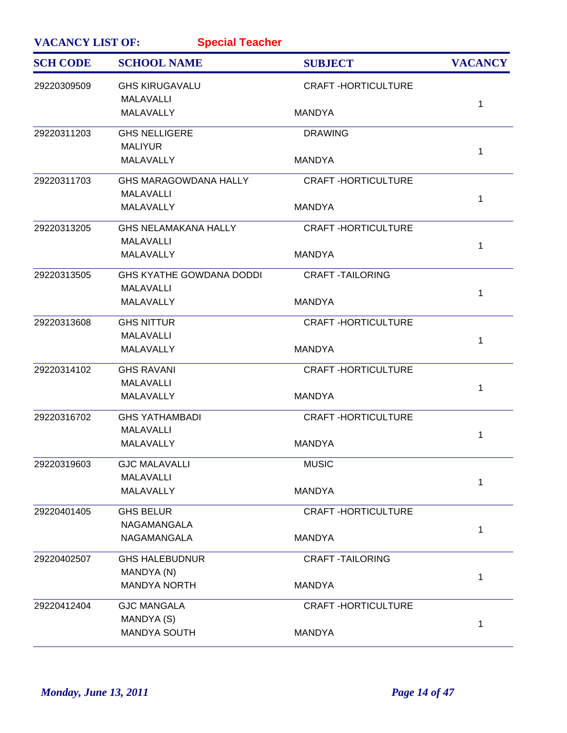| <b>VACANCY LIST OF:</b> | <b>Special Teacher</b>                    |                           |                |
|-------------------------|-------------------------------------------|---------------------------|----------------|
| <b>SCH CODE</b>         | <b>SCHOOL NAME</b>                        | <b>SUBJECT</b>            | <b>VACANCY</b> |
| 29220309509             | <b>GHS KIRUGAVALU</b><br><b>MALAVALLI</b> | <b>CRAFT-HORTICULTURE</b> |                |
|                         | MALAVALLY                                 | <b>MANDYA</b>             | 1              |
| 29220311203             | <b>GHS NELLIGERE</b>                      | <b>DRAWING</b>            |                |
|                         | <b>MALIYUR</b><br>MALAVALLY               | <b>MANDYA</b>             | 1              |
| 29220311703             | <b>GHS MARAGOWDANA HALLY</b>              | <b>CRAFT-HORTICULTURE</b> |                |
|                         | <b>MALAVALLI</b>                          |                           |                |
|                         | MALAVALLY                                 | <b>MANDYA</b>             | 1              |
| 29220313205             | <b>GHS NELAMAKANA HALLY</b>               | <b>CRAFT-HORTICULTURE</b> |                |
|                         | <b>MALAVALLI</b><br>MALAVALLY             | <b>MANDYA</b>             | 1              |
| 29220313505             | <b>GHS KYATHE GOWDANA DODDI</b>           | <b>CRAFT-TAILORING</b>    |                |
|                         | <b>MALAVALLI</b>                          |                           |                |
|                         | <b>MALAVALLY</b>                          | <b>MANDYA</b>             | 1              |
| 29220313608             | <b>GHS NITTUR</b>                         | <b>CRAFT-HORTICULTURE</b> |                |
|                         | <b>MALAVALLI</b>                          |                           | 1              |
|                         | MALAVALLY                                 | <b>MANDYA</b>             |                |
| 29220314102             | <b>GHS RAVANI</b>                         | <b>CRAFT-HORTICULTURE</b> |                |
|                         | <b>MALAVALLI</b>                          |                           | 1              |
|                         | MALAVALLY                                 | <b>MANDYA</b>             |                |
| 29220316702             | <b>GHS YATHAMBADI</b>                     | <b>CRAFT-HORTICULTURE</b> |                |
|                         | <b>MALAVALLI</b>                          |                           | 1              |
|                         | MALAVALLY                                 | <b>MANDYA</b>             |                |
| 29220319603             | <b>GJC MALAVALLI</b>                      | <b>MUSIC</b>              |                |
|                         | <b>MALAVALLI</b>                          |                           | 1              |
|                         | MALAVALLY                                 | <b>MANDYA</b>             |                |
| 29220401405             | <b>GHS BELUR</b>                          | <b>CRAFT-HORTICULTURE</b> |                |
|                         | NAGAMANGALA                               |                           | 1              |
|                         | NAGAMANGALA                               | <b>MANDYA</b>             |                |
| 29220402507             | <b>GHS HALEBUDNUR</b>                     | <b>CRAFT -TAILORING</b>   |                |
|                         | MANDYA (N)                                |                           | 1              |
|                         | <b>MANDYA NORTH</b>                       | <b>MANDYA</b>             |                |
| 29220412404             | <b>GJC MANGALA</b>                        | <b>CRAFT-HORTICULTURE</b> |                |
|                         | MANDYA (S)                                |                           | 1              |
|                         | <b>MANDYA SOUTH</b>                       | <b>MANDYA</b>             |                |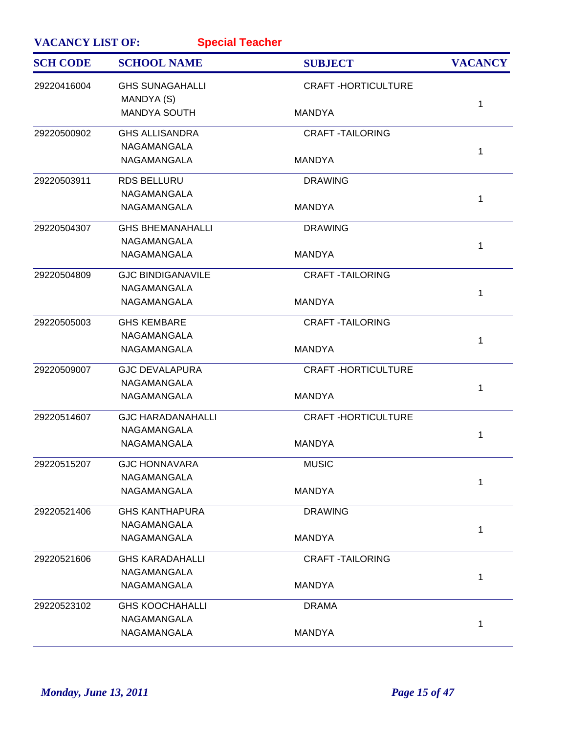| <b>VACANCY LIST OF:</b><br><b>Special Teacher</b> |                                      |                           |                |
|---------------------------------------------------|--------------------------------------|---------------------------|----------------|
| <b>SCH CODE</b>                                   | <b>SCHOOL NAME</b>                   | <b>SUBJECT</b>            | <b>VACANCY</b> |
| 29220416004                                       | <b>GHS SUNAGAHALLI</b><br>MANDYA (S) | <b>CRAFT-HORTICULTURE</b> |                |
|                                                   | <b>MANDYA SOUTH</b>                  | <b>MANDYA</b>             | 1              |
| 29220500902                                       | <b>GHS ALLISANDRA</b>                | <b>CRAFT-TAILORING</b>    |                |
|                                                   | NAGAMANGALA                          |                           | 1              |
|                                                   | NAGAMANGALA                          | <b>MANDYA</b>             |                |
| 29220503911                                       | <b>RDS BELLURU</b>                   | <b>DRAWING</b>            |                |
|                                                   | NAGAMANGALA                          |                           | 1              |
|                                                   | NAGAMANGALA                          | <b>MANDYA</b>             |                |
| 29220504307                                       | <b>GHS BHEMANAHALLI</b>              | <b>DRAWING</b>            |                |
|                                                   | NAGAMANGALA                          |                           | 1              |
|                                                   | NAGAMANGALA                          | <b>MANDYA</b>             |                |
| 29220504809                                       | <b>GJC BINDIGANAVILE</b>             | <b>CRAFT -TAILORING</b>   |                |
|                                                   | NAGAMANGALA                          |                           | 1              |
|                                                   | <b>NAGAMANGALA</b>                   | <b>MANDYA</b>             |                |
| 29220505003                                       | <b>GHS KEMBARE</b>                   | <b>CRAFT-TAILORING</b>    |                |
|                                                   | NAGAMANGALA                          |                           | 1              |
|                                                   | NAGAMANGALA                          | <b>MANDYA</b>             |                |
| 29220509007                                       | <b>GJC DEVALAPURA</b>                | <b>CRAFT-HORTICULTURE</b> |                |
|                                                   | NAGAMANGALA                          |                           | 1              |
|                                                   | NAGAMANGALA                          | <b>MANDYA</b>             |                |
| 29220514607                                       | <b>GJC HARADANAHALLI</b>             | <b>CRAFT-HORTICULTURE</b> |                |
|                                                   | NAGAMANGALA                          |                           | 1              |
|                                                   | NAGAMANGALA                          | <b>MANDYA</b>             |                |
| 29220515207                                       | <b>GJC HONNAVARA</b>                 | <b>MUSIC</b>              |                |
|                                                   | NAGAMANGALA                          |                           | 1              |
|                                                   | NAGAMANGALA                          | <b>MANDYA</b>             |                |
| 29220521406                                       | <b>GHS KANTHAPURA</b>                | <b>DRAWING</b>            |                |
|                                                   | NAGAMANGALA                          |                           | 1              |
|                                                   | NAGAMANGALA                          | <b>MANDYA</b>             |                |
| 29220521606                                       | <b>GHS KARADAHALLI</b>               | <b>CRAFT -TAILORING</b>   |                |
|                                                   | NAGAMANGALA                          |                           | 1              |
|                                                   | NAGAMANGALA                          | <b>MANDYA</b>             |                |
| 29220523102                                       | <b>GHS KOOCHAHALLI</b>               | <b>DRAMA</b>              |                |
|                                                   | NAGAMANGALA                          |                           | 1              |
|                                                   | NAGAMANGALA                          | <b>MANDYA</b>             |                |
|                                                   |                                      |                           |                |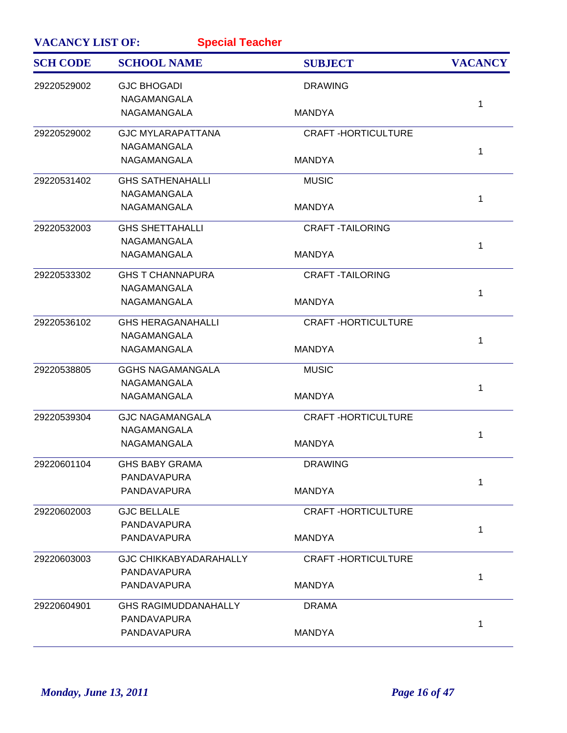| <b>VACANCY LIST OF:</b><br><b>Special Teacher</b> |                               |                           |                |
|---------------------------------------------------|-------------------------------|---------------------------|----------------|
| <b>SCH CODE</b>                                   | <b>SCHOOL NAME</b>            | <b>SUBJECT</b>            | <b>VACANCY</b> |
| 29220529002                                       | <b>GJC BHOGADI</b>            | <b>DRAWING</b>            |                |
|                                                   | NAGAMANGALA                   |                           | $\mathbf 1$    |
|                                                   | NAGAMANGALA                   | <b>MANDYA</b>             |                |
| 29220529002                                       | <b>GJC MYLARAPATTANA</b>      | <b>CRAFT-HORTICULTURE</b> |                |
|                                                   | NAGAMANGALA                   |                           | 1              |
|                                                   | NAGAMANGALA                   | <b>MANDYA</b>             |                |
| 29220531402                                       | <b>GHS SATHENAHALLI</b>       | <b>MUSIC</b>              |                |
|                                                   | NAGAMANGALA                   |                           | 1              |
|                                                   | NAGAMANGALA                   | <b>MANDYA</b>             |                |
| 29220532003                                       | <b>GHS SHETTAHALLI</b>        | <b>CRAFT-TAILORING</b>    |                |
|                                                   | <b>NAGAMANGALA</b>            |                           | 1              |
|                                                   | NAGAMANGALA                   | <b>MANDYA</b>             |                |
| 29220533302                                       | <b>GHS T CHANNAPURA</b>       | <b>CRAFT-TAILORING</b>    |                |
|                                                   | NAGAMANGALA                   |                           | 1              |
|                                                   | NAGAMANGALA                   | <b>MANDYA</b>             |                |
| 29220536102                                       | <b>GHS HERAGANAHALLI</b>      | <b>CRAFT-HORTICULTURE</b> |                |
|                                                   | NAGAMANGALA                   |                           | 1              |
|                                                   | NAGAMANGALA                   | <b>MANDYA</b>             |                |
| 29220538805                                       | <b>GGHS NAGAMANGALA</b>       | <b>MUSIC</b>              |                |
|                                                   | NAGAMANGALA                   |                           | 1              |
|                                                   | NAGAMANGALA                   | <b>MANDYA</b>             |                |
| 29220539304                                       | <b>GJC NAGAMANGALA</b>        | <b>CRAFT-HORTICULTURE</b> |                |
|                                                   | NAGAMANGALA                   |                           | 1              |
|                                                   | NAGAMANGALA                   | <b>MANDYA</b>             |                |
| 29220601104                                       | <b>GHS BABY GRAMA</b>         | <b>DRAWING</b>            |                |
|                                                   | PANDAVAPURA                   |                           | 1              |
|                                                   | PANDAVAPURA                   | <b>MANDYA</b>             |                |
| 29220602003                                       | <b>GJC BELLALE</b>            | <b>CRAFT-HORTICULTURE</b> |                |
|                                                   | PANDAVAPURA                   |                           | 1              |
|                                                   | PANDAVAPURA                   | <b>MANDYA</b>             |                |
| 29220603003                                       | <b>GJC CHIKKABYADARAHALLY</b> | <b>CRAFT-HORTICULTURE</b> |                |
|                                                   | PANDAVAPURA                   |                           | 1              |
|                                                   | PANDAVAPURA                   | <b>MANDYA</b>             |                |
| 29220604901                                       | <b>GHS RAGIMUDDANAHALLY</b>   | <b>DRAMA</b>              |                |
|                                                   | PANDAVAPURA                   |                           | 1              |
|                                                   | PANDAVAPURA                   | <b>MANDYA</b>             |                |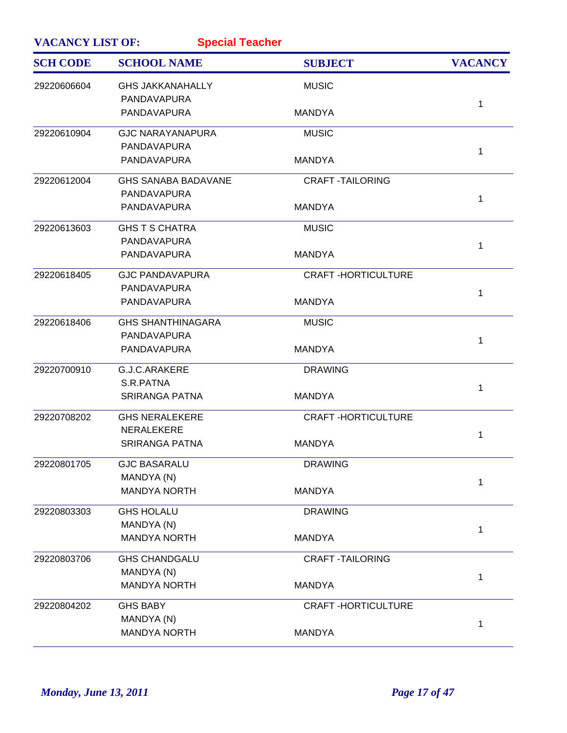| <b>VACANCY LIST OF:</b><br><b>Special Teacher</b> |                            |                           |                |
|---------------------------------------------------|----------------------------|---------------------------|----------------|
| <b>SCH CODE</b>                                   | <b>SCHOOL NAME</b>         | <b>SUBJECT</b>            | <b>VACANCY</b> |
| 29220606604                                       | <b>GHS JAKKANAHALLY</b>    | <b>MUSIC</b>              |                |
|                                                   | PANDAVAPURA                |                           | 1              |
|                                                   | PANDAVAPURA                | <b>MANDYA</b>             |                |
| 29220610904                                       | <b>GJC NARAYANAPURA</b>    | <b>MUSIC</b>              |                |
|                                                   | PANDAVAPURA                |                           | 1              |
|                                                   | PANDAVAPURA                | <b>MANDYA</b>             |                |
| 29220612004                                       | <b>GHS SANABA BADAVANE</b> | <b>CRAFT-TAILORING</b>    |                |
|                                                   | PANDAVAPURA                |                           | 1              |
|                                                   | PANDAVAPURA                | <b>MANDYA</b>             |                |
| 29220613603                                       | <b>GHS T S CHATRA</b>      | <b>MUSIC</b>              |                |
|                                                   | PANDAVAPURA                |                           | 1              |
|                                                   | <b>PANDAVAPURA</b>         | <b>MANDYA</b>             |                |
| 29220618405                                       | <b>GJC PANDAVAPURA</b>     | <b>CRAFT-HORTICULTURE</b> |                |
|                                                   | PANDAVAPURA                |                           | 1              |
|                                                   | PANDAVAPURA                | <b>MANDYA</b>             |                |
| 29220618406                                       | <b>GHS SHANTHINAGARA</b>   | <b>MUSIC</b>              |                |
|                                                   | PANDAVAPURA                |                           | 1              |
|                                                   | PANDAVAPURA                | <b>MANDYA</b>             |                |
| 29220700910                                       | G.J.C.ARAKERE              | <b>DRAWING</b>            |                |
|                                                   | S.R.PATNA                  |                           | 1              |
|                                                   | <b>SRIRANGA PATNA</b>      | <b>MANDYA</b>             |                |
| 29220708202                                       | <b>GHS NERALEKERE</b>      | <b>CRAFT-HORTICULTURE</b> |                |
|                                                   | <b>NERALEKERE</b>          |                           | 1              |
|                                                   | <b>SRIRANGA PATNA</b>      | <b>MANDYA</b>             |                |
| 29220801705                                       | <b>GJC BASARALU</b>        | <b>DRAWING</b>            |                |
|                                                   | MANDYA (N)                 |                           | 1              |
|                                                   | <b>MANDYA NORTH</b>        | <b>MANDYA</b>             |                |
| 29220803303                                       | <b>GHS HOLALU</b>          | <b>DRAWING</b>            |                |
|                                                   | MANDYA (N)                 |                           | 1              |
|                                                   | <b>MANDYA NORTH</b>        | <b>MANDYA</b>             |                |
| 29220803706                                       | <b>GHS CHANDGALU</b>       | <b>CRAFT-TAILORING</b>    |                |
|                                                   | MANDYA (N)                 |                           | 1              |
|                                                   | <b>MANDYA NORTH</b>        | <b>MANDYA</b>             |                |
| 29220804202                                       | <b>GHS BABY</b>            | <b>CRAFT-HORTICULTURE</b> |                |
|                                                   | MANDYA (N)                 |                           | 1              |
|                                                   | <b>MANDYA NORTH</b>        | <b>MANDYA</b>             |                |
|                                                   |                            |                           |                |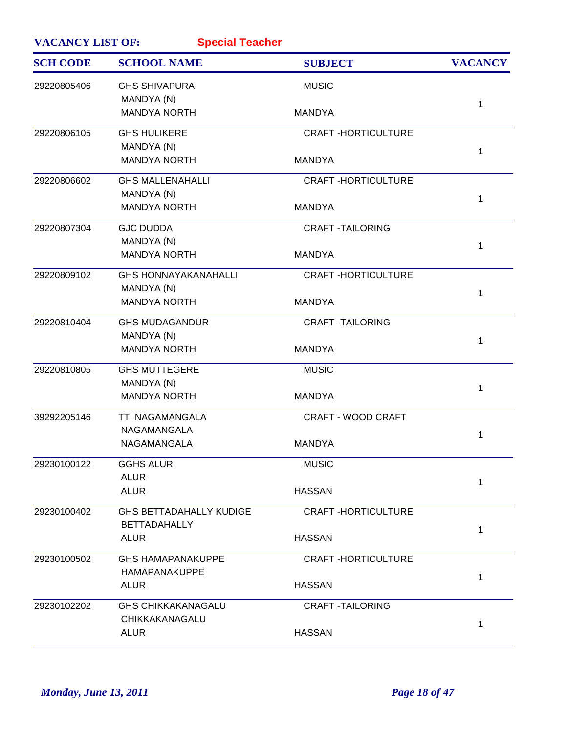| <b>VACANCY LIST OF:</b><br><b>Special Teacher</b> |                                                       |                           |                |
|---------------------------------------------------|-------------------------------------------------------|---------------------------|----------------|
| <b>SCH CODE</b>                                   | <b>SCHOOL NAME</b>                                    | <b>SUBJECT</b>            | <b>VACANCY</b> |
| 29220805406                                       | <b>GHS SHIVAPURA</b><br>MANDYA (N)                    | <b>MUSIC</b>              |                |
|                                                   | <b>MANDYA NORTH</b>                                   | <b>MANDYA</b>             | 1              |
| 29220806105                                       | <b>GHS HULIKERE</b>                                   | <b>CRAFT-HORTICULTURE</b> |                |
|                                                   | MANDYA (N)<br><b>MANDYA NORTH</b>                     | <b>MANDYA</b>             | $\mathbf 1$    |
| 29220806602                                       | <b>GHS MALLENAHALLI</b>                               | <b>CRAFT-HORTICULTURE</b> |                |
|                                                   | MANDYA (N)<br><b>MANDYA NORTH</b>                     | <b>MANDYA</b>             | 1              |
| 29220807304                                       | <b>GJC DUDDA</b>                                      | <b>CRAFT -TAILORING</b>   |                |
|                                                   | MANDYA (N)<br><b>MANDYA NORTH</b>                     | <b>MANDYA</b>             | $\mathbf{1}$   |
| 29220809102                                       | <b>GHS HONNAYAKANAHALLI</b><br>MANDYA (N)             | <b>CRAFT-HORTICULTURE</b> |                |
|                                                   | <b>MANDYA NORTH</b>                                   | <b>MANDYA</b>             | 1              |
| 29220810404                                       | <b>GHS MUDAGANDUR</b>                                 | <b>CRAFT -TAILORING</b>   |                |
|                                                   | MANDYA (N)<br><b>MANDYA NORTH</b>                     | <b>MANDYA</b>             | $\mathbf 1$    |
| 29220810805                                       | <b>GHS MUTTEGERE</b><br>MANDYA (N)                    | <b>MUSIC</b>              |                |
|                                                   | <b>MANDYA NORTH</b>                                   | <b>MANDYA</b>             | 1              |
| 39292205146                                       | <b>TTI NAGAMANGALA</b><br>NAGAMANGALA                 | <b>CRAFT - WOOD CRAFT</b> |                |
|                                                   | <b>NAGAMANGALA</b>                                    | <b>MANDYA</b>             | 1              |
| 29230100122                                       | <b>GGHS ALUR</b>                                      | <b>MUSIC</b>              |                |
|                                                   | <b>ALUR</b><br><b>ALUR</b>                            | <b>HASSAN</b>             | 1              |
| 29230100402                                       | <b>GHS BETTADAHALLY KUDIGE</b><br><b>BETTADAHALLY</b> | <b>CRAFT-HORTICULTURE</b> |                |
|                                                   | ALUR                                                  | <b>HASSAN</b>             | 1              |
| 29230100502                                       | <b>GHS HAMAPANAKUPPE</b>                              | <b>CRAFT-HORTICULTURE</b> |                |
|                                                   | <b>HAMAPANAKUPPE</b><br><b>ALUR</b>                   | <b>HASSAN</b>             | 1              |
| 29230102202                                       | <b>GHS CHIKKAKANAGALU</b><br>CHIKKAKANAGALU           | <b>CRAFT-TAILORING</b>    |                |
|                                                   | <b>ALUR</b>                                           | <b>HASSAN</b>             | $\mathbf 1$    |
|                                                   |                                                       |                           |                |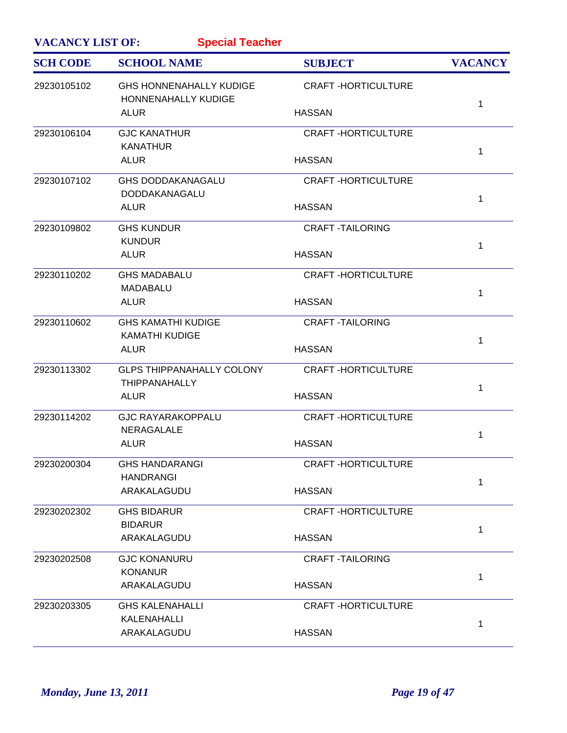| <b>VACANCY LIST OF:</b> | <b>Special Teacher</b>                                       |                           |                |
|-------------------------|--------------------------------------------------------------|---------------------------|----------------|
| <b>SCH CODE</b>         | <b>SCHOOL NAME</b>                                           | <b>SUBJECT</b>            | <b>VACANCY</b> |
| 29230105102             | <b>GHS HONNENAHALLY KUDIGE</b><br><b>HONNENAHALLY KUDIGE</b> | <b>CRAFT-HORTICULTURE</b> | 1              |
|                         | ALUR                                                         | <b>HASSAN</b>             |                |
| 29230106104             | <b>GJC KANATHUR</b><br><b>KANATHUR</b>                       | <b>CRAFT-HORTICULTURE</b> | 1              |
|                         | <b>ALUR</b>                                                  | <b>HASSAN</b>             |                |
| 29230107102             | <b>GHS DODDAKANAGALU</b><br>DODDAKANAGALU                    | <b>CRAFT-HORTICULTURE</b> | 1              |
|                         | <b>ALUR</b>                                                  | <b>HASSAN</b>             |                |
| 29230109802             | <b>GHS KUNDUR</b><br><b>KUNDUR</b>                           | <b>CRAFT-TAILORING</b>    | 1              |
|                         | <b>ALUR</b>                                                  | <b>HASSAN</b>             |                |
| 29230110202             | <b>GHS MADABALU</b><br><b>MADABALU</b>                       | <b>CRAFT-HORTICULTURE</b> | 1              |
|                         | <b>ALUR</b>                                                  | <b>HASSAN</b>             |                |
| 29230110602             | <b>GHS KAMATHI KUDIGE</b><br><b>KAMATHI KUDIGE</b>           | <b>CRAFT-TAILORING</b>    | 1              |
|                         | <b>ALUR</b>                                                  | <b>HASSAN</b>             |                |
| 29230113302             | <b>GLPS THIPPANAHALLY COLONY</b><br><b>THIPPANAHALLY</b>     | <b>CRAFT-HORTICULTURE</b> | 1              |
|                         | <b>ALUR</b>                                                  | <b>HASSAN</b>             |                |
| 29230114202             | <b>GJC RAYARAKOPPALU</b><br><b>NERAGALALE</b>                | <b>CRAFT-HORTICULTURE</b> | 1              |
|                         | <b>ALUR</b>                                                  | <b>HASSAN</b>             |                |
| 29230200304             | <b>GHS HANDARANGI</b><br><b>HANDRANGI</b>                    | <b>CRAFT-HORTICULTURE</b> | 1              |
|                         | ARAKALAGUDU                                                  | <b>HASSAN</b>             |                |
| 29230202302             | <b>GHS BIDARUR</b><br><b>BIDARUR</b>                         | <b>CRAFT-HORTICULTURE</b> | 1              |
|                         | ARAKALAGUDU                                                  | <b>HASSAN</b>             |                |
| 29230202508             | <b>GJC KONANURU</b><br><b>KONANUR</b>                        | <b>CRAFT-TAILORING</b>    |                |
|                         | ARAKALAGUDU                                                  | <b>HASSAN</b>             | 1              |
| 29230203305             | <b>GHS KALENAHALLI</b><br>KALENAHALLI                        | <b>CRAFT-HORTICULTURE</b> |                |
|                         | ARAKALAGUDU                                                  | <b>HASSAN</b>             | 1              |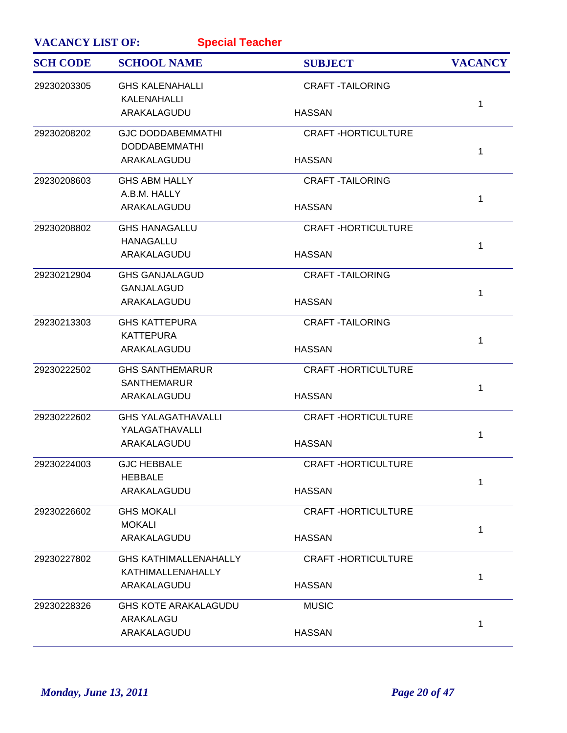| <b>VACANCY LIST OF:</b><br><b>Special Teacher</b> |                                       |                           |                |
|---------------------------------------------------|---------------------------------------|---------------------------|----------------|
| <b>SCH CODE</b>                                   | <b>SCHOOL NAME</b>                    | <b>SUBJECT</b>            | <b>VACANCY</b> |
| 29230203305                                       | <b>GHS KALENAHALLI</b><br>KALENAHALLI | <b>CRAFT-TAILORING</b>    |                |
|                                                   | ARAKALAGUDU                           | <b>HASSAN</b>             | 1              |
| 29230208202                                       | <b>GJC DODDABEMMATHI</b>              | <b>CRAFT-HORTICULTURE</b> |                |
|                                                   | <b>DODDABEMMATHI</b>                  |                           | 1              |
|                                                   | ARAKALAGUDU                           | <b>HASSAN</b>             |                |
| 29230208603                                       | <b>GHS ABM HALLY</b>                  | <b>CRAFT -TAILORING</b>   |                |
|                                                   | A.B.M. HALLY                          |                           | 1              |
|                                                   | ARAKALAGUDU                           | <b>HASSAN</b>             |                |
| 29230208802                                       | <b>GHS HANAGALLU</b>                  | <b>CRAFT-HORTICULTURE</b> |                |
|                                                   | <b>HANAGALLU</b>                      |                           | 1              |
|                                                   | ARAKALAGUDU                           | <b>HASSAN</b>             |                |
| 29230212904                                       | <b>GHS GANJALAGUD</b>                 | <b>CRAFT -TAILORING</b>   |                |
|                                                   | <b>GANJALAGUD</b>                     |                           | 1              |
|                                                   | ARAKALAGUDU                           | <b>HASSAN</b>             |                |
| 29230213303                                       | <b>GHS KATTEPURA</b>                  | <b>CRAFT -TAILORING</b>   |                |
|                                                   | <b>KATTEPURA</b>                      |                           | 1              |
|                                                   | ARAKALAGUDU                           | <b>HASSAN</b>             |                |
| 29230222502                                       | <b>GHS SANTHEMARUR</b>                | <b>CRAFT-HORTICULTURE</b> |                |
|                                                   | <b>SANTHEMARUR</b>                    |                           | 1              |
|                                                   | ARAKALAGUDU                           | <b>HASSAN</b>             |                |
| 29230222602                                       | <b>GHS YALAGATHAVALLI</b>             | <b>CRAFT-HORTICULTURE</b> |                |
|                                                   | YALAGATHAVALLI                        |                           | 1              |
|                                                   | ARAKALAGUDU                           | <b>HASSAN</b>             |                |
| 29230224003                                       | <b>GJC HEBBALE</b>                    | <b>CRAFT-HORTICULTURE</b> |                |
|                                                   | <b>HEBBALE</b>                        |                           | 1              |
|                                                   | ARAKALAGUDU                           | <b>HASSAN</b>             |                |
| 29230226602                                       | <b>GHS MOKALI</b>                     | <b>CRAFT-HORTICULTURE</b> |                |
|                                                   | <b>MOKALI</b>                         |                           | 1              |
|                                                   | ARAKALAGUDU                           | <b>HASSAN</b>             |                |
| 29230227802                                       | <b>GHS KATHIMALLENAHALLY</b>          | <b>CRAFT-HORTICULTURE</b> |                |
|                                                   | KATHIMALLENAHALLY                     |                           | 1              |
|                                                   | ARAKALAGUDU                           | <b>HASSAN</b>             |                |
| 29230228326                                       | <b>GHS KOTE ARAKALAGUDU</b>           | <b>MUSIC</b>              |                |
|                                                   | ARAKALAGU                             |                           | 1              |
|                                                   | ARAKALAGUDU                           | <b>HASSAN</b>             |                |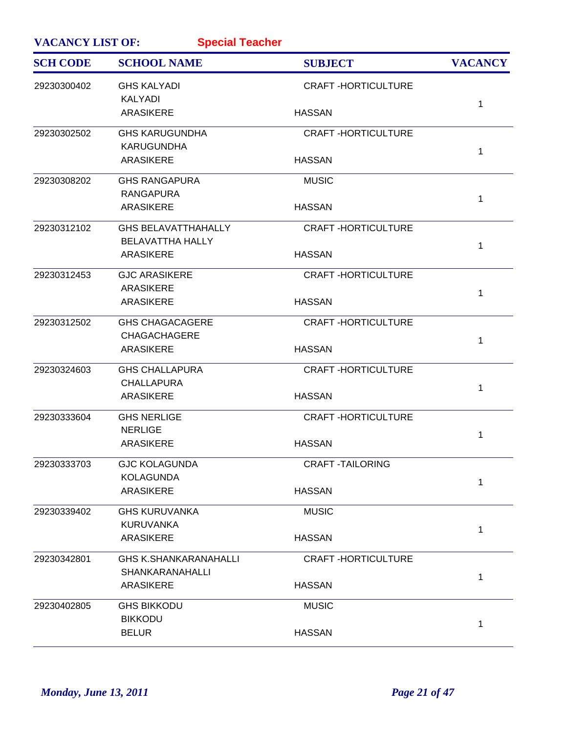| <b>VACANCY LIST OF:</b><br><b>Special Teacher</b> |                                                       |                           |                |
|---------------------------------------------------|-------------------------------------------------------|---------------------------|----------------|
| <b>SCH CODE</b>                                   | <b>SCHOOL NAME</b>                                    | <b>SUBJECT</b>            | <b>VACANCY</b> |
| 29230300402                                       | <b>GHS KALYADI</b><br><b>KALYADI</b>                  | <b>CRAFT-HORTICULTURE</b> |                |
|                                                   | <b>ARASIKERE</b>                                      | <b>HASSAN</b>             | 1              |
| 29230302502                                       | <b>GHS KARUGUNDHA</b><br><b>KARUGUNDHA</b>            | <b>CRAFT-HORTICULTURE</b> |                |
|                                                   | <b>ARASIKERE</b>                                      | <b>HASSAN</b>             | $\mathbf 1$    |
| 29230308202                                       | <b>GHS RANGAPURA</b><br><b>RANGAPURA</b>              | <b>MUSIC</b>              |                |
|                                                   | <b>ARASIKERE</b>                                      | <b>HASSAN</b>             | 1              |
| 29230312102                                       | <b>GHS BELAVATTHAHALLY</b><br><b>BELAVATTHA HALLY</b> | <b>CRAFT-HORTICULTURE</b> |                |
|                                                   | <b>ARASIKERE</b>                                      | <b>HASSAN</b>             | 1              |
| 29230312453                                       | <b>GJC ARASIKERE</b>                                  | <b>CRAFT-HORTICULTURE</b> |                |
|                                                   | <b>ARASIKERE</b><br><b>ARASIKERE</b>                  | <b>HASSAN</b>             | 1              |
| 29230312502                                       | <b>GHS CHAGACAGERE</b>                                | <b>CRAFT-HORTICULTURE</b> |                |
|                                                   | <b>CHAGACHAGERE</b><br><b>ARASIKERE</b>               | <b>HASSAN</b>             | $\mathbf{1}$   |
| 29230324603                                       | <b>GHS CHALLAPURA</b><br><b>CHALLAPURA</b>            | <b>CRAFT-HORTICULTURE</b> |                |
|                                                   | <b>ARASIKERE</b>                                      | <b>HASSAN</b>             | 1              |
| 29230333604                                       | <b>GHS NERLIGE</b>                                    | <b>CRAFT-HORTICULTURE</b> |                |
|                                                   | <b>NERLIGE</b><br><b>ARASIKERE</b>                    | <b>HASSAN</b>             | 1              |
| 29230333703                                       | <b>GJC KOLAGUNDA</b>                                  | <b>CRAFT-TAILORING</b>    |                |
|                                                   | <b>KOLAGUNDA</b><br><b>ARASIKERE</b>                  | <b>HASSAN</b>             | 1              |
| 29230339402                                       | <b>GHS KURUVANKA</b>                                  | <b>MUSIC</b>              |                |
|                                                   | <b>KURUVANKA</b><br><b>ARASIKERE</b>                  | <b>HASSAN</b>             | 1              |
| 29230342801                                       | <b>GHS K.SHANKARANAHALLI</b>                          | <b>CRAFT-HORTICULTURE</b> |                |
|                                                   | <b>SHANKARANAHALLI</b><br><b>ARASIKERE</b>            | <b>HASSAN</b>             | 1              |
| 29230402805                                       | <b>GHS BIKKODU</b>                                    | <b>MUSIC</b>              |                |
|                                                   | <b>BIKKODU</b><br><b>BELUR</b>                        | <b>HASSAN</b>             | 1              |
|                                                   |                                                       |                           |                |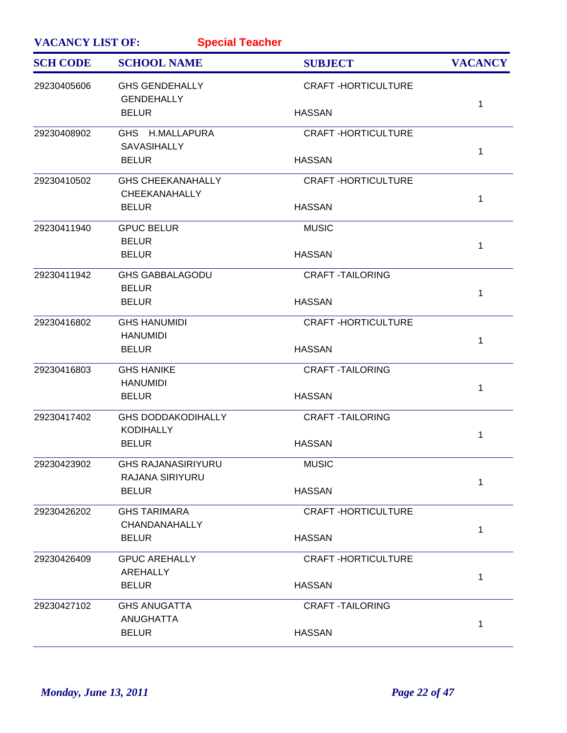| <b>VACANCY LIST OF:</b><br><b>Special Teacher</b> |                                               |                           |                |
|---------------------------------------------------|-----------------------------------------------|---------------------------|----------------|
| <b>SCH CODE</b>                                   | <b>SCHOOL NAME</b>                            | <b>SUBJECT</b>            | <b>VACANCY</b> |
| 29230405606                                       | <b>GHS GENDEHALLY</b><br><b>GENDEHALLY</b>    | <b>CRAFT-HORTICULTURE</b> |                |
|                                                   | <b>BELUR</b>                                  | <b>HASSAN</b>             | 1              |
| 29230408902                                       | GHS H.MALLAPURA<br><b>SAVASIHALLY</b>         | <b>CRAFT-HORTICULTURE</b> | 1              |
|                                                   | <b>BELUR</b>                                  | <b>HASSAN</b>             |                |
| 29230410502                                       | <b>GHS CHEEKANAHALLY</b><br>CHEEKANAHALLY     | <b>CRAFT-HORTICULTURE</b> | 1              |
|                                                   | <b>BELUR</b>                                  | <b>HASSAN</b>             |                |
| 29230411940                                       | <b>GPUC BELUR</b><br><b>BELUR</b>             | <b>MUSIC</b>              | 1              |
|                                                   | <b>BELUR</b>                                  | <b>HASSAN</b>             |                |
| 29230411942                                       | <b>GHS GABBALAGODU</b><br><b>BELUR</b>        | <b>CRAFT-TAILORING</b>    | 1              |
|                                                   | <b>BELUR</b>                                  | <b>HASSAN</b>             |                |
| 29230416802                                       | <b>GHS HANUMIDI</b><br><b>HANUMIDI</b>        | <b>CRAFT-HORTICULTURE</b> | 1              |
|                                                   | <b>BELUR</b>                                  | <b>HASSAN</b>             |                |
| 29230416803                                       | <b>GHS HANIKE</b><br><b>HANUMIDI</b>          | <b>CRAFT-TAILORING</b>    | 1              |
|                                                   | <b>BELUR</b>                                  | <b>HASSAN</b>             |                |
| 29230417402                                       | <b>GHS DODDAKODIHALLY</b><br><b>KODIHALLY</b> | <b>CRAFT-TAILORING</b>    | 1              |
|                                                   | <b>BELUR</b>                                  | <b>HASSAN</b>             |                |
| 29230423902                                       | <b>GHS RAJANASIRIYURU</b><br>RAJANA SIRIYURU  | <b>MUSIC</b>              | 1              |
|                                                   | <b>BELUR</b>                                  | <b>HASSAN</b>             |                |
| 29230426202                                       | <b>GHS TARIMARA</b><br>CHANDANAHALLY          | <b>CRAFT-HORTICULTURE</b> | 1              |
|                                                   | <b>BELUR</b>                                  | <b>HASSAN</b>             |                |
| 29230426409                                       | <b>GPUC AREHALLY</b><br>AREHALLY              | <b>CRAFT-HORTICULTURE</b> |                |
|                                                   | <b>BELUR</b>                                  | <b>HASSAN</b>             | 1              |
| 29230427102                                       | <b>GHS ANUGATTA</b><br><b>ANUGHATTA</b>       | <b>CRAFT-TAILORING</b>    |                |
|                                                   | <b>BELUR</b>                                  | <b>HASSAN</b>             | 1              |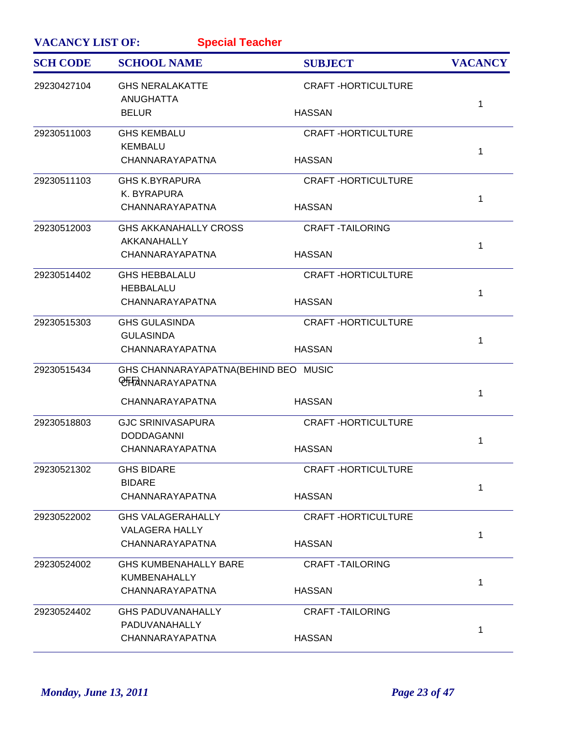| <b>VACANCY LIST OF:</b><br><b>Special Teacher</b> |                                                                 |                           |                |
|---------------------------------------------------|-----------------------------------------------------------------|---------------------------|----------------|
| <b>SCH CODE</b>                                   | <b>SCHOOL NAME</b>                                              | <b>SUBJECT</b>            | <b>VACANCY</b> |
| 29230427104                                       | <b>GHS NERALAKATTE</b><br><b>ANUGHATTA</b>                      | <b>CRAFT-HORTICULTURE</b> |                |
|                                                   | <b>BELUR</b>                                                    | <b>HASSAN</b>             | 1              |
| 29230511003                                       | <b>GHS KEMBALU</b>                                              | <b>CRAFT-HORTICULTURE</b> |                |
|                                                   | <b>KEMBALU</b><br>CHANNARAYAPATNA                               | <b>HASSAN</b>             | 1              |
| 29230511103                                       | <b>GHS K.BYRAPURA</b>                                           | <b>CRAFT-HORTICULTURE</b> |                |
|                                                   | K. BYRAPURA                                                     |                           | 1              |
|                                                   | CHANNARAYAPATNA                                                 | <b>HASSAN</b>             |                |
| 29230512003                                       | <b>GHS AKKANAHALLY CROSS</b>                                    | <b>CRAFT-TAILORING</b>    |                |
|                                                   | AKKANAHALLY<br>CHANNARAYAPATNA                                  | <b>HASSAN</b>             | 1              |
| 29230514402                                       | <b>GHS HEBBALALU</b>                                            | <b>CRAFT-HORTICULTURE</b> |                |
|                                                   | <b>HEBBALALU</b>                                                |                           |                |
|                                                   | CHANNARAYAPATNA                                                 | <b>HASSAN</b>             | 1              |
| 29230515303                                       | <b>GHS GULASINDA</b>                                            | <b>CRAFT-HORTICULTURE</b> |                |
|                                                   | <b>GULASINDA</b>                                                |                           | 1              |
|                                                   | CHANNARAYAPATNA                                                 | <b>HASSAN</b>             |                |
| 29230515434                                       | GHS CHANNARAYAPATNA(BEHIND BEO MUSIC<br><b>OFFANNARAYAPATNA</b> |                           |                |
|                                                   |                                                                 |                           | 1              |
|                                                   | CHANNARAYAPATNA                                                 | <b>HASSAN</b>             |                |
| 29230518803                                       | <b>GJC SRINIVASAPURA</b>                                        | <b>CRAFT-HORTICULTURE</b> |                |
|                                                   | <b>DODDAGANNI</b>                                               |                           | 1              |
|                                                   | CHANNARAYAPATNA                                                 | <b>HASSAN</b>             |                |
| 29230521302                                       | <b>GHS BIDARE</b>                                               | <b>CRAFT-HORTICULTURE</b> |                |
|                                                   | <b>BIDARE</b>                                                   |                           | 1              |
|                                                   | CHANNARAYAPATNA                                                 | <b>HASSAN</b>             |                |
| 29230522002                                       | <b>GHS VALAGERAHALLY</b>                                        | <b>CRAFT-HORTICULTURE</b> |                |
|                                                   | <b>VALAGERA HALLY</b>                                           |                           | 1              |
|                                                   | CHANNARAYAPATNA                                                 | <b>HASSAN</b>             |                |
| 29230524002                                       | <b>GHS KUMBENAHALLY BARE</b>                                    | <b>CRAFT-TAILORING</b>    |                |
|                                                   | <b>KUMBENAHALLY</b>                                             |                           | 1              |
|                                                   | CHANNARAYAPATNA                                                 | <b>HASSAN</b>             |                |
| 29230524402                                       | <b>GHS PADUVANAHALLY</b>                                        | <b>CRAFT-TAILORING</b>    |                |
|                                                   | <b>PADUVANAHALLY</b>                                            |                           | 1              |
|                                                   | CHANNARAYAPATNA                                                 | <b>HASSAN</b>             |                |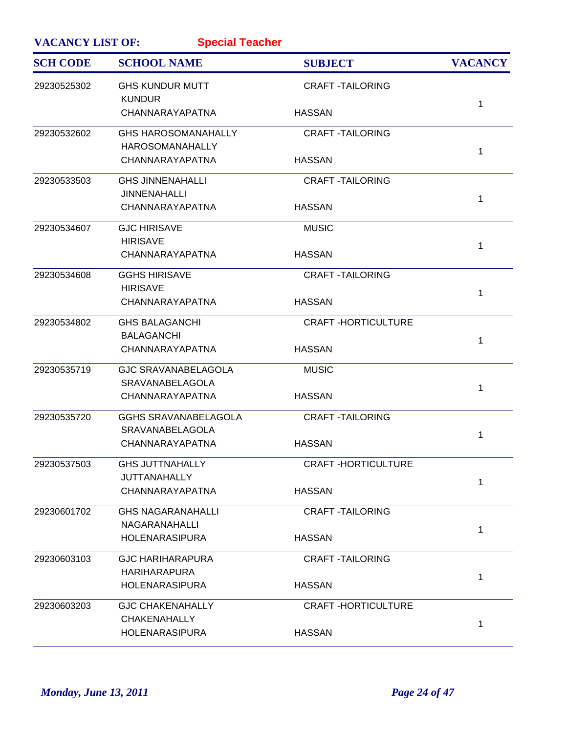| <b>VACANCY LIST OF:</b><br><b>Special Teacher</b> |                                         |                           |                |
|---------------------------------------------------|-----------------------------------------|---------------------------|----------------|
| <b>SCH CODE</b>                                   | <b>SCHOOL NAME</b>                      | <b>SUBJECT</b>            | <b>VACANCY</b> |
| 29230525302                                       | <b>GHS KUNDUR MUTT</b><br><b>KUNDUR</b> | <b>CRAFT-TAILORING</b>    | 1              |
|                                                   | CHANNARAYAPATNA                         | <b>HASSAN</b>             |                |
| 29230532602                                       | <b>GHS HAROSOMANAHALLY</b>              | <b>CRAFT-TAILORING</b>    |                |
|                                                   | <b>HAROSOMANAHALLY</b>                  | <b>HASSAN</b>             | 1              |
|                                                   | CHANNARAYAPATNA                         |                           |                |
| 29230533503                                       | <b>GHS JINNENAHALLI</b>                 | <b>CRAFT-TAILORING</b>    |                |
|                                                   | <b>JINNENAHALLI</b>                     |                           | 1              |
|                                                   | CHANNARAYAPATNA                         | <b>HASSAN</b>             |                |
| 29230534607                                       | <b>GJC HIRISAVE</b>                     | <b>MUSIC</b>              |                |
|                                                   | <b>HIRISAVE</b>                         |                           | 1              |
|                                                   | CHANNARAYAPATNA                         | <b>HASSAN</b>             |                |
| 29230534608                                       | <b>GGHS HIRISAVE</b>                    | <b>CRAFT-TAILORING</b>    |                |
|                                                   | <b>HIRISAVE</b>                         |                           | 1              |
|                                                   | CHANNARAYAPATNA                         | <b>HASSAN</b>             |                |
| 29230534802                                       | <b>GHS BALAGANCHI</b>                   | <b>CRAFT-HORTICULTURE</b> |                |
|                                                   | <b>BALAGANCHI</b>                       |                           | 1              |
|                                                   | CHANNARAYAPATNA                         | <b>HASSAN</b>             |                |
| 29230535719                                       | <b>GJC SRAVANABELAGOLA</b>              | <b>MUSIC</b>              |                |
|                                                   | <b>SRAVANABELAGOLA</b>                  |                           | 1              |
|                                                   | CHANNARAYAPATNA                         | <b>HASSAN</b>             |                |
| 29230535720                                       | <b>GGHS SRAVANABELAGOLA</b>             | <b>CRAFT-TAILORING</b>    |                |
|                                                   | SRAVANABELAGOLA                         |                           | 1              |
|                                                   | CHANNARAYAPATNA                         | <b>HASSAN</b>             |                |
| 29230537503                                       | <b>GHS JUTTNAHALLY</b>                  | <b>CRAFT-HORTICULTURE</b> |                |
|                                                   | <b>JUTTANAHALLY</b>                     |                           | 1              |
|                                                   | CHANNARAYAPATNA                         | <b>HASSAN</b>             |                |
| 29230601702                                       | <b>GHS NAGARANAHALLI</b>                | <b>CRAFT-TAILORING</b>    |                |
|                                                   | NAGARANAHALLI                           |                           | 1              |
|                                                   | <b>HOLENARASIPURA</b>                   | <b>HASSAN</b>             |                |
| 29230603103                                       | <b>GJC HARIHARAPURA</b>                 | <b>CRAFT-TAILORING</b>    |                |
|                                                   | <b>HARIHARAPURA</b>                     |                           | 1              |
|                                                   | <b>HOLENARASIPURA</b>                   | <b>HASSAN</b>             |                |
| 29230603203                                       | <b>GJC CHAKENAHALLY</b>                 | <b>CRAFT-HORTICULTURE</b> |                |
|                                                   | <b>CHAKENAHALLY</b>                     |                           | 1              |
|                                                   | <b>HOLENARASIPURA</b>                   | <b>HASSAN</b>             |                |
|                                                   |                                         |                           |                |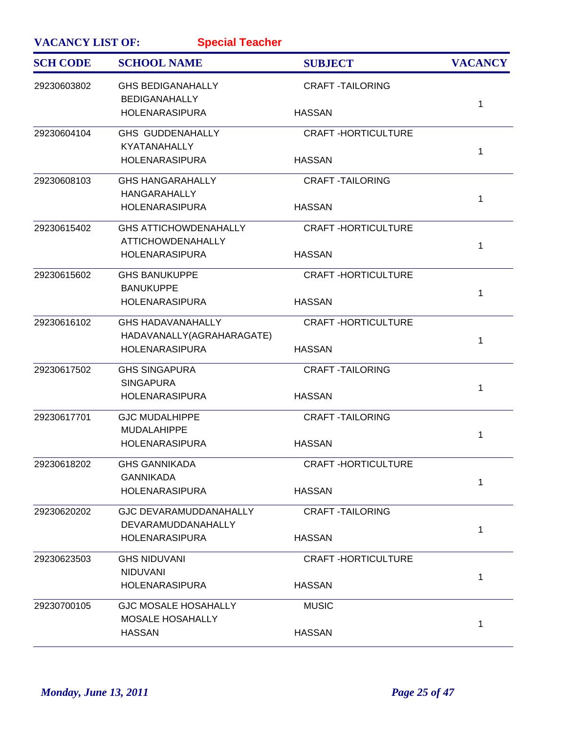| <b>VACANCY LIST OF:</b> | <b>Special Teacher</b>                             |                           |                |
|-------------------------|----------------------------------------------------|---------------------------|----------------|
| <b>SCH CODE</b>         | <b>SCHOOL NAME</b>                                 | <b>SUBJECT</b>            | <b>VACANCY</b> |
| 29230603802             | <b>GHS BEDIGANAHALLY</b><br><b>BEDIGANAHALLY</b>   | <b>CRAFT-TAILORING</b>    |                |
|                         | <b>HOLENARASIPURA</b>                              | <b>HASSAN</b>             | 1              |
| 29230604104             | <b>GHS GUDDENAHALLY</b>                            | <b>CRAFT-HORTICULTURE</b> |                |
|                         | <b>KYATANAHALLY</b><br><b>HOLENARASIPURA</b>       | <b>HASSAN</b>             | 1              |
| 29230608103             | <b>GHS HANGARAHALLY</b>                            | <b>CRAFT-TAILORING</b>    |                |
|                         | <b>HANGARAHALLY</b><br><b>HOLENARASIPURA</b>       | <b>HASSAN</b>             | 1              |
| 29230615402             | <b>GHS ATTICHOWDENAHALLY</b>                       | <b>CRAFT-HORTICULTURE</b> |                |
|                         | <b>ATTICHOWDENAHALLY</b><br><b>HOLENARASIPURA</b>  | <b>HASSAN</b>             | 1              |
| 29230615602             | <b>GHS BANUKUPPE</b><br><b>BANUKUPPE</b>           | <b>CRAFT-HORTICULTURE</b> |                |
|                         | <b>HOLENARASIPURA</b>                              | <b>HASSAN</b>             | 1              |
| 29230616102             | <b>GHS HADAVANAHALLY</b>                           | <b>CRAFT-HORTICULTURE</b> |                |
|                         | HADAVANALLY(AGRAHARAGATE)<br><b>HOLENARASIPURA</b> | <b>HASSAN</b>             | 1              |
| 29230617502             | <b>GHS SINGAPURA</b><br><b>SINGAPURA</b>           | <b>CRAFT-TAILORING</b>    |                |
|                         | <b>HOLENARASIPURA</b>                              | <b>HASSAN</b>             | 1              |
| 29230617701             | <b>GJC MUDALHIPPE</b>                              | <b>CRAFT-TAILORING</b>    |                |
|                         | <b>MUDALAHIPPE</b><br><b>HOLENARASIPURA</b>        | <b>HASSAN</b>             | 1              |
| 29230618202             | <b>GHS GANNIKADA</b>                               | <b>CRAFT-HORTICULTURE</b> |                |
|                         | <b>GANNIKADA</b><br><b>HOLENARASIPURA</b>          | <b>HASSAN</b>             | 1              |
| 29230620202             | <b>GJC DEVARAMUDDANAHALLY</b>                      | <b>CRAFT-TAILORING</b>    |                |
|                         | DEVARAMUDDANAHALLY<br><b>HOLENARASIPURA</b>        | <b>HASSAN</b>             | 1              |
| 29230623503             | <b>GHS NIDUVANI</b>                                | <b>CRAFT-HORTICULTURE</b> |                |
|                         | <b>NIDUVANI</b><br><b>HOLENARASIPURA</b>           | <b>HASSAN</b>             | 1              |
| 29230700105             | <b>GJC MOSALE HOSAHALLY</b>                        | <b>MUSIC</b>              |                |
|                         | <b>MOSALE HOSAHALLY</b><br><b>HASSAN</b>           | <b>HASSAN</b>             | 1              |
|                         |                                                    |                           |                |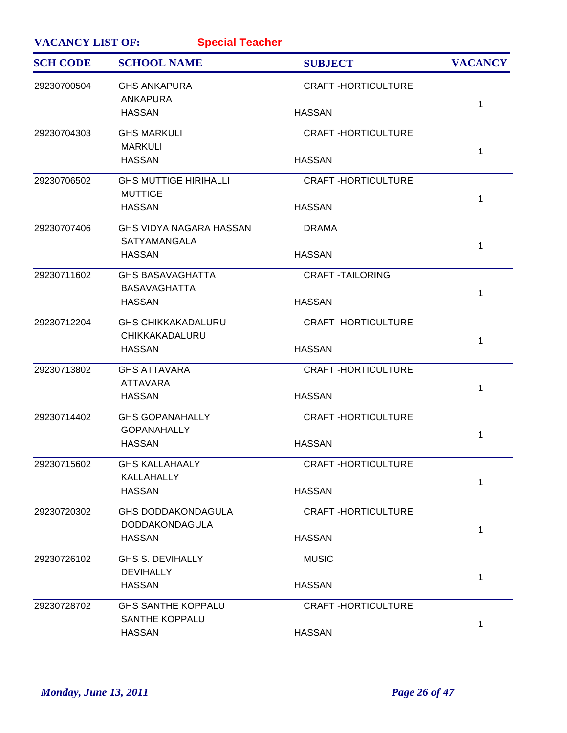| <b>VACANCY LIST OF:</b><br><b>Special Teacher</b> |                                                    |                           |                |  |
|---------------------------------------------------|----------------------------------------------------|---------------------------|----------------|--|
| <b>SCH CODE</b>                                   | <b>SCHOOL NAME</b>                                 | <b>SUBJECT</b>            | <b>VACANCY</b> |  |
| 29230700504                                       | <b>GHS ANKAPURA</b><br><b>ANKAPURA</b>             | <b>CRAFT-HORTICULTURE</b> |                |  |
|                                                   | <b>HASSAN</b>                                      | <b>HASSAN</b>             | 1              |  |
| 29230704303                                       | <b>GHS MARKULI</b><br><b>MARKULI</b>               | <b>CRAFT-HORTICULTURE</b> | 1              |  |
|                                                   | <b>HASSAN</b>                                      | <b>HASSAN</b>             |                |  |
| 29230706502                                       | <b>GHS MUTTIGE HIRIHALLI</b><br><b>MUTTIGE</b>     | <b>CRAFT-HORTICULTURE</b> | 1              |  |
|                                                   | <b>HASSAN</b>                                      | <b>HASSAN</b>             |                |  |
| 29230707406                                       | GHS VIDYA NAGARA HASSAN<br><b>SATYAMANGALA</b>     | <b>DRAMA</b>              | 1              |  |
|                                                   | <b>HASSAN</b>                                      | <b>HASSAN</b>             |                |  |
| 29230711602                                       | <b>GHS BASAVAGHATTA</b><br><b>BASAVAGHATTA</b>     | <b>CRAFT-TAILORING</b>    | 1              |  |
|                                                   | <b>HASSAN</b>                                      | <b>HASSAN</b>             |                |  |
| 29230712204                                       | <b>GHS CHIKKAKADALURU</b><br>CHIKKAKADALURU        | <b>CRAFT-HORTICULTURE</b> | 1              |  |
|                                                   | <b>HASSAN</b>                                      | <b>HASSAN</b>             |                |  |
| 29230713802                                       | <b>GHS ATTAVARA</b><br><b>ATTAVARA</b>             | <b>CRAFT-HORTICULTURE</b> | 1              |  |
|                                                   | <b>HASSAN</b>                                      | <b>HASSAN</b>             |                |  |
| 29230714402                                       | <b>GHS GOPANAHALLY</b><br><b>GOPANAHALLY</b>       | <b>CRAFT-HORTICULTURE</b> | 1              |  |
|                                                   | <b>HASSAN</b>                                      | <b>HASSAN</b>             |                |  |
| 29230715602                                       | <b>GHS KALLAHAALY</b><br>KALLAHALLY                | <b>CRAFT-HORTICULTURE</b> | 1              |  |
|                                                   | <b>HASSAN</b>                                      | <b>HASSAN</b>             |                |  |
| 29230720302                                       | <b>GHS DODDAKONDAGULA</b><br><b>DODDAKONDAGULA</b> | <b>CRAFT-HORTICULTURE</b> | 1              |  |
|                                                   | <b>HASSAN</b>                                      | <b>HASSAN</b>             |                |  |
| 29230726102                                       | GHS S. DEVIHALLY<br><b>DEVIHALLY</b>               | <b>MUSIC</b>              | 1              |  |
|                                                   | <b>HASSAN</b>                                      | <b>HASSAN</b>             |                |  |
| 29230728702                                       | <b>GHS SANTHE KOPPALU</b><br><b>SANTHE KOPPALU</b> | <b>CRAFT-HORTICULTURE</b> | 1              |  |
|                                                   | <b>HASSAN</b>                                      | <b>HASSAN</b>             |                |  |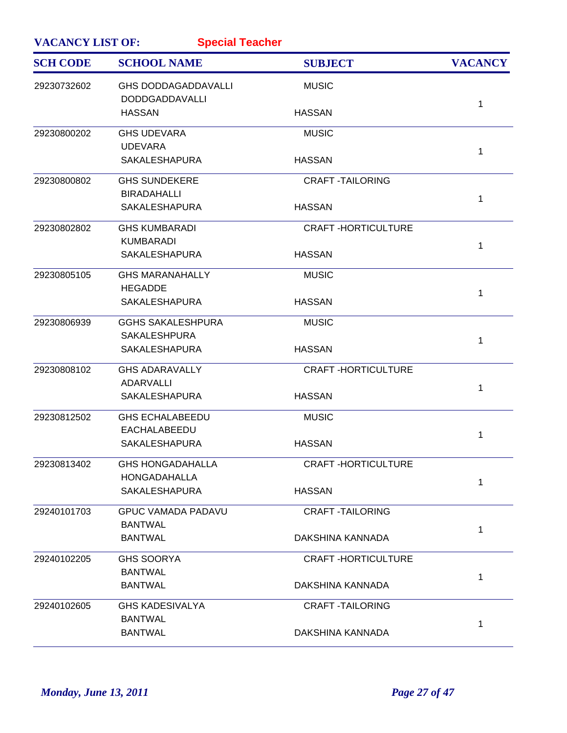| <b>VACANCY LIST OF:</b><br><b>Special Teacher</b> |                                                     |                           |                |
|---------------------------------------------------|-----------------------------------------------------|---------------------------|----------------|
| <b>SCH CODE</b>                                   | <b>SCHOOL NAME</b>                                  | <b>SUBJECT</b>            | <b>VACANCY</b> |
| 29230732602                                       | <b>GHS DODDAGADDAVALLI</b><br><b>DODDGADDAVALLI</b> | <b>MUSIC</b>              |                |
|                                                   | <b>HASSAN</b>                                       | <b>HASSAN</b>             | 1              |
| 29230800202                                       | <b>GHS UDEVARA</b>                                  | <b>MUSIC</b>              |                |
|                                                   | <b>UDEVARA</b><br><b>SAKALESHAPURA</b>              | <b>HASSAN</b>             | 1              |
| 29230800802                                       | <b>GHS SUNDEKERE</b>                                | <b>CRAFT-TAILORING</b>    |                |
|                                                   | <b>BIRADAHALLI</b><br><b>SAKALESHAPURA</b>          | <b>HASSAN</b>             | 1              |
| 29230802802                                       | <b>GHS KUMBARADI</b>                                | <b>CRAFT-HORTICULTURE</b> |                |
|                                                   | <b>KUMBARADI</b><br><b>SAKALESHAPURA</b>            | <b>HASSAN</b>             | 1              |
| 29230805105                                       | <b>GHS MARANAHALLY</b>                              | <b>MUSIC</b>              |                |
|                                                   | <b>HEGADDE</b><br><b>SAKALESHAPURA</b>              | <b>HASSAN</b>             | 1              |
| 29230806939                                       | <b>GGHS SAKALESHPURA</b>                            | <b>MUSIC</b>              |                |
|                                                   | <b>SAKALESHPURA</b><br><b>SAKALESHAPURA</b>         | <b>HASSAN</b>             | 1              |
| 29230808102                                       | <b>GHS ADARAVALLY</b>                               | <b>CRAFT-HORTICULTURE</b> |                |
|                                                   | ADARVALLI<br><b>SAKALESHAPURA</b>                   | <b>HASSAN</b>             | 1              |
| 29230812502                                       | <b>GHS ECHALABEEDU</b>                              | <b>MUSIC</b>              |                |
|                                                   | <b>EACHALABEEDU</b><br><b>SAKALESHAPURA</b>         | <b>HASSAN</b>             | 1              |
| 29230813402                                       | <b>GHS HONGADAHALLA</b>                             | <b>CRAFT-HORTICULTURE</b> |                |
|                                                   | HONGADAHALLA<br><b>SAKALESHAPURA</b>                | <b>HASSAN</b>             | 1              |
| 29240101703                                       | <b>GPUC VAMADA PADAVU</b>                           | <b>CRAFT-TAILORING</b>    |                |
|                                                   | <b>BANTWAL</b><br><b>BANTWAL</b>                    | DAKSHINA KANNADA          | 1              |
| 29240102205                                       | <b>GHS SOORYA</b>                                   | <b>CRAFT-HORTICULTURE</b> |                |
|                                                   | <b>BANTWAL</b><br><b>BANTWAL</b>                    | DAKSHINA KANNADA          | 1              |
| 29240102605                                       | <b>GHS KADESIVALYA</b>                              | <b>CRAFT-TAILORING</b>    |                |
|                                                   | <b>BANTWAL</b><br><b>BANTWAL</b>                    | DAKSHINA KANNADA          | 1              |
|                                                   |                                                     |                           |                |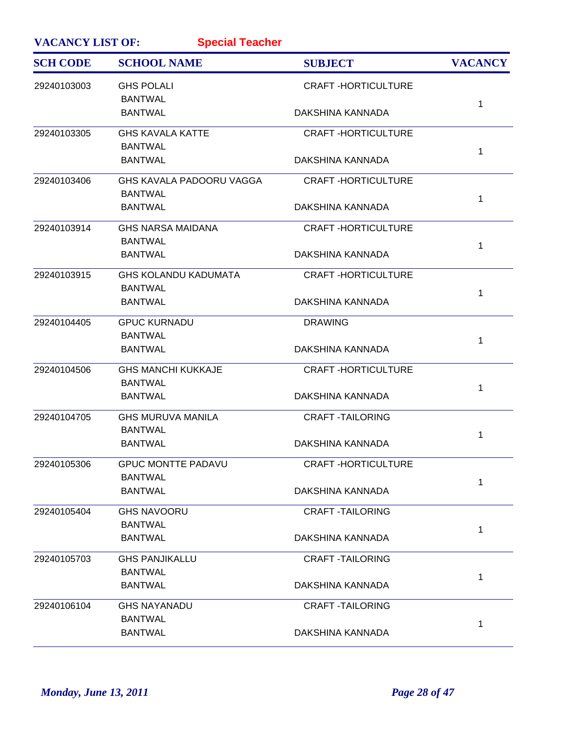| <b>VACANCY LIST OF:</b> | <b>Special Teacher</b>                        |                           |                |
|-------------------------|-----------------------------------------------|---------------------------|----------------|
| <b>SCH CODE</b>         | <b>SCHOOL NAME</b>                            | <b>SUBJECT</b>            | <b>VACANCY</b> |
| 29240103003             | <b>GHS POLALI</b><br><b>BANTWAL</b>           | <b>CRAFT-HORTICULTURE</b> |                |
|                         | <b>BANTWAL</b>                                | DAKSHINA KANNADA          | 1              |
| 29240103305             | <b>GHS KAVALA KATTE</b><br><b>BANTWAL</b>     | <b>CRAFT-HORTICULTURE</b> | 1              |
|                         | <b>BANTWAL</b>                                | DAKSHINA KANNADA          |                |
| 29240103406             | GHS KAVALA PADOORU VAGGA<br><b>BANTWAL</b>    | <b>CRAFT-HORTICULTURE</b> | 1              |
|                         | <b>BANTWAL</b>                                | DAKSHINA KANNADA          |                |
| 29240103914             | <b>GHS NARSA MAIDANA</b><br><b>BANTWAL</b>    | <b>CRAFT-HORTICULTURE</b> | 1              |
|                         | <b>BANTWAL</b>                                | DAKSHINA KANNADA          |                |
| 29240103915             | <b>GHS KOLANDU KADUMATA</b><br><b>BANTWAL</b> | <b>CRAFT-HORTICULTURE</b> | 1              |
|                         | <b>BANTWAL</b>                                | DAKSHINA KANNADA          |                |
| 29240104405             | <b>GPUC KURNADU</b><br><b>BANTWAL</b>         | <b>DRAWING</b>            | 1              |
|                         | <b>BANTWAL</b>                                | DAKSHINA KANNADA          |                |
| 29240104506             | <b>GHS MANCHI KUKKAJE</b><br><b>BANTWAL</b>   | <b>CRAFT-HORTICULTURE</b> | 1              |
|                         | <b>BANTWAL</b>                                | DAKSHINA KANNADA          |                |
| 29240104705             | <b>GHS MURUVA MANILA</b><br><b>BANTWAL</b>    | <b>CRAFT-TAILORING</b>    | 1              |
|                         | <b>BANTWAL</b>                                | DAKSHINA KANNADA          |                |
| 29240105306             | <b>GPUC MONTTE PADAVU</b><br><b>BANTWAL</b>   | <b>CRAFT-HORTICULTURE</b> | 1              |
|                         | <b>BANTWAL</b>                                | DAKSHINA KANNADA          |                |
| 29240105404             | <b>GHS NAVOORU</b><br><b>BANTWAL</b>          | <b>CRAFT-TAILORING</b>    | 1              |
|                         | <b>BANTWAL</b>                                | DAKSHINA KANNADA          |                |
| 29240105703             | <b>GHS PANJIKALLU</b><br><b>BANTWAL</b>       | <b>CRAFT-TAILORING</b>    |                |
|                         | <b>BANTWAL</b>                                | DAKSHINA KANNADA          | 1              |
| 29240106104             | <b>GHS NAYANADU</b><br><b>BANTWAL</b>         | <b>CRAFT-TAILORING</b>    |                |
|                         | <b>BANTWAL</b>                                | DAKSHINA KANNADA          | 1              |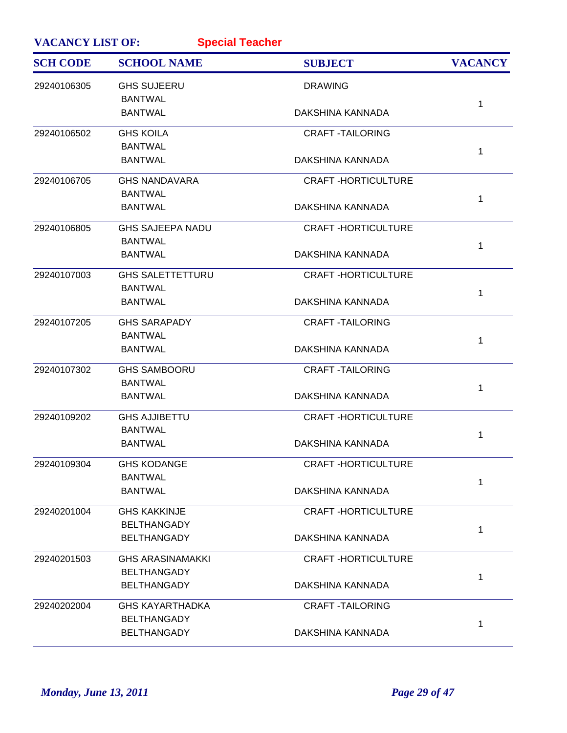| <b>VACANCY LIST OF:</b><br><b>Special Teacher</b> |                         |                           |                |
|---------------------------------------------------|-------------------------|---------------------------|----------------|
| <b>SCH CODE</b>                                   | <b>SCHOOL NAME</b>      | <b>SUBJECT</b>            | <b>VACANCY</b> |
| 29240106305                                       | <b>GHS SUJEERU</b>      | <b>DRAWING</b>            |                |
|                                                   | <b>BANTWAL</b>          |                           | 1              |
|                                                   | <b>BANTWAL</b>          | DAKSHINA KANNADA          |                |
| 29240106502                                       | <b>GHS KOILA</b>        | <b>CRAFT-TAILORING</b>    |                |
|                                                   | <b>BANTWAL</b>          |                           | 1              |
|                                                   | <b>BANTWAL</b>          | <b>DAKSHINA KANNADA</b>   |                |
| 29240106705                                       | <b>GHS NANDAVARA</b>    | <b>CRAFT-HORTICULTURE</b> |                |
|                                                   | <b>BANTWAL</b>          |                           | 1              |
|                                                   | <b>BANTWAL</b>          | DAKSHINA KANNADA          |                |
| 29240106805                                       | <b>GHS SAJEEPA NADU</b> | <b>CRAFT-HORTICULTURE</b> |                |
|                                                   | <b>BANTWAL</b>          |                           | 1              |
|                                                   | <b>BANTWAL</b>          | DAKSHINA KANNADA          |                |
| 29240107003                                       | <b>GHS SALETTETTURU</b> | <b>CRAFT-HORTICULTURE</b> |                |
|                                                   | <b>BANTWAL</b>          |                           | 1              |
|                                                   | <b>BANTWAL</b>          | DAKSHINA KANNADA          |                |
| 29240107205                                       | <b>GHS SARAPADY</b>     | <b>CRAFT-TAILORING</b>    |                |
|                                                   | <b>BANTWAL</b>          |                           | $\mathbf{1}$   |
|                                                   | <b>BANTWAL</b>          | DAKSHINA KANNADA          |                |
| 29240107302                                       | <b>GHS SAMBOORU</b>     | <b>CRAFT-TAILORING</b>    |                |
|                                                   | <b>BANTWAL</b>          |                           | 1              |
|                                                   | <b>BANTWAL</b>          | DAKSHINA KANNADA          |                |
| 29240109202                                       | <b>GHS AJJIBETTU</b>    | <b>CRAFT-HORTICULTURE</b> |                |
|                                                   | <b>BANTWAL</b>          |                           | 1              |
|                                                   | <b>BANTWAL</b>          | DAKSHINA KANNADA          |                |
| 29240109304                                       | <b>GHS KODANGE</b>      | <b>CRAFT-HORTICULTURE</b> |                |
|                                                   | <b>BANTWAL</b>          |                           | 1              |
|                                                   | <b>BANTWAL</b>          | DAKSHINA KANNADA          |                |
| 29240201004                                       | <b>GHS KAKKINJE</b>     | <b>CRAFT-HORTICULTURE</b> |                |
|                                                   | <b>BELTHANGADY</b>      |                           | 1              |
|                                                   | <b>BELTHANGADY</b>      | DAKSHINA KANNADA          |                |
| 29240201503                                       | <b>GHS ARASINAMAKKI</b> | <b>CRAFT-HORTICULTURE</b> |                |
|                                                   | <b>BELTHANGADY</b>      |                           | 1              |
|                                                   | <b>BELTHANGADY</b>      | DAKSHINA KANNADA          |                |
| 29240202004                                       | <b>GHS KAYARTHADKA</b>  | <b>CRAFT-TAILORING</b>    |                |
|                                                   | <b>BELTHANGADY</b>      |                           | 1              |
|                                                   | <b>BELTHANGADY</b>      | DAKSHINA KANNADA          |                |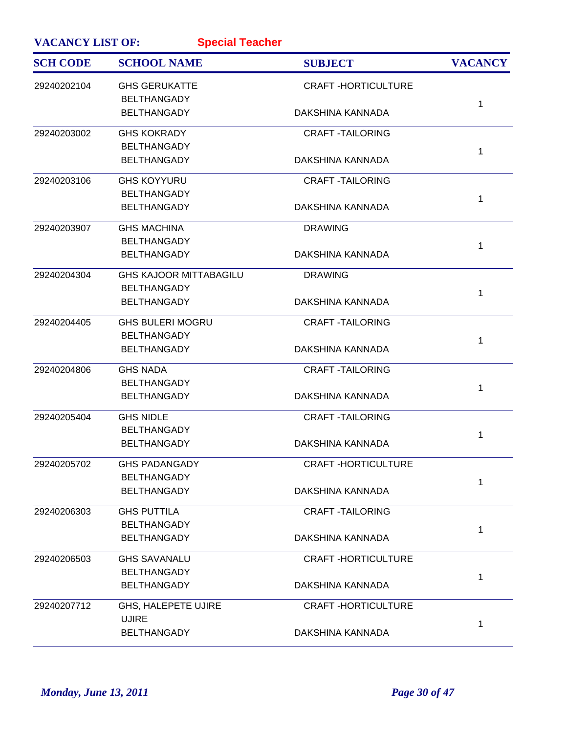| <b>VACANCY LIST OF:</b> | <b>Special Teacher</b>                   |                           |                |
|-------------------------|------------------------------------------|---------------------------|----------------|
| <b>SCH CODE</b>         | <b>SCHOOL NAME</b>                       | <b>SUBJECT</b>            | <b>VACANCY</b> |
| 29240202104             | <b>GHS GERUKATTE</b>                     | <b>CRAFT-HORTICULTURE</b> |                |
|                         | <b>BELTHANGADY</b><br><b>BELTHANGADY</b> | DAKSHINA KANNADA          | 1              |
| 29240203002             | <b>GHS KOKRADY</b>                       | <b>CRAFT -TAILORING</b>   |                |
|                         | <b>BELTHANGADY</b>                       |                           | 1              |
|                         | <b>BELTHANGADY</b>                       | DAKSHINA KANNADA          |                |
| 29240203106             | <b>GHS KOYYURU</b>                       | <b>CRAFT -TAILORING</b>   |                |
|                         | <b>BELTHANGADY</b>                       |                           | 1              |
|                         | <b>BELTHANGADY</b>                       | DAKSHINA KANNADA          |                |
| 29240203907             | <b>GHS MACHINA</b>                       | <b>DRAWING</b>            |                |
|                         | <b>BELTHANGADY</b>                       |                           | 1              |
|                         | <b>BELTHANGADY</b>                       | DAKSHINA KANNADA          |                |
| 29240204304             | <b>GHS KAJOOR MITTABAGILU</b>            | <b>DRAWING</b>            |                |
|                         | <b>BELTHANGADY</b>                       |                           | 1              |
|                         | <b>BELTHANGADY</b>                       | DAKSHINA KANNADA          |                |
| 29240204405             | <b>GHS BULERI MOGRU</b>                  | <b>CRAFT-TAILORING</b>    |                |
|                         | <b>BELTHANGADY</b>                       |                           | 1              |
|                         | <b>BELTHANGADY</b>                       | DAKSHINA KANNADA          |                |
| 29240204806             | <b>GHS NADA</b>                          | <b>CRAFT -TAILORING</b>   |                |
|                         | <b>BELTHANGADY</b>                       |                           | 1              |
|                         | <b>BELTHANGADY</b>                       | DAKSHINA KANNADA          |                |
| 29240205404             | <b>GHS NIDLE</b>                         | <b>CRAFT -TAILORING</b>   |                |
|                         | <b>BELTHANGADY</b>                       |                           | 1              |
|                         | <b>BELTHANGADY</b>                       | DAKSHINA KANNADA          |                |
| 29240205702             | <b>GHS PADANGADY</b>                     | <b>CRAFT-HORTICULTURE</b> |                |
|                         | <b>BELTHANGADY</b>                       |                           | $\mathbf{1}$   |
|                         | <b>BELTHANGADY</b>                       | DAKSHINA KANNADA          |                |
| 29240206303             | <b>GHS PUTTILA</b>                       | <b>CRAFT-TAILORING</b>    |                |
|                         | <b>BELTHANGADY</b>                       |                           | 1              |
|                         | <b>BELTHANGADY</b>                       | DAKSHINA KANNADA          |                |
| 29240206503             | <b>GHS SAVANALU</b>                      | <b>CRAFT-HORTICULTURE</b> |                |
|                         | <b>BELTHANGADY</b>                       |                           | 1              |
|                         | <b>BELTHANGADY</b>                       | DAKSHINA KANNADA          |                |
| 29240207712             | GHS, HALEPETE UJIRE                      | <b>CRAFT-HORTICULTURE</b> |                |
|                         | <b>UJIRE</b>                             |                           | 1              |
|                         | <b>BELTHANGADY</b>                       | DAKSHINA KANNADA          |                |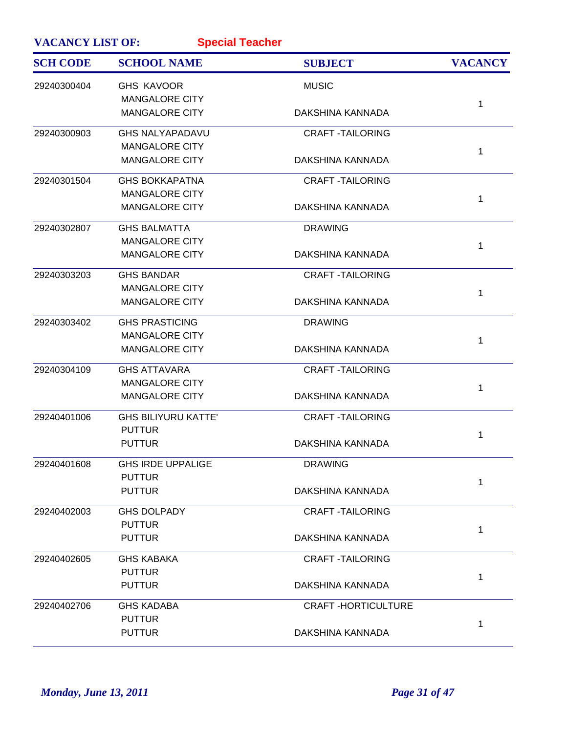| <b>VACANCY LIST OF:</b> | <b>Special Teacher</b>     |                           |                |
|-------------------------|----------------------------|---------------------------|----------------|
| <b>SCH CODE</b>         | <b>SCHOOL NAME</b>         | <b>SUBJECT</b>            | <b>VACANCY</b> |
| 29240300404             | <b>GHS KAVOOR</b>          | <b>MUSIC</b>              |                |
|                         | <b>MANGALORE CITY</b>      |                           | 1              |
|                         | <b>MANGALORE CITY</b>      | DAKSHINA KANNADA          |                |
| 29240300903             | <b>GHS NALYAPADAVU</b>     | <b>CRAFT-TAILORING</b>    |                |
|                         | <b>MANGALORE CITY</b>      |                           | 1              |
|                         | <b>MANGALORE CITY</b>      | DAKSHINA KANNADA          |                |
| 29240301504             | <b>GHS BOKKAPATNA</b>      | <b>CRAFT-TAILORING</b>    |                |
|                         | <b>MANGALORE CITY</b>      |                           | 1              |
|                         | <b>MANGALORE CITY</b>      | DAKSHINA KANNADA          |                |
| 29240302807             | <b>GHS BALMATTA</b>        | <b>DRAWING</b>            |                |
|                         | <b>MANGALORE CITY</b>      |                           | 1              |
|                         | <b>MANGALORE CITY</b>      | DAKSHINA KANNADA          |                |
| 29240303203             | <b>GHS BANDAR</b>          | <b>CRAFT-TAILORING</b>    |                |
|                         | <b>MANGALORE CITY</b>      |                           | 1              |
|                         | <b>MANGALORE CITY</b>      | DAKSHINA KANNADA          |                |
| 29240303402             | <b>GHS PRASTICING</b>      | <b>DRAWING</b>            |                |
|                         | <b>MANGALORE CITY</b>      |                           | 1              |
|                         | <b>MANGALORE CITY</b>      | DAKSHINA KANNADA          |                |
| 29240304109             | <b>GHS ATTAVARA</b>        | <b>CRAFT-TAILORING</b>    |                |
|                         | MANGALORE CITY             |                           | 1              |
|                         | <b>MANGALORE CITY</b>      | DAKSHINA KANNADA          |                |
| 29240401006             | <b>GHS BILIYURU KATTE'</b> | <b>CRAFT-TAILORING</b>    |                |
|                         | <b>PUTTUR</b>              |                           | 1              |
|                         | <b>PUTTUR</b>              | DAKSHINA KANNADA          |                |
| 29240401608             | <b>GHS IRDE UPPALIGE</b>   | <b>DRAWING</b>            |                |
|                         | <b>PUTTUR</b>              |                           | 1              |
|                         | <b>PUTTUR</b>              | DAKSHINA KANNADA          |                |
| 29240402003             | <b>GHS DOLPADY</b>         | <b>CRAFT-TAILORING</b>    |                |
|                         | <b>PUTTUR</b>              |                           | 1              |
|                         | <b>PUTTUR</b>              | DAKSHINA KANNADA          |                |
| 29240402605             | <b>GHS KABAKA</b>          | <b>CRAFT-TAILORING</b>    |                |
|                         | <b>PUTTUR</b>              |                           | 1              |
|                         | <b>PUTTUR</b>              | DAKSHINA KANNADA          |                |
| 29240402706             | <b>GHS KADABA</b>          | <b>CRAFT-HORTICULTURE</b> |                |
|                         | <b>PUTTUR</b>              |                           | 1              |
|                         | <b>PUTTUR</b>              | DAKSHINA KANNADA          |                |
|                         |                            |                           |                |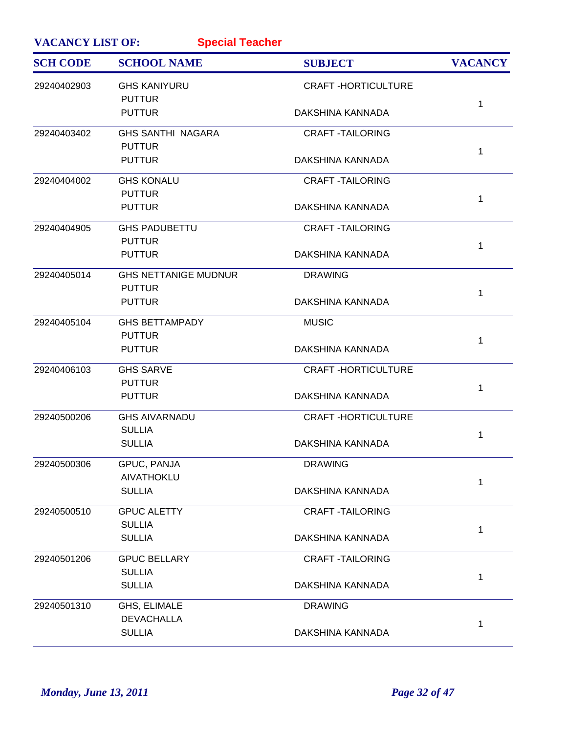| <b>VACANCY LIST OF:</b> | <b>Special Teacher</b>                       |                           |                |
|-------------------------|----------------------------------------------|---------------------------|----------------|
| <b>SCH CODE</b>         | <b>SCHOOL NAME</b>                           | <b>SUBJECT</b>            | <b>VACANCY</b> |
| 29240402903             | <b>GHS KANIYURU</b><br><b>PUTTUR</b>         | <b>CRAFT-HORTICULTURE</b> | 1              |
|                         | <b>PUTTUR</b>                                | DAKSHINA KANNADA          |                |
| 29240403402             | <b>GHS SANTHI NAGARA</b><br><b>PUTTUR</b>    | <b>CRAFT-TAILORING</b>    | 1              |
|                         | <b>PUTTUR</b>                                | DAKSHINA KANNADA          |                |
| 29240404002             | <b>GHS KONALU</b><br><b>PUTTUR</b>           | <b>CRAFT-TAILORING</b>    | 1              |
|                         | <b>PUTTUR</b>                                | DAKSHINA KANNADA          |                |
| 29240404905             | <b>GHS PADUBETTU</b><br><b>PUTTUR</b>        | <b>CRAFT-TAILORING</b>    | $\mathbf{1}$   |
|                         | <b>PUTTUR</b>                                | DAKSHINA KANNADA          |                |
| 29240405014             | <b>GHS NETTANIGE MUDNUR</b><br><b>PUTTUR</b> | <b>DRAWING</b>            | 1              |
|                         | <b>PUTTUR</b>                                | DAKSHINA KANNADA          |                |
| 29240405104             | <b>GHS BETTAMPADY</b><br><b>PUTTUR</b>       | <b>MUSIC</b>              | 1              |
|                         | <b>PUTTUR</b>                                | DAKSHINA KANNADA          |                |
| 29240406103             | <b>GHS SARVE</b><br><b>PUTTUR</b>            | <b>CRAFT-HORTICULTURE</b> | 1              |
|                         | <b>PUTTUR</b>                                | DAKSHINA KANNADA          |                |
| 29240500206             | <b>GHS AIVARNADU</b><br><b>SULLIA</b>        | <b>CRAFT-HORTICULTURE</b> | 1              |
|                         | <b>SULLIA</b>                                | DAKSHINA KANNADA          |                |
| 29240500306             | GPUC, PANJA<br><b>AIVATHOKLU</b>             | <b>DRAWING</b>            | $\mathbf{1}$   |
|                         | <b>SULLIA</b>                                | DAKSHINA KANNADA          |                |
| 29240500510             | <b>GPUC ALETTY</b><br><b>SULLIA</b>          | <b>CRAFT-TAILORING</b>    | 1              |
|                         | <b>SULLIA</b>                                | DAKSHINA KANNADA          |                |
| 29240501206             | <b>GPUC BELLARY</b><br><b>SULLIA</b>         | <b>CRAFT-TAILORING</b>    | 1              |
|                         | <b>SULLIA</b>                                | DAKSHINA KANNADA          |                |
| 29240501310             | GHS, ELIMALE<br><b>DEVACHALLA</b>            | <b>DRAWING</b>            | 1              |
|                         | <b>SULLIA</b>                                | DAKSHINA KANNADA          |                |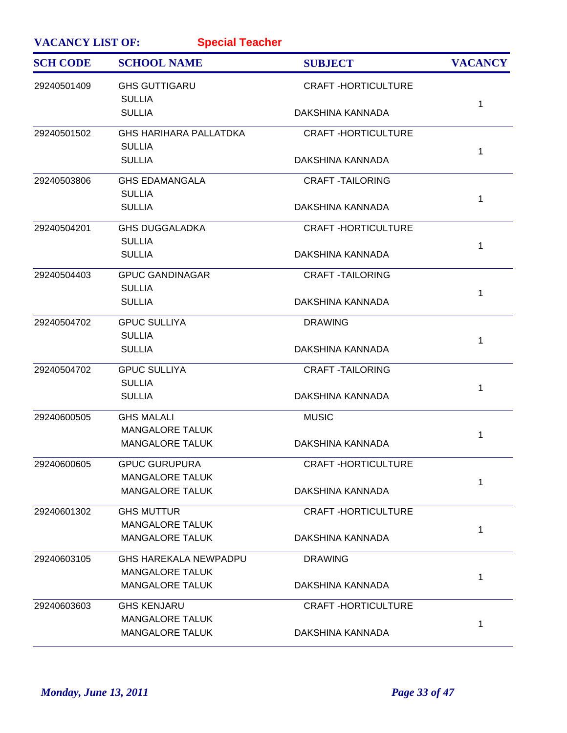| <b>VACANCY LIST OF:</b> | <b>Special Teacher</b>                           |                           |                |
|-------------------------|--------------------------------------------------|---------------------------|----------------|
| <b>SCH CODE</b>         | <b>SCHOOL NAME</b>                               | <b>SUBJECT</b>            | <b>VACANCY</b> |
| 29240501409             | <b>GHS GUTTIGARU</b><br><b>SULLIA</b>            | <b>CRAFT-HORTICULTURE</b> |                |
|                         | <b>SULLIA</b>                                    | DAKSHINA KANNADA          | 1              |
| 29240501502             | <b>GHS HARIHARA PALLATDKA</b><br><b>SULLIA</b>   | <b>CRAFT-HORTICULTURE</b> |                |
|                         | <b>SULLIA</b>                                    | DAKSHINA KANNADA          | 1              |
| 29240503806             | <b>GHS EDAMANGALA</b><br><b>SULLIA</b>           | <b>CRAFT-TAILORING</b>    |                |
|                         | <b>SULLIA</b>                                    | DAKSHINA KANNADA          | 1              |
| 29240504201             | <b>GHS DUGGALADKA</b><br><b>SULLIA</b>           | <b>CRAFT-HORTICULTURE</b> |                |
|                         | <b>SULLIA</b>                                    | DAKSHINA KANNADA          | $\mathbf 1$    |
| 29240504403             | <b>GPUC GANDINAGAR</b>                           | <b>CRAFT-TAILORING</b>    |                |
|                         | <b>SULLIA</b><br><b>SULLIA</b>                   | DAKSHINA KANNADA          | 1              |
| 29240504702             | <b>GPUC SULLIYA</b>                              | <b>DRAWING</b>            |                |
|                         | <b>SULLIA</b><br><b>SULLIA</b>                   | DAKSHINA KANNADA          | 1              |
| 29240504702             | <b>GPUC SULLIYA</b>                              | <b>CRAFT-TAILORING</b>    |                |
|                         | <b>SULLIA</b><br><b>SULLIA</b>                   | DAKSHINA KANNADA          | 1              |
| 29240600505             | <b>GHS MALALI</b>                                | <b>MUSIC</b>              |                |
|                         | <b>MANGALORE TALUK</b><br><b>MANGALORE TALUK</b> | DAKSHINA KANNADA          | 1              |
| 29240600605             | <b>GPUC GURUPURA</b>                             | <b>CRAFT-HORTICULTURE</b> |                |
|                         | <b>MANGALORE TALUK</b><br><b>MANGALORE TALUK</b> | DAKSHINA KANNADA          | 1              |
| 29240601302             | <b>GHS MUTTUR</b>                                | <b>CRAFT-HORTICULTURE</b> |                |
|                         | <b>MANGALORE TALUK</b><br><b>MANGALORE TALUK</b> | DAKSHINA KANNADA          | 1              |
| 29240603105             | <b>GHS HAREKALA NEWPADPU</b>                     | <b>DRAWING</b>            |                |
|                         | <b>MANGALORE TALUK</b><br><b>MANGALORE TALUK</b> | DAKSHINA KANNADA          | 1              |
| 29240603603             | <b>GHS KENJARU</b>                               | <b>CRAFT-HORTICULTURE</b> |                |
|                         | <b>MANGALORE TALUK</b><br><b>MANGALORE TALUK</b> | DAKSHINA KANNADA          | 1              |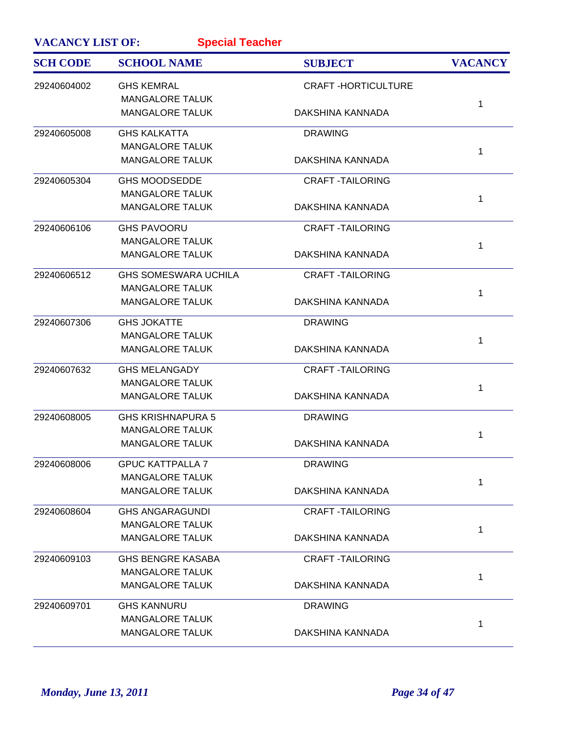| <b>VACANCY LIST OF:</b> | <b>Special Teacher</b>      |                           |                |
|-------------------------|-----------------------------|---------------------------|----------------|
| <b>SCH CODE</b>         | <b>SCHOOL NAME</b>          | <b>SUBJECT</b>            | <b>VACANCY</b> |
| 29240604002             | <b>GHS KEMRAL</b>           | <b>CRAFT-HORTICULTURE</b> |                |
|                         | <b>MANGALORE TALUK</b>      |                           | 1              |
|                         | <b>MANGALORE TALUK</b>      | DAKSHINA KANNADA          |                |
| 29240605008             | <b>GHS KALKATTA</b>         | <b>DRAWING</b>            |                |
|                         | <b>MANGALORE TALUK</b>      |                           | 1              |
|                         | <b>MANGALORE TALUK</b>      | DAKSHINA KANNADA          |                |
| 29240605304             | <b>GHS MOODSEDDE</b>        | <b>CRAFT -TAILORING</b>   |                |
|                         | <b>MANGALORE TALUK</b>      |                           | 1              |
|                         | <b>MANGALORE TALUK</b>      | DAKSHINA KANNADA          |                |
| 29240606106             | <b>GHS PAVOORU</b>          | <b>CRAFT-TAILORING</b>    |                |
|                         | <b>MANGALORE TALUK</b>      |                           | 1              |
|                         | <b>MANGALORE TALUK</b>      | DAKSHINA KANNADA          |                |
| 29240606512             | <b>GHS SOMESWARA UCHILA</b> | <b>CRAFT -TAILORING</b>   |                |
|                         | <b>MANGALORE TALUK</b>      |                           | 1              |
|                         | <b>MANGALORE TALUK</b>      | DAKSHINA KANNADA          |                |
| 29240607306             | <b>GHS JOKATTE</b>          | <b>DRAWING</b>            |                |
|                         | <b>MANGALORE TALUK</b>      |                           | 1              |
|                         | <b>MANGALORE TALUK</b>      | DAKSHINA KANNADA          |                |
| 29240607632             | <b>GHS MELANGADY</b>        | <b>CRAFT-TAILORING</b>    |                |
|                         | <b>MANGALORE TALUK</b>      |                           | 1              |
|                         | <b>MANGALORE TALUK</b>      | DAKSHINA KANNADA          |                |
| 29240608005             | <b>GHS KRISHNAPURA 5</b>    | <b>DRAWING</b>            |                |
|                         | <b>MANGALORE TALUK</b>      |                           | 1              |
|                         | <b>MANGALORE TALUK</b>      | DAKSHINA KANNADA          |                |
| 29240608006             | <b>GPUC KATTPALLA 7</b>     | <b>DRAWING</b>            |                |
|                         | <b>MANGALORE TALUK</b>      |                           | 1              |
|                         | <b>MANGALORE TALUK</b>      | DAKSHINA KANNADA          |                |
| 29240608604             | <b>GHS ANGARAGUNDI</b>      | <b>CRAFT-TAILORING</b>    |                |
|                         | <b>MANGALORE TALUK</b>      |                           | 1              |
|                         | <b>MANGALORE TALUK</b>      | DAKSHINA KANNADA          |                |
| 29240609103             | <b>GHS BENGRE KASABA</b>    | <b>CRAFT-TAILORING</b>    |                |
|                         | <b>MANGALORE TALUK</b>      |                           | 1              |
|                         | <b>MANGALORE TALUK</b>      | DAKSHINA KANNADA          |                |
| 29240609701             | <b>GHS KANNURU</b>          | <b>DRAWING</b>            |                |
|                         | <b>MANGALORE TALUK</b>      |                           | 1              |
|                         | <b>MANGALORE TALUK</b>      | DAKSHINA KANNADA          |                |
|                         |                             |                           |                |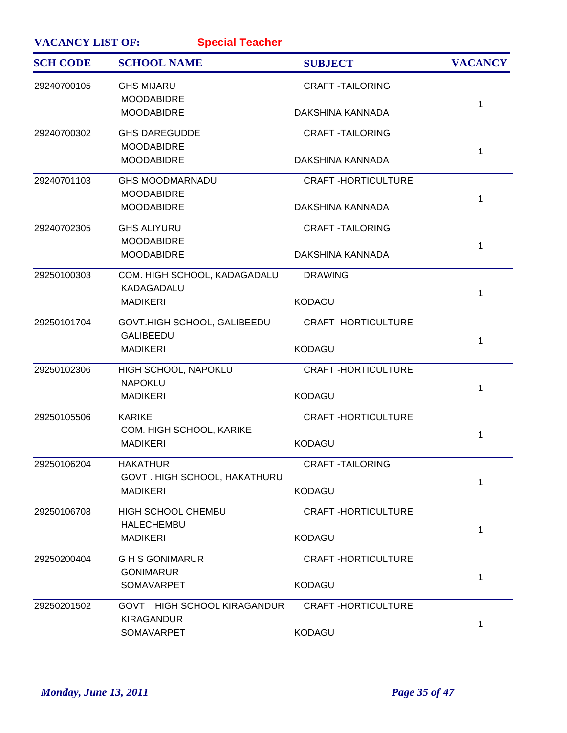| <b>VACANCY LIST OF:</b> |                                                   |                           |                |
|-------------------------|---------------------------------------------------|---------------------------|----------------|
| <b>SCH CODE</b>         | <b>SCHOOL NAME</b>                                | <b>SUBJECT</b>            | <b>VACANCY</b> |
| 29240700105             | <b>GHS MIJARU</b><br><b>MOODABIDRE</b>            | <b>CRAFT-TAILORING</b>    |                |
|                         | <b>MOODABIDRE</b>                                 | DAKSHINA KANNADA          | 1              |
| 29240700302             | <b>GHS DAREGUDDE</b><br><b>MOODABIDRE</b>         | <b>CRAFT-TAILORING</b>    | 1              |
|                         | <b>MOODABIDRE</b>                                 | DAKSHINA KANNADA          |                |
| 29240701103             | <b>GHS MOODMARNADU</b><br><b>MOODABIDRE</b>       | <b>CRAFT-HORTICULTURE</b> | 1              |
|                         | <b>MOODABIDRE</b>                                 | DAKSHINA KANNADA          |                |
| 29240702305             | <b>GHS ALIYURU</b><br><b>MOODABIDRE</b>           | <b>CRAFT-TAILORING</b>    | 1              |
|                         | <b>MOODABIDRE</b>                                 | DAKSHINA KANNADA          |                |
| 29250100303             | COM. HIGH SCHOOL, KADAGADALU<br><b>KADAGADALU</b> | <b>DRAWING</b>            | 1              |
|                         | <b>MADIKERI</b>                                   | <b>KODAGU</b>             |                |
| 29250101704             | GOVT.HIGH SCHOOL, GALIBEEDU<br><b>GALIBEEDU</b>   | <b>CRAFT-HORTICULTURE</b> | 1              |
|                         | <b>MADIKERI</b>                                   | <b>KODAGU</b>             |                |
| 29250102306             | HIGH SCHOOL, NAPOKLU<br><b>NAPOKLU</b>            | <b>CRAFT-HORTICULTURE</b> | 1              |
|                         | <b>MADIKERI</b>                                   | <b>KODAGU</b>             |                |
| 29250105506             | <b>KARIKE</b><br>COM. HIGH SCHOOL, KARIKE         | <b>CRAFT-HORTICULTURE</b> | 1              |
|                         | <b>MADIKERI</b>                                   | <b>KODAGU</b>             |                |
| 29250106204             | <b>HAKATHUR</b><br>GOVT. HIGH SCHOOL, HAKATHURU   | <b>CRAFT-TAILORING</b>    | 1              |
|                         | <b>MADIKERI</b>                                   | <b>KODAGU</b>             |                |
| 29250106708             | <b>HIGH SCHOOL CHEMBU</b><br><b>HALECHEMBU</b>    | <b>CRAFT-HORTICULTURE</b> | 1              |
|                         | <b>MADIKERI</b>                                   | <b>KODAGU</b>             |                |
| 29250200404             | <b>GHS GONIMARUR</b><br><b>GONIMARUR</b>          | <b>CRAFT-HORTICULTURE</b> |                |
|                         | <b>SOMAVARPET</b>                                 | <b>KODAGU</b>             | 1              |
| 29250201502             | GOVT HIGH SCHOOL KIRAGANDUR<br><b>KIRAGANDUR</b>  | <b>CRAFT-HORTICULTURE</b> |                |
|                         | <b>SOMAVARPET</b>                                 | <b>KODAGU</b>             | 1              |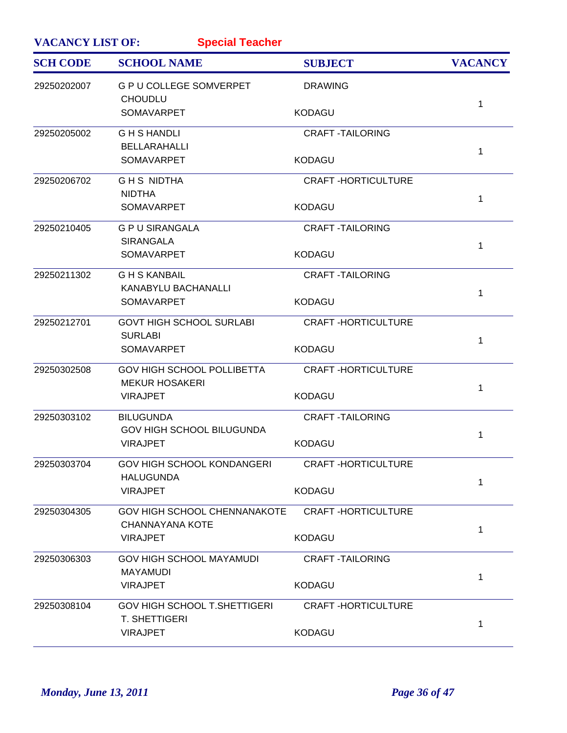| <b>VACANCY LIST OF:</b><br><b>Special Teacher</b> |                                                             |                           |                |
|---------------------------------------------------|-------------------------------------------------------------|---------------------------|----------------|
| <b>SCH CODE</b>                                   | <b>SCHOOL NAME</b>                                          | <b>SUBJECT</b>            | <b>VACANCY</b> |
| 29250202007                                       | <b>G P U COLLEGE SOMVERPET</b><br><b>CHOUDLU</b>            | <b>DRAWING</b>            |                |
|                                                   | <b>SOMAVARPET</b>                                           | <b>KODAGU</b>             | 1              |
| 29250205002                                       | <b>GHSHANDLI</b>                                            | <b>CRAFT-TAILORING</b>    |                |
|                                                   | <b>BELLARAHALLI</b><br><b>SOMAVARPET</b>                    | <b>KODAGU</b>             | 1              |
| 29250206702                                       | <b>GHS NIDTHA</b>                                           | <b>CRAFT-HORTICULTURE</b> |                |
|                                                   | <b>NIDTHA</b><br><b>SOMAVARPET</b>                          | <b>KODAGU</b>             | 1              |
| 29250210405                                       | <b>G P U SIRANGALA</b><br><b>SIRANGALA</b>                  | <b>CRAFT-TAILORING</b>    |                |
|                                                   | <b>SOMAVARPET</b>                                           | <b>KODAGU</b>             | 1              |
| 29250211302                                       | <b>GHS KANBAIL</b><br><b>KANABYLU BACHANALLI</b>            | <b>CRAFT-TAILORING</b>    | 1              |
|                                                   | <b>SOMAVARPET</b>                                           | <b>KODAGU</b>             |                |
| 29250212701                                       | <b>GOVT HIGH SCHOOL SURLABI</b><br><b>SURLABI</b>           | <b>CRAFT-HORTICULTURE</b> | 1              |
|                                                   | <b>SOMAVARPET</b>                                           | <b>KODAGU</b>             |                |
| 29250302508                                       | <b>GOV HIGH SCHOOL POLLIBETTA</b><br><b>MEKUR HOSAKERI</b>  | <b>CRAFT-HORTICULTURE</b> | 1              |
|                                                   | <b>VIRAJPET</b>                                             | <b>KODAGU</b>             |                |
| 29250303102                                       | <b>BILUGUNDA</b><br><b>GOV HIGH SCHOOL BILUGUNDA</b>        | <b>CRAFT -TAILORING</b>   | 1              |
|                                                   | <b>VIRAJPET</b>                                             | <b>KODAGU</b>             |                |
| 29250303704                                       | GOV HIGH SCHOOL KONDANGERI<br><b>HALUGUNDA</b>              | <b>CRAFT-HORTICULTURE</b> | 1              |
|                                                   | <b>VIRAJPET</b>                                             | <b>KODAGU</b>             |                |
| 29250304305                                       | GOV HIGH SCHOOL CHENNANAKOTE<br><b>CHANNAYANA KOTE</b>      | <b>CRAFT-HORTICULTURE</b> | $\mathbf{1}$   |
|                                                   | <b>VIRAJPET</b>                                             | <b>KODAGU</b>             |                |
| 29250306303                                       | <b>GOV HIGH SCHOOL MAYAMUDI</b><br><b>MAYAMUDI</b>          | <b>CRAFT-TAILORING</b>    |                |
|                                                   | <b>VIRAJPET</b>                                             | <b>KODAGU</b>             | 1              |
| 29250308104                                       | <b>GOV HIGH SCHOOL T.SHETTIGERI</b><br><b>T. SHETTIGERI</b> | <b>CRAFT-HORTICULTURE</b> |                |
|                                                   | <b>VIRAJPET</b>                                             | <b>KODAGU</b>             | 1              |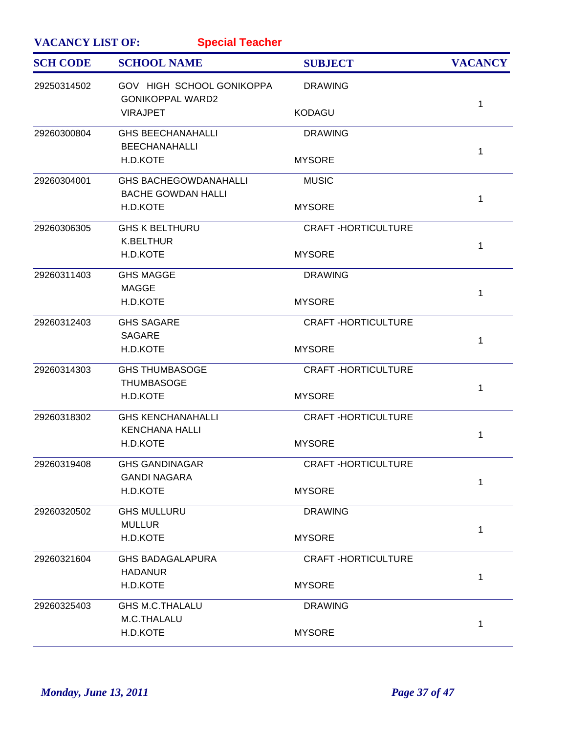| <b>VACANCY LIST OF:</b><br><b>Special Teacher</b> |                                                           |                           |                |  |
|---------------------------------------------------|-----------------------------------------------------------|---------------------------|----------------|--|
| <b>SCH CODE</b>                                   | <b>SCHOOL NAME</b>                                        | <b>SUBJECT</b>            | <b>VACANCY</b> |  |
| 29250314502                                       | GOV HIGH SCHOOL GONIKOPPA<br><b>GONIKOPPAL WARD2</b>      | <b>DRAWING</b>            |                |  |
|                                                   | <b>VIRAJPET</b>                                           | <b>KODAGU</b>             | 1              |  |
| 29260300804                                       | <b>GHS BEECHANAHALLI</b><br><b>BEECHANAHALLI</b>          | <b>DRAWING</b>            | $\mathbf{1}$   |  |
|                                                   | H.D.KOTE                                                  | <b>MYSORE</b>             |                |  |
| 29260304001                                       | <b>GHS BACHEGOWDANAHALLI</b><br><b>BACHE GOWDAN HALLI</b> | <b>MUSIC</b>              | $\mathbf{1}$   |  |
|                                                   | H.D.KOTE                                                  | <b>MYSORE</b>             |                |  |
| 29260306305                                       | <b>GHS K BELTHURU</b><br><b>K.BELTHUR</b>                 | <b>CRAFT-HORTICULTURE</b> | $\mathbf{1}$   |  |
|                                                   | H.D.KOTE                                                  | <b>MYSORE</b>             |                |  |
| 29260311403                                       | <b>GHS MAGGE</b><br><b>MAGGE</b>                          | <b>DRAWING</b>            | $\mathbf{1}$   |  |
|                                                   | H.D.KOTE                                                  | <b>MYSORE</b>             |                |  |
| 29260312403                                       | <b>GHS SAGARE</b><br><b>SAGARE</b>                        | <b>CRAFT-HORTICULTURE</b> | $\mathbf{1}$   |  |
|                                                   | H.D.KOTE                                                  | <b>MYSORE</b>             |                |  |
| 29260314303                                       | <b>GHS THUMBASOGE</b><br><b>THUMBASOGE</b>                | <b>CRAFT-HORTICULTURE</b> | $\mathbf{1}$   |  |
|                                                   | H.D.KOTE                                                  | <b>MYSORE</b>             |                |  |
| 29260318302                                       | <b>GHS KENCHANAHALLI</b><br><b>KENCHANA HALLI</b>         | <b>CRAFT-HORTICULTURE</b> | 1              |  |
|                                                   | H.D.KOTE                                                  | <b>MYSORE</b>             |                |  |
| 29260319408                                       | <b>GHS GANDINAGAR</b><br><b>GANDI NAGARA</b>              | <b>CRAFT-HORTICULTURE</b> | 1              |  |
|                                                   | H.D.KOTE                                                  | <b>MYSORE</b>             |                |  |
| 29260320502                                       | <b>GHS MULLURU</b><br><b>MULLUR</b>                       | <b>DRAWING</b>            |                |  |
|                                                   | H.D.KOTE                                                  | <b>MYSORE</b>             | $\mathbf 1$    |  |
| 29260321604                                       | <b>GHS BADAGALAPURA</b><br><b>HADANUR</b>                 | <b>CRAFT-HORTICULTURE</b> |                |  |
|                                                   | H.D.KOTE                                                  | <b>MYSORE</b>             | $\mathbf{1}$   |  |
| 29260325403                                       | <b>GHS M.C.THALALU</b><br>M.C.THALALU                     | <b>DRAWING</b>            |                |  |
|                                                   | H.D.KOTE                                                  | <b>MYSORE</b>             | 1              |  |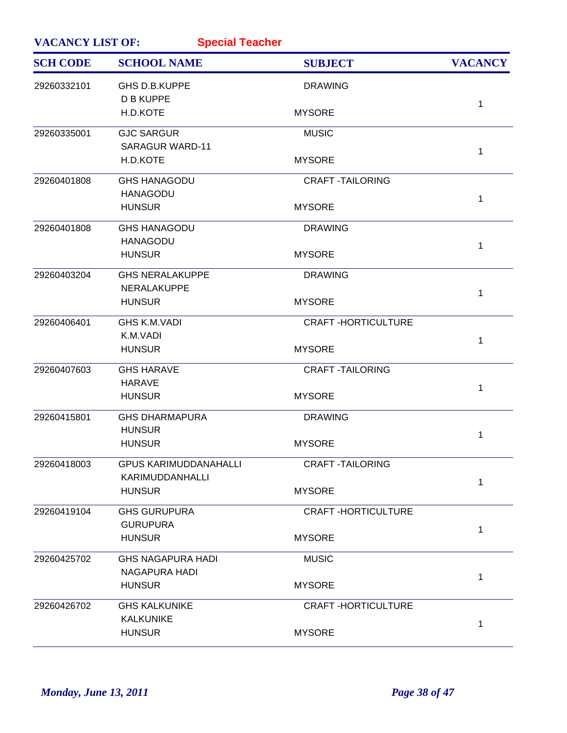| <b>VACANCY LIST OF:</b><br><b>Special Teacher</b> |                              |                           |                |  |
|---------------------------------------------------|------------------------------|---------------------------|----------------|--|
| <b>SCH CODE</b>                                   | <b>SCHOOL NAME</b>           | <b>SUBJECT</b>            | <b>VACANCY</b> |  |
| 29260332101                                       | GHS D.B.KUPPE                | <b>DRAWING</b>            |                |  |
|                                                   | <b>D B KUPPE</b>             |                           | $\mathbf{1}$   |  |
|                                                   | H.D.KOTE                     | <b>MYSORE</b>             |                |  |
| 29260335001                                       | <b>GJC SARGUR</b>            | <b>MUSIC</b>              |                |  |
|                                                   | <b>SARAGUR WARD-11</b>       |                           | $\mathbf{1}$   |  |
|                                                   | H.D.KOTE                     | <b>MYSORE</b>             |                |  |
| 29260401808                                       | <b>GHS HANAGODU</b>          | <b>CRAFT -TAILORING</b>   |                |  |
|                                                   | <b>HANAGODU</b>              |                           | $\mathbf{1}$   |  |
|                                                   | <b>HUNSUR</b>                | <b>MYSORE</b>             |                |  |
| 29260401808                                       | <b>GHS HANAGODU</b>          | <b>DRAWING</b>            |                |  |
|                                                   | <b>HANAGODU</b>              |                           | $\mathbf 1$    |  |
|                                                   | <b>HUNSUR</b>                | <b>MYSORE</b>             |                |  |
| 29260403204                                       | <b>GHS NERALAKUPPE</b>       | <b>DRAWING</b>            |                |  |
|                                                   | NERALAKUPPE                  |                           | 1              |  |
|                                                   | <b>HUNSUR</b>                | <b>MYSORE</b>             |                |  |
| 29260406401                                       | <b>GHS K.M.VADI</b>          | <b>CRAFT-HORTICULTURE</b> |                |  |
|                                                   | K.M.VADI                     |                           | $\mathbf{1}$   |  |
|                                                   | <b>HUNSUR</b>                | <b>MYSORE</b>             |                |  |
| 29260407603                                       | <b>GHS HARAVE</b>            | <b>CRAFT-TAILORING</b>    |                |  |
|                                                   | <b>HARAVE</b>                |                           | 1              |  |
|                                                   | <b>HUNSUR</b>                | <b>MYSORE</b>             |                |  |
| 29260415801                                       | <b>GHS DHARMAPURA</b>        | <b>DRAWING</b>            |                |  |
|                                                   | <b>HUNSUR</b>                |                           | 1              |  |
|                                                   | <b>HUNSUR</b>                | <b>MYSORE</b>             |                |  |
| 29260418003                                       | <b>GPUS KARIMUDDANAHALLI</b> | <b>CRAFT-TAILORING</b>    |                |  |
|                                                   | KARIMUDDANHALLI              |                           | 1              |  |
|                                                   | <b>HUNSUR</b>                | <b>MYSORE</b>             |                |  |
| 29260419104                                       | <b>GHS GURUPURA</b>          | <b>CRAFT-HORTICULTURE</b> |                |  |
|                                                   | <b>GURUPURA</b>              |                           | $\mathbf 1$    |  |
|                                                   | <b>HUNSUR</b>                | <b>MYSORE</b>             |                |  |
| 29260425702                                       | <b>GHS NAGAPURA HADI</b>     | <b>MUSIC</b>              |                |  |
|                                                   | NAGAPURA HADI                |                           | 1              |  |
|                                                   | <b>HUNSUR</b>                | <b>MYSORE</b>             |                |  |
| 29260426702                                       | <b>GHS KALKUNIKE</b>         | <b>CRAFT-HORTICULTURE</b> |                |  |
|                                                   | <b>KALKUNIKE</b>             |                           | $\mathbf{1}$   |  |
|                                                   | <b>HUNSUR</b>                | <b>MYSORE</b>             |                |  |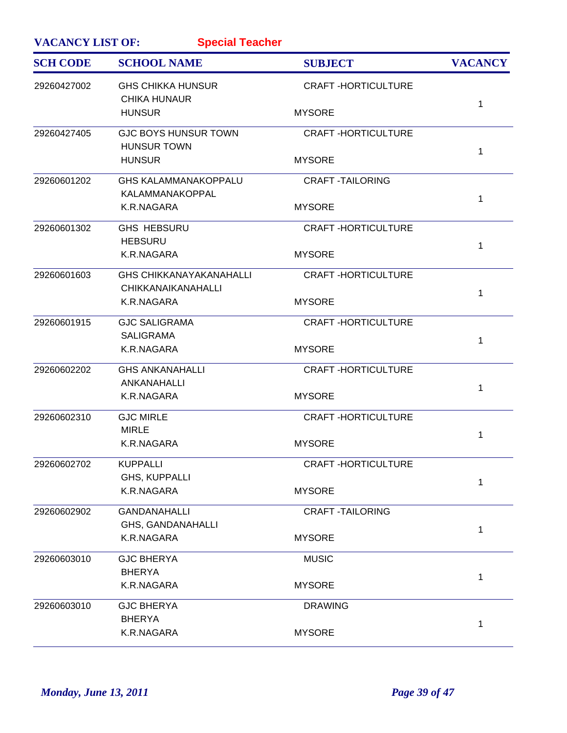| <b>VACANCY LIST OF:</b><br><b>Special Teacher</b> |                                                             |                           |                |  |
|---------------------------------------------------|-------------------------------------------------------------|---------------------------|----------------|--|
| <b>SCH CODE</b>                                   | <b>SCHOOL NAME</b>                                          | <b>SUBJECT</b>            | <b>VACANCY</b> |  |
| 29260427002                                       | <b>GHS CHIKKA HUNSUR</b><br><b>CHIKA HUNAUR</b>             | <b>CRAFT-HORTICULTURE</b> |                |  |
|                                                   | <b>HUNSUR</b>                                               | <b>MYSORE</b>             | 1              |  |
| 29260427405                                       | <b>GJC BOYS HUNSUR TOWN</b><br><b>HUNSUR TOWN</b>           | <b>CRAFT-HORTICULTURE</b> |                |  |
|                                                   | <b>HUNSUR</b>                                               | <b>MYSORE</b>             | 1              |  |
| 29260601202                                       | <b>GHS KALAMMANAKOPPALU</b><br>KALAMMANAKOPPAL              | <b>CRAFT -TAILORING</b>   | 1              |  |
|                                                   | K.R.NAGARA                                                  | <b>MYSORE</b>             |                |  |
| 29260601302                                       | <b>GHS HEBSURU</b><br><b>HEBSURU</b>                        | <b>CRAFT-HORTICULTURE</b> | 1              |  |
|                                                   | K.R.NAGARA                                                  | <b>MYSORE</b>             |                |  |
| 29260601603                                       | <b>GHS CHIKKANAYAKANAHALLI</b><br><b>CHIKKANAIKANAHALLI</b> | <b>CRAFT-HORTICULTURE</b> | 1              |  |
|                                                   | K.R.NAGARA                                                  | <b>MYSORE</b>             |                |  |
| 29260601915                                       | <b>GJC SALIGRAMA</b><br><b>SALIGRAMA</b>                    | <b>CRAFT-HORTICULTURE</b> | 1              |  |
|                                                   | K.R.NAGARA                                                  | <b>MYSORE</b>             |                |  |
| 29260602202                                       | <b>GHS ANKANAHALLI</b><br>ANKANAHALLI                       | <b>CRAFT-HORTICULTURE</b> | 1              |  |
|                                                   | K.R.NAGARA                                                  | <b>MYSORE</b>             |                |  |
| 29260602310                                       | <b>GJC MIRLE</b><br><b>MIRLE</b>                            | <b>CRAFT-HORTICULTURE</b> | 1              |  |
|                                                   | K.R.NAGARA                                                  | <b>MYSORE</b>             |                |  |
| 29260602702                                       | <b>KUPPALLI</b><br>GHS, KUPPALLI                            | <b>CRAFT-HORTICULTURE</b> | 1              |  |
|                                                   | K.R.NAGARA                                                  | <b>MYSORE</b>             |                |  |
| 29260602902                                       | <b>GANDANAHALLI</b><br>GHS, GANDANAHALLI                    | <b>CRAFT-TAILORING</b>    | 1              |  |
|                                                   | K.R.NAGARA                                                  | <b>MYSORE</b>             |                |  |
| 29260603010                                       | <b>GJC BHERYA</b><br><b>BHERYA</b>                          | <b>MUSIC</b>              | 1              |  |
|                                                   | K.R.NAGARA                                                  | <b>MYSORE</b>             |                |  |
| 29260603010                                       | <b>GJC BHERYA</b><br><b>BHERYA</b>                          | <b>DRAWING</b>            | 1              |  |
|                                                   | K.R.NAGARA                                                  | <b>MYSORE</b>             |                |  |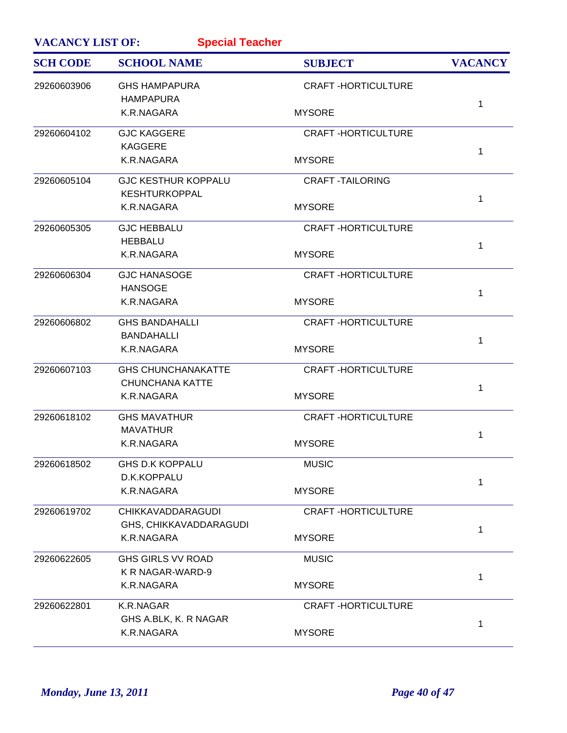| <b>VACANCY LIST OF:</b><br><b>Special Teacher</b> |                            |                           |                |  |
|---------------------------------------------------|----------------------------|---------------------------|----------------|--|
| <b>SCH CODE</b>                                   | <b>SCHOOL NAME</b>         | <b>SUBJECT</b>            | <b>VACANCY</b> |  |
| 29260603906                                       | <b>GHS HAMPAPURA</b>       | <b>CRAFT-HORTICULTURE</b> |                |  |
|                                                   | <b>HAMPAPURA</b>           |                           | 1              |  |
|                                                   | K.R.NAGARA                 | <b>MYSORE</b>             |                |  |
| 29260604102                                       | <b>GJC KAGGERE</b>         | <b>CRAFT-HORTICULTURE</b> |                |  |
|                                                   | <b>KAGGERE</b>             |                           | 1              |  |
|                                                   | K.R.NAGARA                 | <b>MYSORE</b>             |                |  |
| 29260605104                                       | <b>GJC KESTHUR KOPPALU</b> | <b>CRAFT-TAILORING</b>    |                |  |
|                                                   | <b>KESHTURKOPPAL</b>       |                           | 1              |  |
|                                                   | K.R.NAGARA                 | <b>MYSORE</b>             |                |  |
| 29260605305                                       | <b>GJC HEBBALU</b>         | <b>CRAFT-HORTICULTURE</b> |                |  |
|                                                   | <b>HEBBALU</b>             |                           | 1              |  |
|                                                   | K.R.NAGARA                 | <b>MYSORE</b>             |                |  |
| 29260606304                                       | <b>GJC HANASOGE</b>        | <b>CRAFT-HORTICULTURE</b> |                |  |
|                                                   | <b>HANSOGE</b>             |                           | 1              |  |
|                                                   | K.R.NAGARA                 | <b>MYSORE</b>             |                |  |
| 29260606802                                       | <b>GHS BANDAHALLI</b>      | <b>CRAFT-HORTICULTURE</b> |                |  |
|                                                   | <b>BANDAHALLI</b>          |                           | 1              |  |
|                                                   | K.R.NAGARA                 | <b>MYSORE</b>             |                |  |
| 29260607103                                       | <b>GHS CHUNCHANAKATTE</b>  | <b>CRAFT-HORTICULTURE</b> |                |  |
|                                                   | <b>CHUNCHANA KATTE</b>     |                           | 1              |  |
|                                                   | K.R.NAGARA                 | <b>MYSORE</b>             |                |  |
| 29260618102                                       | <b>GHS MAVATHUR</b>        | <b>CRAFT-HORTICULTURE</b> |                |  |
|                                                   | <b>MAVATHUR</b>            |                           | 1              |  |
|                                                   | K.R.NAGARA                 | <b>MYSORE</b>             |                |  |
| 29260618502                                       | <b>GHS D.K KOPPALU</b>     | <b>MUSIC</b>              |                |  |
|                                                   | D.K.KOPPALU                |                           | 1              |  |
|                                                   | K.R.NAGARA                 | <b>MYSORE</b>             |                |  |
| 29260619702                                       | <b>CHIKKAVADDARAGUDI</b>   | <b>CRAFT-HORTICULTURE</b> |                |  |
|                                                   | GHS, CHIKKAVADDARAGUDI     |                           | 1              |  |
|                                                   | K.R.NAGARA                 | <b>MYSORE</b>             |                |  |
| 29260622605                                       | <b>GHS GIRLS VV ROAD</b>   | <b>MUSIC</b>              |                |  |
|                                                   | K R NAGAR-WARD-9           |                           | 1              |  |
|                                                   | K.R.NAGARA                 | <b>MYSORE</b>             |                |  |
| 29260622801                                       | K.R.NAGAR                  | <b>CRAFT-HORTICULTURE</b> |                |  |
|                                                   | GHS A.BLK, K. R NAGAR      |                           | 1              |  |
|                                                   | K.R.NAGARA                 | <b>MYSORE</b>             |                |  |
|                                                   |                            |                           |                |  |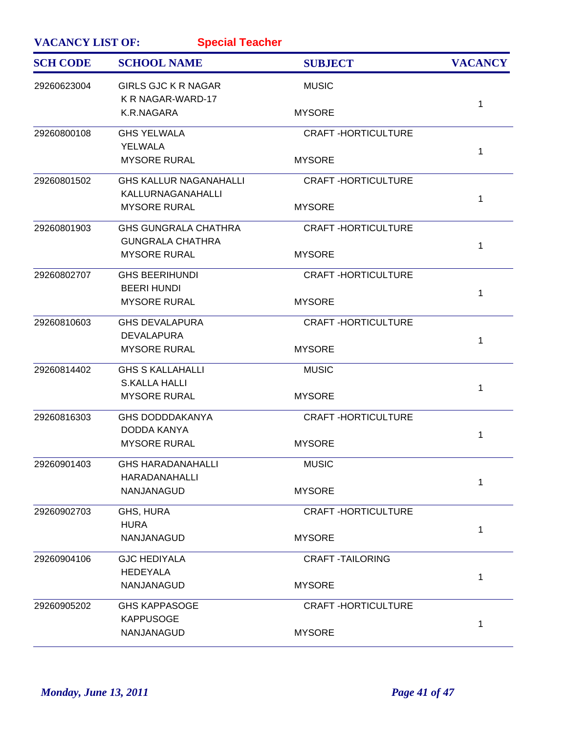| <b>VACANCY LIST OF:</b><br><b>Special Teacher</b> |                                                        |                           |                |  |
|---------------------------------------------------|--------------------------------------------------------|---------------------------|----------------|--|
| <b>SCH CODE</b>                                   | <b>SCHOOL NAME</b>                                     | <b>SUBJECT</b>            | <b>VACANCY</b> |  |
| 29260623004                                       | <b>GIRLS GJC K R NAGAR</b><br>K R NAGAR-WARD-17        | <b>MUSIC</b>              |                |  |
|                                                   | K.R.NAGARA                                             | <b>MYSORE</b>             | 1              |  |
| 29260800108                                       | <b>GHS YELWALA</b>                                     | <b>CRAFT-HORTICULTURE</b> |                |  |
|                                                   | <b>YELWALA</b><br><b>MYSORE RURAL</b>                  | <b>MYSORE</b>             | 1              |  |
| 29260801502                                       | <b>GHS KALLUR NAGANAHALLI</b><br>KALLURNAGANAHALLI     | <b>CRAFT-HORTICULTURE</b> |                |  |
|                                                   | <b>MYSORE RURAL</b>                                    | <b>MYSORE</b>             | 1              |  |
| 29260801903                                       | <b>GHS GUNGRALA CHATHRA</b><br><b>GUNGRALA CHATHRA</b> | <b>CRAFT-HORTICULTURE</b> |                |  |
|                                                   | <b>MYSORE RURAL</b>                                    | <b>MYSORE</b>             | 1              |  |
| 29260802707                                       | <b>GHS BEERIHUNDI</b>                                  | <b>CRAFT-HORTICULTURE</b> |                |  |
|                                                   | <b>BEERI HUNDI</b><br><b>MYSORE RURAL</b>              | <b>MYSORE</b>             | 1              |  |
| 29260810603                                       | <b>GHS DEVALAPURA</b>                                  | <b>CRAFT-HORTICULTURE</b> |                |  |
|                                                   | <b>DEVALAPURA</b><br><b>MYSORE RURAL</b>               | <b>MYSORE</b>             | 1              |  |
| 29260814402                                       | <b>GHS S KALLAHALLI</b><br><b>S.KALLA HALLI</b>        | <b>MUSIC</b>              |                |  |
|                                                   | <b>MYSORE RURAL</b>                                    | <b>MYSORE</b>             | 1              |  |
| 29260816303                                       | <b>GHS DODDDAKANYA</b>                                 | <b>CRAFT-HORTICULTURE</b> |                |  |
|                                                   | DODDA KANYA<br><b>MYSORE RURAL</b>                     | <b>MYSORE</b>             | 1              |  |
| 29260901403                                       | <b>GHS HARADANAHALLI</b>                               | <b>MUSIC</b>              |                |  |
|                                                   | HARADANAHALLI<br>NANJANAGUD                            | <b>MYSORE</b>             | 1              |  |
| 29260902703                                       | GHS, HURA                                              | <b>CRAFT-HORTICULTURE</b> |                |  |
|                                                   | <b>HURA</b><br>NANJANAGUD                              | <b>MYSORE</b>             | 1              |  |
| 29260904106                                       | <b>GJC HEDIYALA</b>                                    | <b>CRAFT -TAILORING</b>   |                |  |
|                                                   | <b>HEDEYALA</b><br>NANJANAGUD                          | <b>MYSORE</b>             | 1              |  |
| 29260905202                                       | <b>GHS KAPPASOGE</b>                                   | <b>CRAFT-HORTICULTURE</b> |                |  |
|                                                   | <b>KAPPUSOGE</b><br>NANJANAGUD                         | <b>MYSORE</b>             | 1              |  |
|                                                   |                                                        |                           |                |  |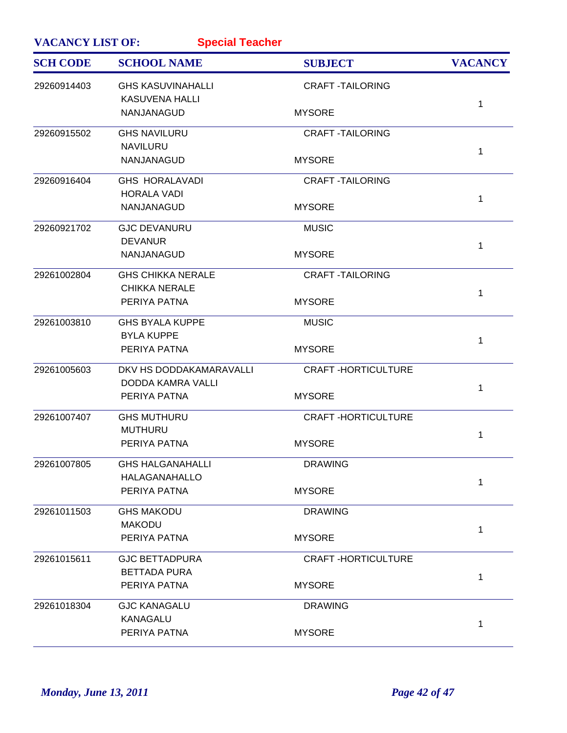| <b>VACANCY LIST OF:</b> | <b>Special Teacher</b>                            |                           |                |
|-------------------------|---------------------------------------------------|---------------------------|----------------|
| <b>SCH CODE</b>         | <b>SCHOOL NAME</b>                                | <b>SUBJECT</b>            | <b>VACANCY</b> |
| 29260914403             | <b>GHS KASUVINAHALLI</b><br><b>KASUVENA HALLI</b> | <b>CRAFT-TAILORING</b>    |                |
|                         | NANJANAGUD                                        | <b>MYSORE</b>             | 1              |
| 29260915502             | <b>GHS NAVILURU</b>                               | <b>CRAFT-TAILORING</b>    |                |
|                         | <b>NAVILURU</b><br>NANJANAGUD                     | <b>MYSORE</b>             | 1              |
| 29260916404             | <b>GHS HORALAVADI</b>                             | <b>CRAFT-TAILORING</b>    |                |
|                         | <b>HORALA VADI</b><br>NANJANAGUD                  | <b>MYSORE</b>             | 1              |
| 29260921702             | <b>GJC DEVANURU</b>                               | <b>MUSIC</b>              |                |
|                         | <b>DEVANUR</b><br>NANJANAGUD                      | <b>MYSORE</b>             | $\mathbf{1}$   |
| 29261002804             | <b>GHS CHIKKA NERALE</b>                          | <b>CRAFT-TAILORING</b>    |                |
|                         | <b>CHIKKA NERALE</b>                              |                           | 1              |
|                         | PERIYA PATNA                                      | <b>MYSORE</b>             |                |
| 29261003810             | <b>GHS BYALA KUPPE</b><br><b>BYLA KUPPE</b>       | <b>MUSIC</b>              |                |
|                         | PERIYA PATNA                                      | <b>MYSORE</b>             | 1              |
| 29261005603             | DKV HS DODDAKAMARAVALLI                           | <b>CRAFT-HORTICULTURE</b> |                |
|                         | DODDA KAMRA VALLI<br>PERIYA PATNA                 | <b>MYSORE</b>             | 1              |
| 29261007407             | <b>GHS MUTHURU</b>                                | <b>CRAFT-HORTICULTURE</b> |                |
|                         | <b>MUTHURU</b>                                    |                           | 1              |
|                         | PERIYA PATNA                                      | <b>MYSORE</b>             |                |
| 29261007805             | <b>GHS HALGANAHALLI</b>                           | <b>DRAWING</b>            |                |
|                         | <b>HALAGANAHALLO</b><br>PERIYA PATNA              | <b>MYSORE</b>             | $\mathbf{1}$   |
| 29261011503             | <b>GHS MAKODU</b>                                 | <b>DRAWING</b>            |                |
|                         | <b>MAKODU</b><br>PERIYA PATNA                     | <b>MYSORE</b>             | 1              |
|                         |                                                   |                           |                |
| 29261015611             | <b>GJC BETTADPURA</b>                             | <b>CRAFT-HORTICULTURE</b> |                |
|                         | <b>BETTADA PURA</b><br>PERIYA PATNA               | <b>MYSORE</b>             | 1              |
| 29261018304             | <b>GJC KANAGALU</b>                               | <b>DRAWING</b>            |                |
|                         | <b>KANAGALU</b>                                   |                           | 1              |
|                         | PERIYA PATNA                                      | <b>MYSORE</b>             |                |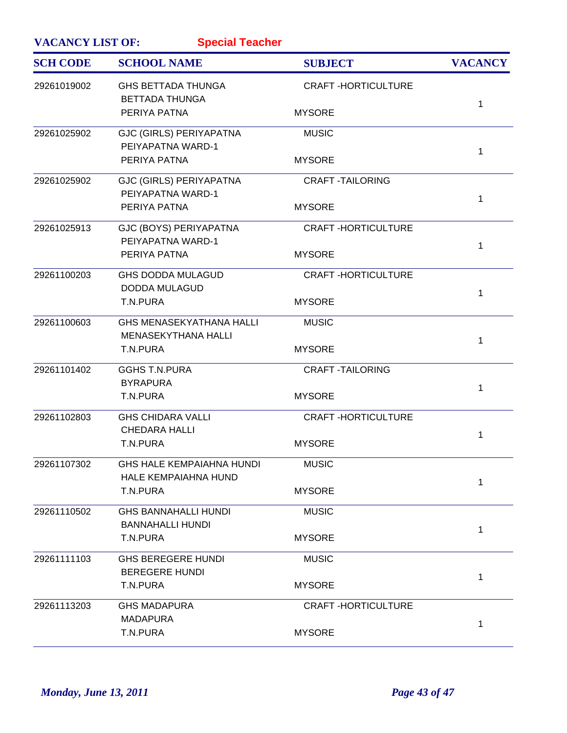| <b>VACANCY LIST OF:</b> | <b>Special Teacher</b>                                          |                           |                |
|-------------------------|-----------------------------------------------------------------|---------------------------|----------------|
| <b>SCH CODE</b>         | <b>SCHOOL NAME</b>                                              | <b>SUBJECT</b>            | <b>VACANCY</b> |
| 29261019002             | <b>GHS BETTADA THUNGA</b><br><b>BETTADA THUNGA</b>              | <b>CRAFT-HORTICULTURE</b> |                |
|                         | PERIYA PATNA                                                    | <b>MYSORE</b>             | 1              |
| 29261025902             | <b>GJC (GIRLS) PERIYAPATNA</b><br>PEIYAPATNA WARD-1             | <b>MUSIC</b>              | 1              |
|                         | PERIYA PATNA                                                    | <b>MYSORE</b>             |                |
| 29261025902             | <b>GJC (GIRLS) PERIYAPATNA</b><br>PEIYAPATNA WARD-1             | <b>CRAFT-TAILORING</b>    | 1              |
|                         | PERIYA PATNA                                                    | <b>MYSORE</b>             |                |
| 29261025913             | GJC (BOYS) PERIYAPATNA<br>PEIYAPATNA WARD-1                     | <b>CRAFT-HORTICULTURE</b> | 1              |
|                         | PERIYA PATNA                                                    | <b>MYSORE</b>             |                |
| 29261100203             | <b>GHS DODDA MULAGUD</b><br><b>DODDA MULAGUD</b>                | <b>CRAFT-HORTICULTURE</b> | 1              |
|                         | T.N.PURA                                                        | <b>MYSORE</b>             |                |
| 29261100603             | <b>GHS MENASEKYATHANA HALLI</b><br>MENASEKYTHANA HALLI          | <b>MUSIC</b>              | 1              |
|                         | T.N.PURA                                                        | <b>MYSORE</b>             |                |
| 29261101402             | <b>GGHS T.N.PURA</b><br><b>BYRAPURA</b>                         | <b>CRAFT-TAILORING</b>    | 1              |
|                         | T.N.PURA                                                        | <b>MYSORE</b>             |                |
| 29261102803             | <b>GHS CHIDARA VALLI</b><br><b>CHEDARA HALLI</b>                | <b>CRAFT-HORTICULTURE</b> | 1              |
|                         | T.N.PURA                                                        | <b>MYSORE</b>             |                |
| 29261107302             | <b>GHS HALE KEMPAIAHNA HUNDI</b><br><b>HALE KEMPAIAHNA HUND</b> | <b>MUSIC</b>              | 1              |
|                         | T.N.PURA                                                        | <b>MYSORE</b>             |                |
| 29261110502             | <b>GHS BANNAHALLI HUNDI</b><br><b>BANNAHALLI HUNDI</b>          | <b>MUSIC</b>              | 1              |
|                         | T.N.PURA                                                        | <b>MYSORE</b>             |                |
| 29261111103             | <b>GHS BEREGERE HUNDI</b><br><b>BEREGERE HUNDI</b>              | <b>MUSIC</b>              | 1              |
|                         | T.N.PURA                                                        | <b>MYSORE</b>             |                |
| 29261113203             | <b>GHS MADAPURA</b><br><b>MADAPURA</b>                          | <b>CRAFT-HORTICULTURE</b> | 1              |
|                         | T.N.PURA                                                        | <b>MYSORE</b>             |                |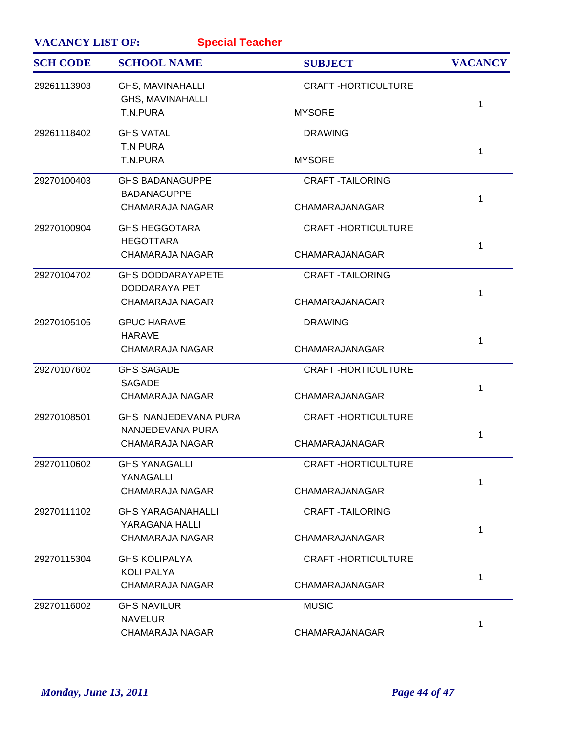| <b>VACANCY LIST OF:</b> | <b>Special Teacher</b>                       |                           |                |
|-------------------------|----------------------------------------------|---------------------------|----------------|
| <b>SCH CODE</b>         | <b>SCHOOL NAME</b>                           | <b>SUBJECT</b>            | <b>VACANCY</b> |
| 29261113903             | GHS, MAVINAHALLI<br><b>GHS, MAVINAHALLI</b>  | <b>CRAFT-HORTICULTURE</b> |                |
|                         | T.N.PURA                                     | <b>MYSORE</b>             | 1              |
| 29261118402             | <b>GHS VATAL</b>                             | <b>DRAWING</b>            |                |
|                         | <b>T.N PURA</b><br>T.N.PURA                  | <b>MYSORE</b>             | 1              |
| 29270100403             | <b>GHS BADANAGUPPE</b>                       | <b>CRAFT-TAILORING</b>    |                |
|                         | <b>BADANAGUPPE</b><br><b>CHAMARAJA NAGAR</b> | CHAMARAJANAGAR            | 1              |
| 29270100904             | <b>GHS HEGGOTARA</b>                         | <b>CRAFT-HORTICULTURE</b> |                |
|                         | <b>HEGOTTARA</b><br><b>CHAMARAJA NAGAR</b>   | CHAMARAJANAGAR            | 1              |
| 29270104702             | <b>GHS DODDARAYAPETE</b>                     | <b>CRAFT -TAILORING</b>   |                |
|                         | DODDARAYA PET<br><b>CHAMARAJA NAGAR</b>      | CHAMARAJANAGAR            | 1              |
| 29270105105             | <b>GPUC HARAVE</b>                           | <b>DRAWING</b>            |                |
|                         | <b>HARAVE</b><br><b>CHAMARAJA NAGAR</b>      | CHAMARAJANAGAR            | 1              |
| 29270107602             | <b>GHS SAGADE</b>                            | <b>CRAFT-HORTICULTURE</b> |                |
|                         | <b>SAGADE</b><br><b>CHAMARAJA NAGAR</b>      | CHAMARAJANAGAR            | 1              |
| 29270108501             | GHS NANJEDEVANA PURA                         | <b>CRAFT-HORTICULTURE</b> |                |
|                         | NANJEDEVANA PURA<br><b>CHAMARAJA NAGAR</b>   | CHAMARAJANAGAR            | 1              |
| 29270110602             | <b>GHS YANAGALLI</b>                         | <b>CRAFT-HORTICULTURE</b> |                |
|                         | YANAGALLI<br><b>CHAMARAJA NAGAR</b>          | CHAMARAJANAGAR            | 1              |
| 29270111102             | <b>GHS YARAGANAHALLI</b>                     | <b>CRAFT-TAILORING</b>    |                |
|                         | YARAGANA HALLI<br><b>CHAMARAJA NAGAR</b>     | CHAMARAJANAGAR            | 1              |
| 29270115304             | <b>GHS KOLIPALYA</b>                         | <b>CRAFT-HORTICULTURE</b> |                |
|                         | <b>KOLI PALYA</b><br><b>CHAMARAJA NAGAR</b>  | CHAMARAJANAGAR            | 1              |
| 29270116002             | <b>GHS NAVILUR</b>                           | <b>MUSIC</b>              |                |
|                         | <b>NAVELUR</b><br><b>CHAMARAJA NAGAR</b>     | CHAMARAJANAGAR            | 1              |
|                         |                                              |                           |                |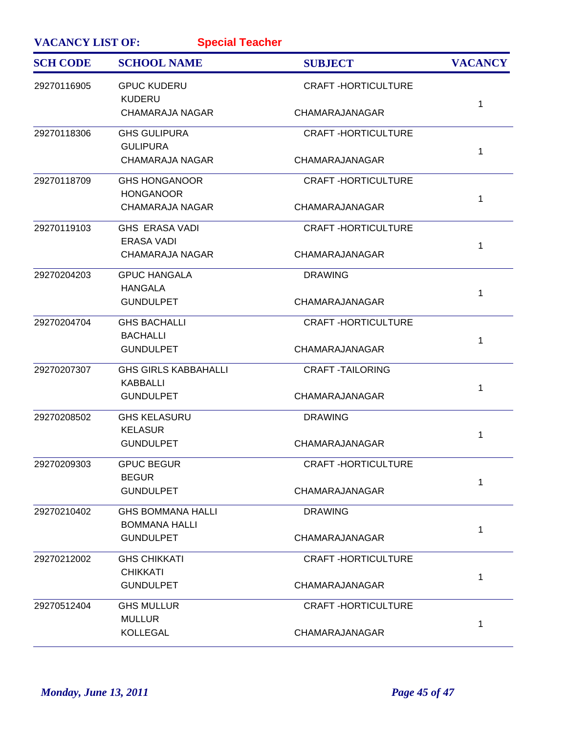| <b>VACANCY LIST OF:</b> | <b>Special Teacher</b>                           |                           |                |
|-------------------------|--------------------------------------------------|---------------------------|----------------|
| <b>SCH CODE</b>         | <b>SCHOOL NAME</b>                               | <b>SUBJECT</b>            | <b>VACANCY</b> |
| 29270116905             | <b>GPUC KUDERU</b><br><b>KUDERU</b>              | <b>CRAFT-HORTICULTURE</b> | 1              |
|                         | <b>CHAMARAJA NAGAR</b>                           | CHAMARAJANAGAR            |                |
| 29270118306             | <b>GHS GULIPURA</b><br><b>GULIPURA</b>           | <b>CRAFT-HORTICULTURE</b> | 1              |
|                         | <b>CHAMARAJA NAGAR</b>                           | CHAMARAJANAGAR            |                |
| 29270118709             | <b>GHS HONGANOOR</b><br><b>HONGANOOR</b>         | <b>CRAFT-HORTICULTURE</b> | 1              |
|                         | <b>CHAMARAJA NAGAR</b>                           | CHAMARAJANAGAR            |                |
| 29270119103             | <b>GHS ERASA VADI</b><br><b>ERASA VADI</b>       | <b>CRAFT-HORTICULTURE</b> | 1              |
|                         | <b>CHAMARAJA NAGAR</b>                           | CHAMARAJANAGAR            |                |
| 29270204203             | <b>GPUC HANGALA</b><br><b>HANGALA</b>            | <b>DRAWING</b>            | 1              |
|                         | <b>GUNDULPET</b>                                 | CHAMARAJANAGAR            |                |
| 29270204704             | <b>GHS BACHALLI</b><br><b>BACHALLI</b>           | <b>CRAFT-HORTICULTURE</b> | 1              |
|                         | <b>GUNDULPET</b>                                 | CHAMARAJANAGAR            |                |
| 29270207307             | <b>GHS GIRLS KABBAHALLI</b><br><b>KABBALLI</b>   | <b>CRAFT -TAILORING</b>   | 1              |
|                         | <b>GUNDULPET</b>                                 | CHAMARAJANAGAR            |                |
| 29270208502             | <b>GHS KELASURU</b><br><b>KELASUR</b>            | <b>DRAWING</b>            | 1              |
|                         | <b>GUNDULPET</b>                                 | CHAMARAJANAGAR            |                |
| 29270209303             | <b>GPUC BEGUR</b><br><b>BEGUR</b>                | <b>CRAFT-HORTICULTURE</b> | $\mathbf{1}$   |
|                         | <b>GUNDULPET</b>                                 | CHAMARAJANAGAR            |                |
| 29270210402             | <b>GHS BOMMANA HALLI</b><br><b>BOMMANA HALLI</b> | <b>DRAWING</b>            | 1              |
|                         | <b>GUNDULPET</b>                                 | CHAMARAJANAGAR            |                |
| 29270212002             | <b>GHS CHIKKATI</b><br><b>CHIKKATI</b>           | <b>CRAFT-HORTICULTURE</b> | 1              |
|                         | <b>GUNDULPET</b>                                 | CHAMARAJANAGAR            |                |
| 29270512404             | <b>GHS MULLUR</b><br><b>MULLUR</b>               | <b>CRAFT-HORTICULTURE</b> |                |
|                         | <b>KOLLEGAL</b>                                  | CHAMARAJANAGAR            | 1              |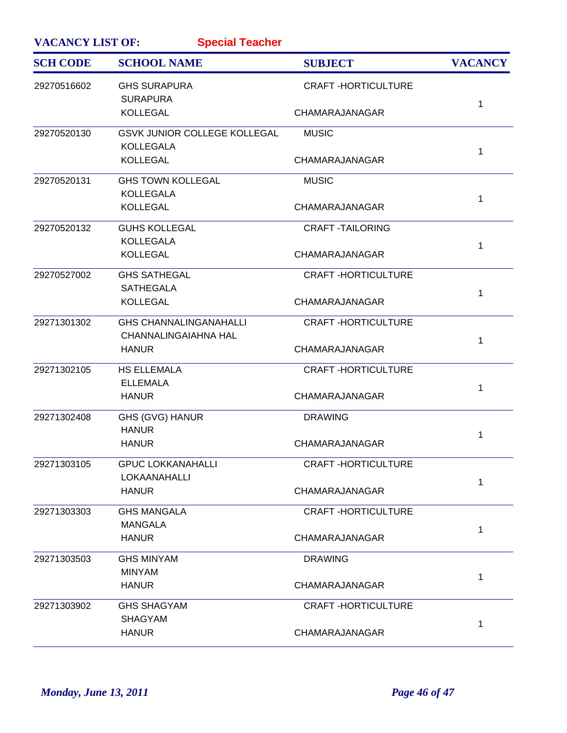| <b>VACANCY LIST OF:</b> | <b>Special Teacher</b>                                       |                           |                |
|-------------------------|--------------------------------------------------------------|---------------------------|----------------|
| <b>SCH CODE</b>         | <b>SCHOOL NAME</b>                                           | <b>SUBJECT</b>            | <b>VACANCY</b> |
| 29270516602             | <b>GHS SURAPURA</b><br><b>SURAPURA</b>                       | <b>CRAFT-HORTICULTURE</b> |                |
|                         | <b>KOLLEGAL</b>                                              | CHAMARAJANAGAR            | 1              |
| 29270520130             | GSVK JUNIOR COLLEGE KOLLEGAL<br><b>KOLLEGALA</b>             | <b>MUSIC</b>              |                |
|                         | <b>KOLLEGAL</b>                                              | CHAMARAJANAGAR            | 1              |
| 29270520131             | <b>GHS TOWN KOLLEGAL</b><br><b>KOLLEGALA</b>                 | <b>MUSIC</b>              |                |
|                         | <b>KOLLEGAL</b>                                              | CHAMARAJANAGAR            | 1              |
| 29270520132             | <b>GUHS KOLLEGAL</b><br><b>KOLLEGALA</b>                     | <b>CRAFT-TAILORING</b>    | 1              |
|                         | <b>KOLLEGAL</b>                                              | CHAMARAJANAGAR            |                |
| 29270527002             | <b>GHS SATHEGAL</b><br><b>SATHEGALA</b>                      | <b>CRAFT-HORTICULTURE</b> | 1              |
|                         | <b>KOLLEGAL</b>                                              | CHAMARAJANAGAR            |                |
| 29271301302             | <b>GHS CHANNALINGANAHALLI</b><br><b>CHANNALINGAIAHNA HAL</b> | <b>CRAFT-HORTICULTURE</b> | 1              |
|                         | <b>HANUR</b>                                                 | CHAMARAJANAGAR            |                |
| 29271302105             | <b>HS ELLEMALA</b><br><b>ELLEMALA</b>                        | <b>CRAFT-HORTICULTURE</b> | 1              |
|                         | <b>HANUR</b>                                                 | CHAMARAJANAGAR            |                |
| 29271302408             | <b>GHS (GVG) HANUR</b><br><b>HANUR</b>                       | <b>DRAWING</b>            | 1              |
|                         | <b>HANUR</b>                                                 | CHAMARAJANAGAR            |                |
| 29271303105             | <b>GPUC LOKKANAHALLI</b><br>LOKAANAHALLI                     | <b>CRAFT-HORTICULTURE</b> | 1              |
|                         | <b>HANUR</b>                                                 | CHAMARAJANAGAR            |                |
| 29271303303             | <b>GHS MANGALA</b><br><b>MANGALA</b>                         | <b>CRAFT-HORTICULTURE</b> | 1              |
|                         | <b>HANUR</b>                                                 | CHAMARAJANAGAR            |                |
| 29271303503             | <b>GHS MINYAM</b><br><b>MINYAM</b>                           | <b>DRAWING</b>            |                |
|                         | <b>HANUR</b>                                                 | CHAMARAJANAGAR            | 1              |
| 29271303902             | <b>GHS SHAGYAM</b><br><b>SHAGYAM</b>                         | <b>CRAFT-HORTICULTURE</b> |                |
|                         | <b>HANUR</b>                                                 | CHAMARAJANAGAR            | 1              |